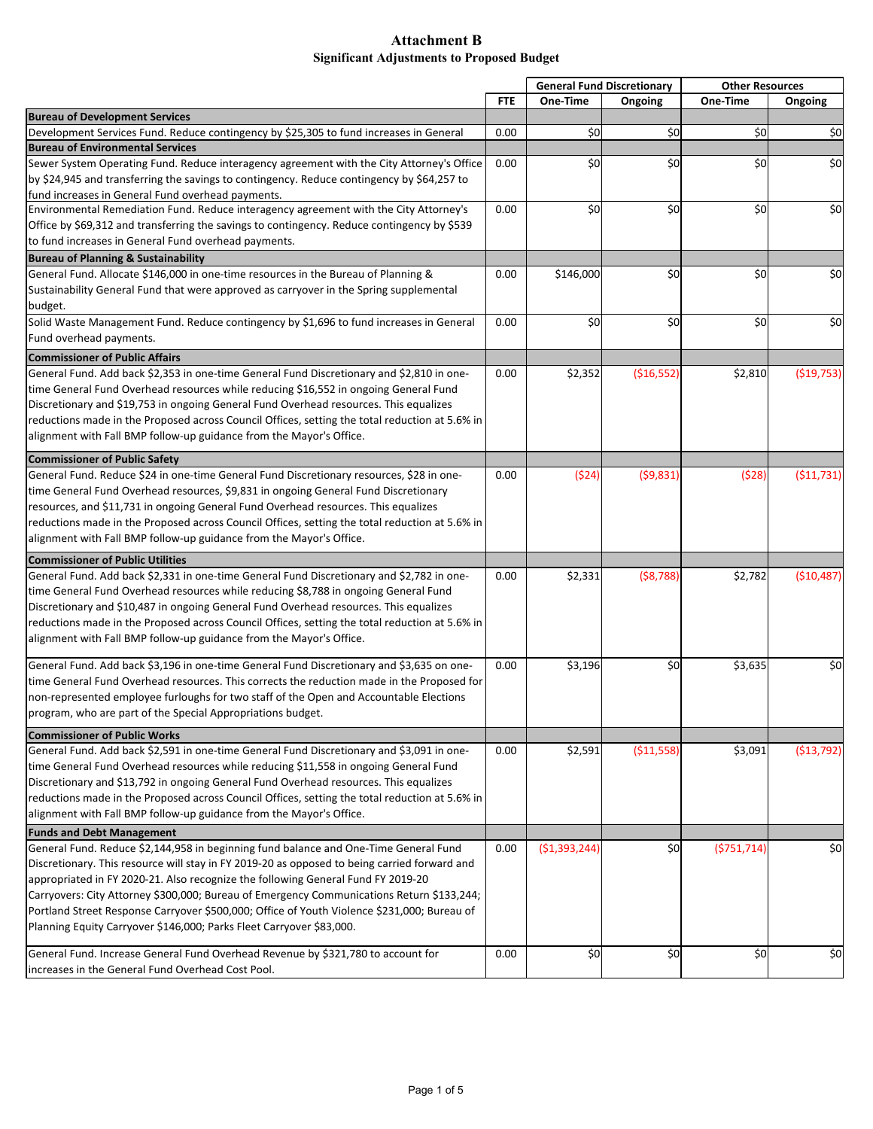|                                                                                                |            | <b>General Fund Discretionary</b> |              | <b>Other Resources</b> |             |
|------------------------------------------------------------------------------------------------|------------|-----------------------------------|--------------|------------------------|-------------|
|                                                                                                | <b>FTE</b> | One-Time                          | Ongoing      | One-Time               | Ongoing     |
| <b>Bureau of Development Services</b>                                                          |            |                                   |              |                        |             |
| Development Services Fund. Reduce contingency by \$25,305 to fund increases in General         | 0.00       | \$0                               | \$0          | \$0                    | \$0         |
| <b>Bureau of Environmental Services</b>                                                        |            |                                   |              |                        |             |
| Sewer System Operating Fund. Reduce interagency agreement with the City Attorney's Office      | 0.00       | \$0                               | \$0          | \$0                    | \$0         |
| by \$24,945 and transferring the savings to contingency. Reduce contingency by \$64,257 to     |            |                                   |              |                        |             |
| fund increases in General Fund overhead payments.                                              |            |                                   |              |                        |             |
| Environmental Remediation Fund. Reduce interagency agreement with the City Attorney's          | 0.00       | \$0                               | \$0          | \$0                    | \$0         |
| Office by \$69,312 and transferring the savings to contingency. Reduce contingency by \$539    |            |                                   |              |                        |             |
| to fund increases in General Fund overhead payments.                                           |            |                                   |              |                        |             |
| <b>Bureau of Planning &amp; Sustainability</b>                                                 |            |                                   |              |                        |             |
| General Fund. Allocate \$146,000 in one-time resources in the Bureau of Planning &             | 0.00       | \$146,000                         | \$0          | \$0                    | \$0         |
| Sustainability General Fund that were approved as carryover in the Spring supplemental         |            |                                   |              |                        |             |
| budget.                                                                                        |            |                                   |              |                        |             |
| Solid Waste Management Fund. Reduce contingency by \$1,696 to fund increases in General        | 0.00       | \$0                               | \$0          | \$0                    | \$0         |
| Fund overhead payments.                                                                        |            |                                   |              |                        |             |
| <b>Commissioner of Public Affairs</b>                                                          |            |                                   |              |                        |             |
| General Fund. Add back \$2,353 in one-time General Fund Discretionary and \$2,810 in one-      | 0.00       | \$2,352                           | ( \$16, 552) | \$2,810                | ( \$19,753) |
| time General Fund Overhead resources while reducing \$16,552 in ongoing General Fund           |            |                                   |              |                        |             |
| Discretionary and \$19,753 in ongoing General Fund Overhead resources. This equalizes          |            |                                   |              |                        |             |
| reductions made in the Proposed across Council Offices, setting the total reduction at 5.6% in |            |                                   |              |                        |             |
| alignment with Fall BMP follow-up guidance from the Mayor's Office.                            |            |                                   |              |                        |             |
| <b>Commissioner of Public Safety</b>                                                           |            |                                   |              |                        |             |
| General Fund. Reduce \$24 in one-time General Fund Discretionary resources, \$28 in one-       | 0.00       | (524)                             | (59,831)     | (528)                  | (511, 731)  |
| time General Fund Overhead resources, \$9,831 in ongoing General Fund Discretionary            |            |                                   |              |                        |             |
| resources, and \$11,731 in ongoing General Fund Overhead resources. This equalizes             |            |                                   |              |                        |             |
| reductions made in the Proposed across Council Offices, setting the total reduction at 5.6% in |            |                                   |              |                        |             |
| alignment with Fall BMP follow-up guidance from the Mayor's Office.                            |            |                                   |              |                        |             |
|                                                                                                |            |                                   |              |                        |             |
| <b>Commissioner of Public Utilities</b>                                                        |            |                                   |              |                        |             |
| General Fund. Add back \$2,331 in one-time General Fund Discretionary and \$2,782 in one-      | 0.00       | \$2,331                           | (58, 788)    | \$2,782                | (\$10,487)  |
| time General Fund Overhead resources while reducing \$8,788 in ongoing General Fund            |            |                                   |              |                        |             |
| Discretionary and \$10,487 in ongoing General Fund Overhead resources. This equalizes          |            |                                   |              |                        |             |
| reductions made in the Proposed across Council Offices, setting the total reduction at 5.6% in |            |                                   |              |                        |             |
| alignment with Fall BMP follow-up guidance from the Mayor's Office.                            |            |                                   |              |                        |             |
| General Fund. Add back \$3,196 in one-time General Fund Discretionary and \$3,635 on one-      | 0.00       | \$3,196                           | \$0          | \$3,635                | \$0         |
| time General Fund Overhead resources. This corrects the reduction made in the Proposed for     |            |                                   |              |                        |             |
| non-represented employee furloughs for two staff of the Open and Accountable Elections         |            |                                   |              |                        |             |
| program, who are part of the Special Appropriations budget.                                    |            |                                   |              |                        |             |
|                                                                                                |            |                                   |              |                        |             |
| <b>Commissioner of Public Works</b>                                                            |            |                                   |              |                        |             |
| General Fund. Add back \$2,591 in one-time General Fund Discretionary and \$3,091 in one-      | 0.00       | \$2,591                           | ( \$11,558)  | \$3,091                | ( \$13,792) |
| time General Fund Overhead resources while reducing \$11,558 in ongoing General Fund           |            |                                   |              |                        |             |
| Discretionary and \$13,792 in ongoing General Fund Overhead resources. This equalizes          |            |                                   |              |                        |             |
| reductions made in the Proposed across Council Offices, setting the total reduction at 5.6% in |            |                                   |              |                        |             |
| alignment with Fall BMP follow-up guidance from the Mayor's Office.                            |            |                                   |              |                        |             |
| <b>Funds and Debt Management</b>                                                               |            |                                   |              |                        |             |
| General Fund. Reduce \$2,144,958 in beginning fund balance and One-Time General Fund           | 0.00       | ( \$1,393,244)                    | \$0          | (5751, 714)            | \$0         |
| Discretionary. This resource will stay in FY 2019-20 as opposed to being carried forward and   |            |                                   |              |                        |             |
| appropriated in FY 2020-21. Also recognize the following General Fund FY 2019-20               |            |                                   |              |                        |             |
| Carryovers: City Attorney \$300,000; Bureau of Emergency Communications Return \$133,244;      |            |                                   |              |                        |             |
| Portland Street Response Carryover \$500,000; Office of Youth Violence \$231,000; Bureau of    |            |                                   |              |                        |             |
| Planning Equity Carryover \$146,000; Parks Fleet Carryover \$83,000.                           |            |                                   |              |                        |             |
| General Fund. Increase General Fund Overhead Revenue by \$321,780 to account for               | 0.00       | \$0                               | \$0          | \$0                    | \$0         |
| increases in the General Fund Overhead Cost Pool.                                              |            |                                   |              |                        |             |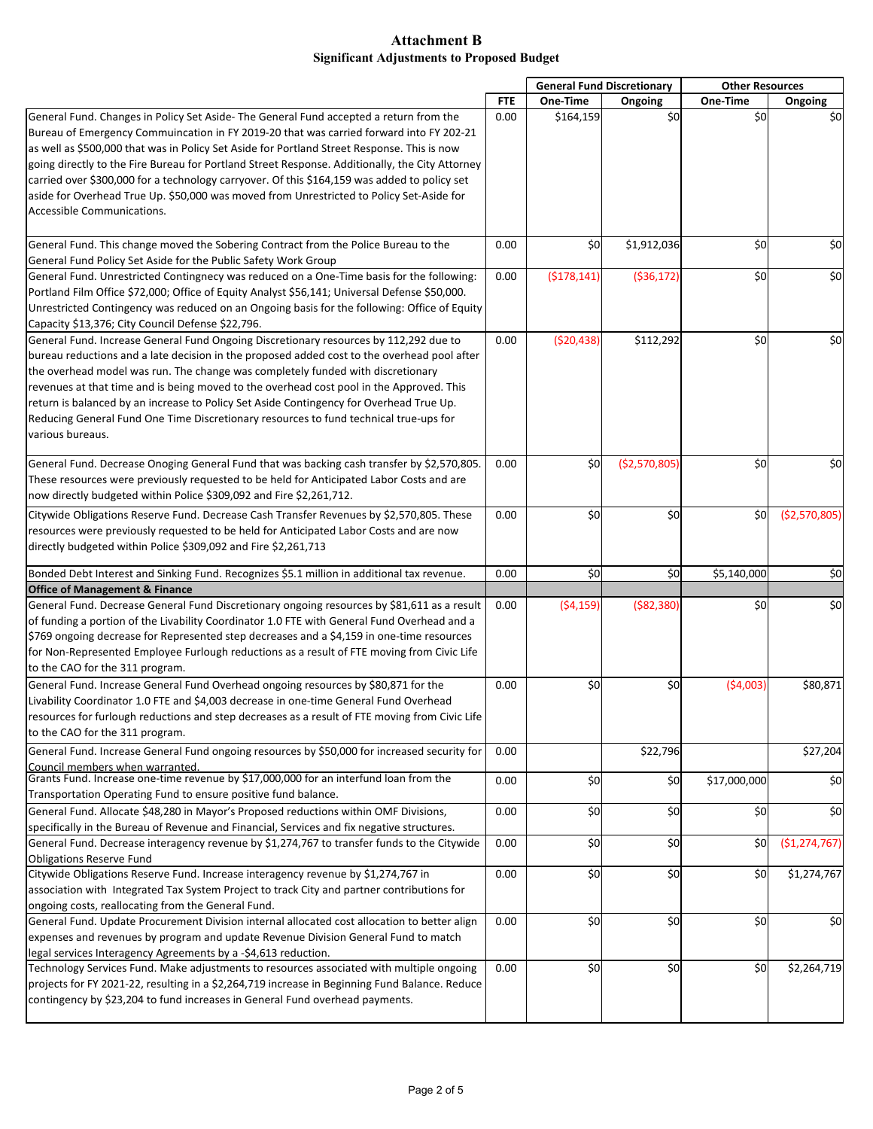|                                                                                                 |            | <b>General Fund Discretionary</b> |               | <b>Other Resources</b> |                |
|-------------------------------------------------------------------------------------------------|------------|-----------------------------------|---------------|------------------------|----------------|
|                                                                                                 | <b>FTE</b> | One-Time                          | Ongoing       | One-Time               | Ongoing        |
| General Fund. Changes in Policy Set Aside- The General Fund accepted a return from the          | 0.00       | \$164,159                         | \$0           | \$0                    | \$0            |
| Bureau of Emergency Commuincation in FY 2019-20 that was carried forward into FY 202-21         |            |                                   |               |                        |                |
| as well as \$500,000 that was in Policy Set Aside for Portland Street Response. This is now     |            |                                   |               |                        |                |
| going directly to the Fire Bureau for Portland Street Response. Additionally, the City Attorney |            |                                   |               |                        |                |
| carried over \$300,000 for a technology carryover. Of this \$164,159 was added to policy set    |            |                                   |               |                        |                |
| aside for Overhead True Up. \$50,000 was moved from Unrestricted to Policy Set-Aside for        |            |                                   |               |                        |                |
| Accessible Communications.                                                                      |            |                                   |               |                        |                |
| General Fund. This change moved the Sobering Contract from the Police Bureau to the             | 0.00       | \$0                               | \$1,912,036   | \$0                    | \$0            |
| General Fund Policy Set Aside for the Public Safety Work Group                                  |            |                                   |               |                        |                |
| General Fund. Unrestricted Contingnecy was reduced on a One-Time basis for the following:       | 0.00       | (\$178,141)                       | ( \$36, 172)  | \$0                    | \$0            |
| Portland Film Office \$72,000; Office of Equity Analyst \$56,141; Universal Defense \$50,000.   |            |                                   |               |                        |                |
| Unrestricted Contingency was reduced on an Ongoing basis for the following: Office of Equity    |            |                                   |               |                        |                |
| Capacity \$13,376; City Council Defense \$22,796.                                               |            |                                   |               |                        |                |
| General Fund. Increase General Fund Ongoing Discretionary resources by 112,292 due to           | 0.00       | (520, 438)                        | \$112,292     | \$0                    | \$0            |
| bureau reductions and a late decision in the proposed added cost to the overhead pool after     |            |                                   |               |                        |                |
| the overhead model was run. The change was completely funded with discretionary                 |            |                                   |               |                        |                |
| revenues at that time and is being moved to the overhead cost pool in the Approved. This        |            |                                   |               |                        |                |
| return is balanced by an increase to Policy Set Aside Contingency for Overhead True Up.         |            |                                   |               |                        |                |
| Reducing General Fund One Time Discretionary resources to fund technical true-ups for           |            |                                   |               |                        |                |
| various bureaus.                                                                                |            |                                   |               |                        |                |
| General Fund. Decrease Onoging General Fund that was backing cash transfer by \$2,570,805.      | 0.00       | \$0                               | (\$2,570,805) | \$0                    | \$0            |
| These resources were previously requested to be held for Anticipated Labor Costs and are        |            |                                   |               |                        |                |
| now directly budgeted within Police \$309,092 and Fire \$2,261,712.                             |            |                                   |               |                        |                |
|                                                                                                 |            |                                   |               |                        |                |
| Citywide Obligations Reserve Fund. Decrease Cash Transfer Revenues by \$2,570,805. These        | 0.00       | \$0                               | \$0           | \$0                    | (52,570,805)   |
| resources were previously requested to be held for Anticipated Labor Costs and are now          |            |                                   |               |                        |                |
| directly budgeted within Police \$309,092 and Fire \$2,261,713                                  |            |                                   |               |                        |                |
| Bonded Debt Interest and Sinking Fund. Recognizes \$5.1 million in additional tax revenue.      | 0.00       | \$0                               | \$0           | \$5,140,000            | \$0            |
| <b>Office of Management &amp; Finance</b>                                                       |            |                                   |               |                        |                |
| General Fund. Decrease General Fund Discretionary ongoing resources by \$81,611 as a result     | 0.00       | (54, 159)                         | ( \$82, 380)  | \$0                    | \$0            |
| of funding a portion of the Livability Coordinator 1.0 FTE with General Fund Overhead and a     |            |                                   |               |                        |                |
| \$769 ongoing decrease for Represented step decreases and a \$4,159 in one-time resources       |            |                                   |               |                        |                |
| for Non-Represented Employee Furlough reductions as a result of FTE moving from Civic Life      |            |                                   |               |                        |                |
| to the CAO for the 311 program.                                                                 |            |                                   |               |                        |                |
| General Fund. Increase General Fund Overhead ongoing resources by \$80,871 for the              | 0.00       | \$0                               | \$0           | (54,003)               | \$80,871       |
| Livability Coordinator 1.0 FTE and \$4,003 decrease in one-time General Fund Overhead           |            |                                   |               |                        |                |
| resources for furlough reductions and step decreases as a result of FTE moving from Civic Life  |            |                                   |               |                        |                |
| to the CAO for the 311 program.                                                                 |            |                                   |               |                        |                |
| General Fund. Increase General Fund ongoing resources by \$50,000 for increased security for    | 0.00       |                                   | \$22,796      |                        | \$27,204       |
| Council members when warranted.                                                                 |            |                                   |               |                        |                |
| Grants Fund. Increase one-time revenue by \$17,000,000 for an interfund loan from the           | 0.00       | \$0                               | \$0           | \$17,000,000           | \$0            |
| Transportation Operating Fund to ensure positive fund balance.                                  |            |                                   |               |                        |                |
| General Fund. Allocate \$48,280 in Mayor's Proposed reductions within OMF Divisions,            | 0.00       | \$0                               | \$0           | \$0                    | \$0            |
| specifically in the Bureau of Revenue and Financial, Services and fix negative structures.      |            |                                   |               |                        |                |
| General Fund. Decrease interagency revenue by \$1,274,767 to transfer funds to the Citywide     | 0.00       | \$0                               | \$0           | \$0                    | ( \$1,274,767) |
| <b>Obligations Reserve Fund</b>                                                                 |            |                                   |               |                        |                |
| Citywide Obligations Reserve Fund. Increase interagency revenue by \$1,274,767 in               | 0.00       | \$0                               | \$0           | \$0                    | \$1,274,767    |
| association with Integrated Tax System Project to track City and partner contributions for      |            |                                   |               |                        |                |
| ongoing costs, reallocating from the General Fund.                                              |            |                                   |               |                        |                |
| General Fund. Update Procurement Division internal allocated cost allocation to better align    | 0.00       | \$0                               | \$0           | \$0                    | \$0            |
| expenses and revenues by program and update Revenue Division General Fund to match              |            |                                   |               |                        |                |
| legal services Interagency Agreements by a -\$4,613 reduction.                                  |            |                                   |               |                        |                |
| Technology Services Fund. Make adjustments to resources associated with multiple ongoing        | 0.00       | \$0                               | \$0           | \$0                    | \$2,264,719    |
| projects for FY 2021-22, resulting in a \$2,264,719 increase in Beginning Fund Balance. Reduce  |            |                                   |               |                        |                |
| contingency by \$23,204 to fund increases in General Fund overhead payments.                    |            |                                   |               |                        |                |
|                                                                                                 |            |                                   |               |                        |                |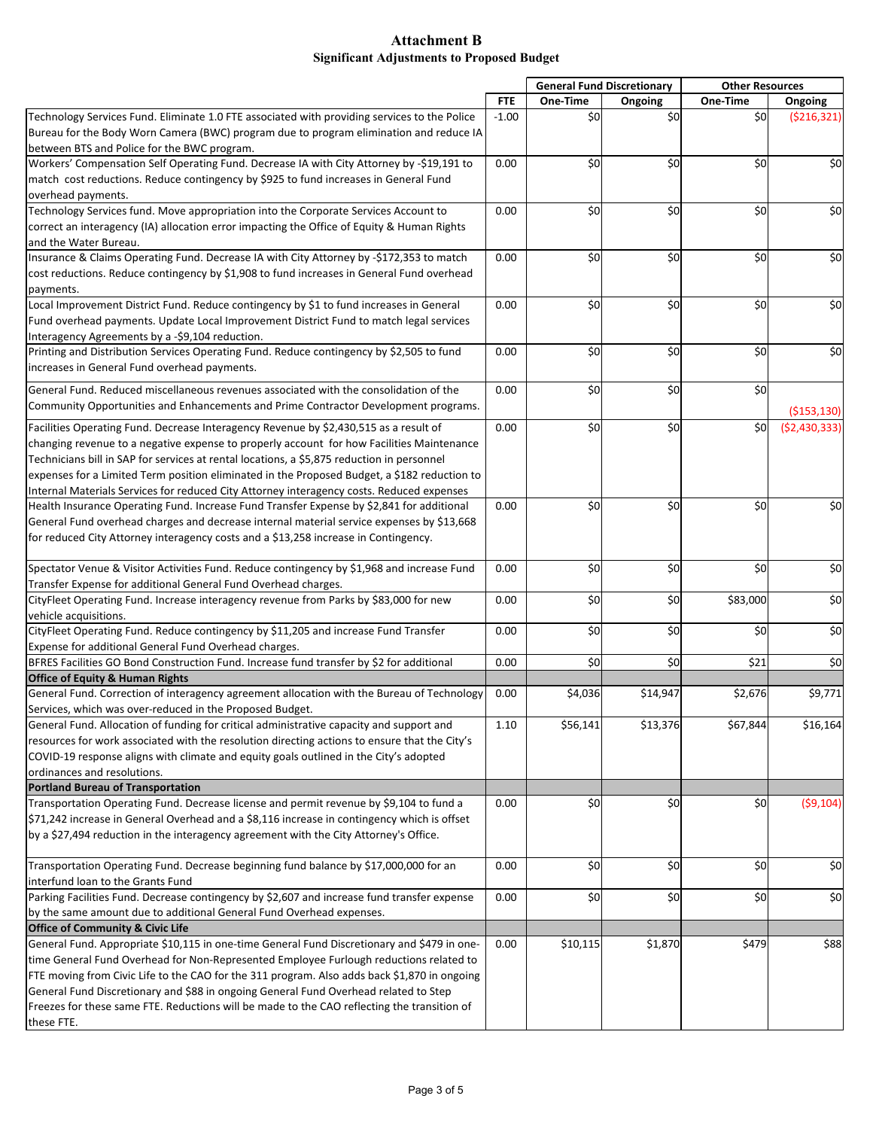|                                                                                               |            |          | <b>General Fund Discretionary</b> | <b>Other Resources</b> |                |
|-----------------------------------------------------------------------------------------------|------------|----------|-----------------------------------|------------------------|----------------|
|                                                                                               | <b>FTE</b> | One-Time | Ongoing                           | One-Time               | Ongoing        |
| Technology Services Fund. Eliminate 1.0 FTE associated with providing services to the Police  | $-1.00$    | \$0      | \$0                               | \$0                    | ( \$216, 321)  |
| Bureau for the Body Worn Camera (BWC) program due to program elimination and reduce IA        |            |          |                                   |                        |                |
| between BTS and Police for the BWC program.                                                   |            |          |                                   |                        |                |
| Workers' Compensation Self Operating Fund. Decrease IA with City Attorney by -\$19,191 to     | 0.00       | \$0      | \$0                               | \$0                    | \$0            |
| match cost reductions. Reduce contingency by \$925 to fund increases in General Fund          |            |          |                                   |                        |                |
| overhead payments.                                                                            |            |          |                                   |                        |                |
| Technology Services fund. Move appropriation into the Corporate Services Account to           | 0.00       | \$0      | \$0                               | \$0                    | \$0            |
| correct an interagency (IA) allocation error impacting the Office of Equity & Human Rights    |            |          |                                   |                        |                |
| and the Water Bureau.                                                                         |            |          |                                   |                        |                |
| Insurance & Claims Operating Fund. Decrease IA with City Attorney by -\$172,353 to match      | 0.00       | \$0      | \$0                               | \$0                    | \$0            |
| cost reductions. Reduce contingency by \$1,908 to fund increases in General Fund overhead     |            |          |                                   |                        |                |
| payments.                                                                                     |            |          |                                   |                        |                |
| Local Improvement District Fund. Reduce contingency by \$1 to fund increases in General       | 0.00       | \$0      | \$0                               | \$0                    | \$0            |
| Fund overhead payments. Update Local Improvement District Fund to match legal services        |            |          |                                   |                        |                |
| Interagency Agreements by a -\$9,104 reduction.                                               |            |          |                                   |                        |                |
| Printing and Distribution Services Operating Fund. Reduce contingency by \$2,505 to fund      | 0.00       | \$0      | \$0                               | \$0                    | \$0            |
| increases in General Fund overhead payments.                                                  |            |          |                                   |                        |                |
|                                                                                               |            |          |                                   |                        |                |
| General Fund. Reduced miscellaneous revenues associated with the consolidation of the         | 0.00       | \$0      | \$0                               | \$0                    |                |
| Community Opportunities and Enhancements and Prime Contractor Development programs.           |            |          |                                   |                        | ( \$153, 130)  |
| Facilities Operating Fund. Decrease Interagency Revenue by \$2,430,515 as a result of         | 0.00       | \$0      | \$0                               | \$0                    | (52, 430, 333) |
| changing revenue to a negative expense to properly account for how Facilities Maintenance     |            |          |                                   |                        |                |
| Technicians bill in SAP for services at rental locations, a \$5,875 reduction in personnel    |            |          |                                   |                        |                |
| expenses for a Limited Term position eliminated in the Proposed Budget, a \$182 reduction to  |            |          |                                   |                        |                |
| Internal Materials Services for reduced City Attorney interagency costs. Reduced expenses     |            |          |                                   |                        |                |
| Health Insurance Operating Fund. Increase Fund Transfer Expense by \$2,841 for additional     | 0.00       | \$0      | \$0                               | \$0                    | \$0            |
| General Fund overhead charges and decrease internal material service expenses by \$13,668     |            |          |                                   |                        |                |
|                                                                                               |            |          |                                   |                        |                |
| for reduced City Attorney interagency costs and a \$13,258 increase in Contingency.           |            |          |                                   |                        |                |
| Spectator Venue & Visitor Activities Fund. Reduce contingency by \$1,968 and increase Fund    | 0.00       | \$0      | \$0                               | \$0                    | \$0            |
| Transfer Expense for additional General Fund Overhead charges.                                |            |          |                                   |                        |                |
| CityFleet Operating Fund. Increase interagency revenue from Parks by \$83,000 for new         | 0.00       | \$0      | \$0                               | \$83,000               | \$0            |
| vehicle acquisitions.                                                                         |            |          |                                   |                        |                |
| CityFleet Operating Fund. Reduce contingency by \$11,205 and increase Fund Transfer           | 0.00       | \$0      | \$0                               | \$0                    | \$0            |
| Expense for additional General Fund Overhead charges.                                         |            |          |                                   |                        |                |
| BFRES Facilities GO Bond Construction Fund. Increase fund transfer by \$2 for additional      | 0.00       | \$0      | \$0                               | \$21                   | \$0            |
| <b>Office of Equity &amp; Human Rights</b>                                                    |            |          |                                   |                        |                |
| General Fund. Correction of interagency agreement allocation with the Bureau of Technology    | 0.00       | \$4,036  | \$14,947                          | \$2,676                | \$9,771        |
| Services, which was over-reduced in the Proposed Budget.                                      |            |          |                                   |                        |                |
|                                                                                               |            |          |                                   |                        |                |
| General Fund. Allocation of funding for critical administrative capacity and support and      | 1.10       | \$56,141 | \$13,376                          | \$67,844               | \$16,164       |
| resources for work associated with the resolution directing actions to ensure that the City's |            |          |                                   |                        |                |
| COVID-19 response aligns with climate and equity goals outlined in the City's adopted         |            |          |                                   |                        |                |
| ordinances and resolutions.                                                                   |            |          |                                   |                        |                |
| <b>Portland Bureau of Transportation</b>                                                      |            |          |                                   |                        |                |
| Transportation Operating Fund. Decrease license and permit revenue by \$9,104 to fund a       | 0.00       | \$0      | \$0                               | \$0                    | (59, 104)      |
| \$71,242 increase in General Overhead and a \$8,116 increase in contingency which is offset   |            |          |                                   |                        |                |
| by a \$27,494 reduction in the interagency agreement with the City Attorney's Office.         |            |          |                                   |                        |                |
| Transportation Operating Fund. Decrease beginning fund balance by \$17,000,000 for an         |            | \$0      | \$0                               | \$0                    | \$0            |
| interfund loan to the Grants Fund                                                             | 0.00       |          |                                   |                        |                |
| Parking Facilities Fund. Decrease contingency by \$2,607 and increase fund transfer expense   | 0.00       | \$0      | \$0                               | \$0                    | \$0            |
|                                                                                               |            |          |                                   |                        |                |
| by the same amount due to additional General Fund Overhead expenses.                          |            |          |                                   |                        |                |
| <b>Office of Community &amp; Civic Life</b>                                                   |            |          |                                   |                        |                |
| General Fund. Appropriate \$10,115 in one-time General Fund Discretionary and \$479 in one-   | 0.00       | \$10,115 | \$1,870                           | \$479                  | \$88           |
| time General Fund Overhead for Non-Represented Employee Furlough reductions related to        |            |          |                                   |                        |                |
| FTE moving from Civic Life to the CAO for the 311 program. Also adds back \$1,870 in ongoing  |            |          |                                   |                        |                |
| General Fund Discretionary and \$88 in ongoing General Fund Overhead related to Step          |            |          |                                   |                        |                |
| Freezes for these same FTE. Reductions will be made to the CAO reflecting the transition of   |            |          |                                   |                        |                |
| these FTE.                                                                                    |            |          |                                   |                        |                |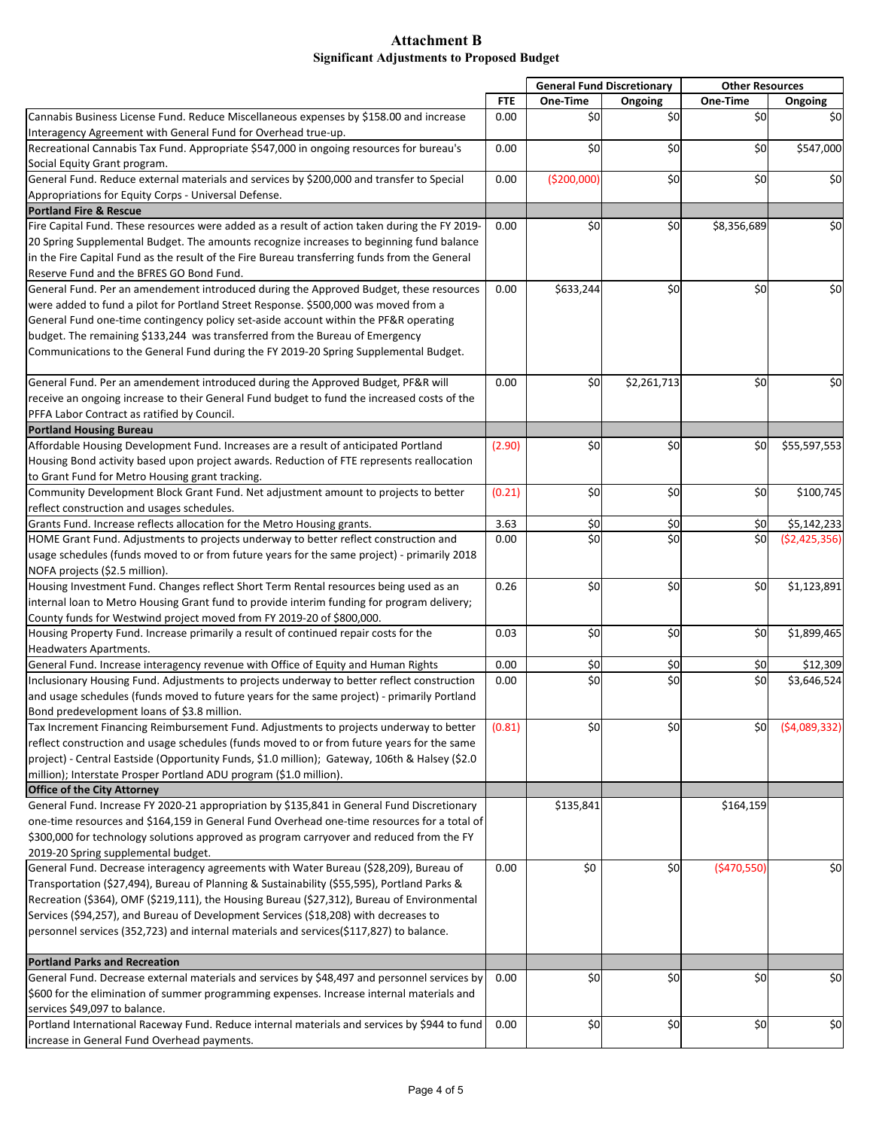|                                                                                                |            |             | <b>General Fund Discretionary</b> | <b>Other Resources</b> |                |
|------------------------------------------------------------------------------------------------|------------|-------------|-----------------------------------|------------------------|----------------|
|                                                                                                | <b>FTE</b> | One-Time    | Ongoing                           | One-Time               | Ongoing        |
| Cannabis Business License Fund. Reduce Miscellaneous expenses by \$158.00 and increase         | 0.00       | \$0         | \$0                               | \$0                    | \$0            |
| Interagency Agreement with General Fund for Overhead true-up.                                  |            |             |                                   |                        |                |
| Recreational Cannabis Tax Fund. Appropriate \$547,000 in ongoing resources for bureau's        | 0.00       | \$0         | \$0                               | \$0                    | \$547,000      |
| Social Equity Grant program.                                                                   |            |             |                                   |                        |                |
| General Fund. Reduce external materials and services by \$200,000 and transfer to Special      | 0.00       | (\$200,000) | \$0                               | \$0                    | \$0            |
| Appropriations for Equity Corps - Universal Defense.                                           |            |             |                                   |                        |                |
| <b>Portland Fire &amp; Rescue</b>                                                              |            |             |                                   |                        |                |
| Fire Capital Fund. These resources were added as a result of action taken during the FY 2019-  | 0.00       | \$0         | \$0                               | \$8,356,689            | \$0            |
| 20 Spring Supplemental Budget. The amounts recognize increases to beginning fund balance       |            |             |                                   |                        |                |
| in the Fire Capital Fund as the result of the Fire Bureau transferring funds from the General  |            |             |                                   |                        |                |
| Reserve Fund and the BFRES GO Bond Fund.                                                       |            |             |                                   |                        |                |
| General Fund. Per an amendement introduced during the Approved Budget, these resources         | 0.00       | \$633,244   | \$0                               | \$0                    | \$0            |
| were added to fund a pilot for Portland Street Response. \$500,000 was moved from a            |            |             |                                   |                        |                |
| General Fund one-time contingency policy set-aside account within the PF&R operating           |            |             |                                   |                        |                |
| budget. The remaining \$133,244 was transferred from the Bureau of Emergency                   |            |             |                                   |                        |                |
| Communications to the General Fund during the FY 2019-20 Spring Supplemental Budget.           |            |             |                                   |                        |                |
|                                                                                                |            |             |                                   |                        |                |
| General Fund. Per an amendement introduced during the Approved Budget, PF&R will               | 0.00       | \$0         | \$2,261,713                       | \$0                    | \$0            |
| receive an ongoing increase to their General Fund budget to fund the increased costs of the    |            |             |                                   |                        |                |
| PFFA Labor Contract as ratified by Council.                                                    |            |             |                                   |                        |                |
| <b>Portland Housing Bureau</b>                                                                 |            |             |                                   |                        |                |
| Affordable Housing Development Fund. Increases are a result of anticipated Portland            | (2.90)     | \$0         | \$0                               | \$0                    | \$55,597,553   |
| Housing Bond activity based upon project awards. Reduction of FTE represents reallocation      |            |             |                                   |                        |                |
| to Grant Fund for Metro Housing grant tracking.                                                |            |             |                                   |                        |                |
| Community Development Block Grant Fund. Net adjustment amount to projects to better            | (0.21)     | \$0         | \$0                               | \$0                    | \$100,745      |
| reflect construction and usages schedules.                                                     |            |             |                                   |                        |                |
| Grants Fund. Increase reflects allocation for the Metro Housing grants.                        | 3.63       | \$0         | \$0                               | \$0                    | \$5,142,233    |
| HOME Grant Fund. Adjustments to projects underway to better reflect construction and           | 0.00       | \$0         | $\overline{\mathbf{5}}$           | \$0                    | ( \$2,425,356) |
| usage schedules (funds moved to or from future years for the same project) - primarily 2018    |            |             |                                   |                        |                |
| NOFA projects (\$2.5 million).                                                                 |            |             |                                   |                        |                |
| Housing Investment Fund. Changes reflect Short Term Rental resources being used as an          | 0.26       | \$0         | \$0                               | \$0                    | \$1,123,891    |
|                                                                                                |            |             |                                   |                        |                |
| internal loan to Metro Housing Grant fund to provide interim funding for program delivery;     |            |             |                                   |                        |                |
| County funds for Westwind project moved from FY 2019-20 of \$800,000.                          |            | \$0         |                                   |                        |                |
| Housing Property Fund. Increase primarily a result of continued repair costs for the           | 0.03       |             | \$0                               | \$0                    | \$1,899,465    |
| <b>Headwaters Apartments.</b>                                                                  |            |             |                                   |                        |                |
| General Fund. Increase interagency revenue with Office of Equity and Human Rights              | 0.00       | \$0         | \$0                               | \$0                    | \$12,309       |
| Inclusionary Housing Fund. Adjustments to projects underway to better reflect construction     | 0.00       | \$0         | \$0                               | \$0                    | \$3,646,524    |
| and usage schedules (funds moved to future years for the same project) - primarily Portland    |            |             |                                   |                        |                |
| Bond predevelopment loans of \$3.8 million.                                                    |            |             |                                   |                        |                |
| Tax Increment Financing Reimbursement Fund. Adjustments to projects underway to better         | (0.81)     | \$0         | \$0                               | \$0                    | (54,089,332)   |
| reflect construction and usage schedules (funds moved to or from future years for the same     |            |             |                                   |                        |                |
| project) - Central Eastside (Opportunity Funds, \$1.0 million); Gateway, 106th & Halsey (\$2.0 |            |             |                                   |                        |                |
| million); Interstate Prosper Portland ADU program (\$1.0 million).                             |            |             |                                   |                        |                |
| <b>Office of the City Attorney</b>                                                             |            |             |                                   |                        |                |
| General Fund. Increase FY 2020-21 appropriation by \$135,841 in General Fund Discretionary     |            | \$135,841   |                                   | \$164,159              |                |
| one-time resources and \$164,159 in General Fund Overhead one-time resources for a total of    |            |             |                                   |                        |                |
| \$300,000 for technology solutions approved as program carryover and reduced from the FY       |            |             |                                   |                        |                |
| 2019-20 Spring supplemental budget.                                                            |            |             |                                   |                        |                |
| General Fund. Decrease interagency agreements with Water Bureau (\$28,209), Bureau of          | 0.00       | \$0         | \$0                               | ( \$470, 550)          | \$0            |
| Transportation (\$27,494), Bureau of Planning & Sustainability (\$55,595), Portland Parks &    |            |             |                                   |                        |                |
| Recreation (\$364), OMF (\$219,111), the Housing Bureau (\$27,312), Bureau of Environmental    |            |             |                                   |                        |                |
| Services (\$94,257), and Bureau of Development Services (\$18,208) with decreases to           |            |             |                                   |                        |                |
| personnel services (352,723) and internal materials and services (\$117,827) to balance.       |            |             |                                   |                        |                |
|                                                                                                |            |             |                                   |                        |                |
| <b>Portland Parks and Recreation</b>                                                           |            |             |                                   |                        |                |
| General Fund. Decrease external materials and services by \$48,497 and personnel services by   | 0.00       | \$0         | \$0                               | \$0                    | \$0            |
| \$600 for the elimination of summer programming expenses. Increase internal materials and      |            |             |                                   |                        |                |
| services \$49,097 to balance.                                                                  |            |             |                                   |                        |                |
| Portland International Raceway Fund. Reduce internal materials and services by \$944 to fund   | 0.00       | \$0         | \$0                               | \$0                    | \$0            |
| increase in General Fund Overhead payments.                                                    |            |             |                                   |                        |                |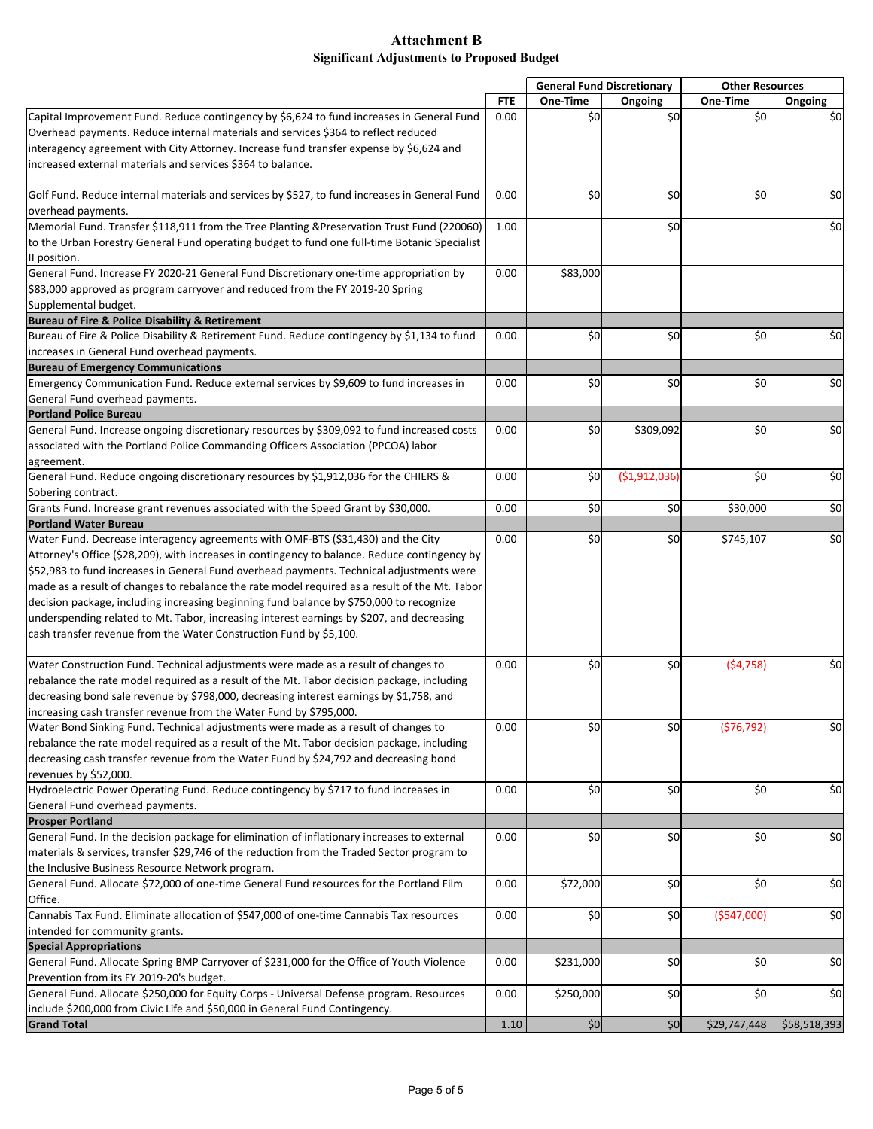| <b>FTE</b><br>One-Time<br>One-Time<br>Ongoing<br>Ongoing<br>\$0<br>\$0<br>0.00<br>\$0<br>\$0<br>increased external materials and services \$364 to balance.<br>\$0<br>\$0<br>\$0<br>\$0<br>0.00<br>\$0<br>\$0<br>1.00<br>General Fund. Increase FY 2020-21 General Fund Discretionary one-time appropriation by<br>0.00<br>\$83,000<br>Bureau of Fire & Police Disability & Retirement<br>Bureau of Fire & Police Disability & Retirement Fund. Reduce contingency by \$1,134 to fund<br>\$0<br>\$0<br>\$0<br>\$0<br>0.00<br>increases in General Fund overhead payments.<br><b>Bureau of Emergency Communications</b><br>\$0<br>\$0<br>\$0<br>Emergency Communication Fund. Reduce external services by \$9,609 to fund increases in<br>0.00<br>General Fund overhead payments.<br>General Fund. Increase ongoing discretionary resources by \$309,092 to fund increased costs<br>\$0<br>\$309,092<br>\$0<br>0.00<br>associated with the Portland Police Commanding Officers Association (PPCOA) labor<br>agreement.<br>\$0<br>\$0<br>General Fund. Reduce ongoing discretionary resources by \$1,912,036 for the CHIERS &<br>( \$1,912,036)<br>0.00<br>Sobering contract.<br>\$0<br>\$0<br>Grants Fund. Increase grant revenues associated with the Speed Grant by \$30,000.<br>0.00<br>\$30,000<br><b>Portland Water Bureau</b><br>Water Fund. Decrease interagency agreements with OMF-BTS (\$31,430) and the City<br>\$0<br>\$0<br>\$745,107<br>0.00<br>Attorney's Office (\$28,209), with increases in contingency to balance. Reduce contingency by<br>\$52,983 to fund increases in General Fund overhead payments. Technical adjustments were<br>made as a result of changes to rebalance the rate model required as a result of the Mt. Tabor<br>decision package, including increasing beginning fund balance by \$750,000 to recognize<br>underspending related to Mt. Tabor, increasing interest earnings by \$207, and decreasing<br>cash transfer revenue from the Water Construction Fund by \$5,100.<br>Water Construction Fund. Technical adjustments were made as a result of changes to<br>\$0<br>\$0<br>(54, 758)<br>0.00<br>rebalance the rate model required as a result of the Mt. Tabor decision package, including<br>decreasing bond sale revenue by \$798,000, decreasing interest earnings by \$1,758, and<br>increasing cash transfer revenue from the Water Fund by \$795,000.<br>Water Bond Sinking Fund. Technical adjustments were made as a result of changes to<br>\$0<br>\$0<br>(576, 792)<br>0.00<br>rebalance the rate model required as a result of the Mt. Tabor decision package, including<br>decreasing cash transfer revenue from the Water Fund by \$24,792 and decreasing bond<br>revenues by \$52,000.<br>Hydroelectric Power Operating Fund. Reduce contingency by \$717 to fund increases in<br>\$0<br>\$0<br>\$0<br>0.00<br>General Fund overhead payments.<br><b>Prosper Portland</b><br>\$0<br>\$0<br>General Fund. In the decision package for elimination of inflationary increases to external<br>\$0<br>0.00<br>materials & services, transfer \$29,746 of the reduction from the Traded Sector program to<br>the Inclusive Business Resource Network program.<br>General Fund. Allocate \$72,000 of one-time General Fund resources for the Portland Film<br>\$0<br>\$0<br>0.00<br>\$72,000<br>Office.<br>Cannabis Tax Fund. Eliminate allocation of \$547,000 of one-time Cannabis Tax resources<br>\$0<br>\$0<br>( \$547,000]<br>0.00<br>intended for community grants.<br><b>Special Appropriations</b><br>General Fund. Allocate Spring BMP Carryover of \$231,000 for the Office of Youth Violence<br>\$0<br>0.00<br>\$231,000<br>\$0<br>Prevention from its FY 2019-20's budget.<br>General Fund. Allocate \$250,000 for Equity Corps - Universal Defense program. Resources<br>\$0<br>\$0<br>\$250,000<br>0.00<br>include \$200,000 from Civic Life and \$50,000 in General Fund Contingency.<br><b>Grand Total</b><br>1.10<br>\$0<br>\$0<br>\$29,747,448<br>\$58,518,393 |                                                                                               |  | <b>General Fund Discretionary</b> | <b>Other Resources</b> |  |
|--------------------------------------------------------------------------------------------------------------------------------------------------------------------------------------------------------------------------------------------------------------------------------------------------------------------------------------------------------------------------------------------------------------------------------------------------------------------------------------------------------------------------------------------------------------------------------------------------------------------------------------------------------------------------------------------------------------------------------------------------------------------------------------------------------------------------------------------------------------------------------------------------------------------------------------------------------------------------------------------------------------------------------------------------------------------------------------------------------------------------------------------------------------------------------------------------------------------------------------------------------------------------------------------------------------------------------------------------------------------------------------------------------------------------------------------------------------------------------------------------------------------------------------------------------------------------------------------------------------------------------------------------------------------------------------------------------------------------------------------------------------------------------------------------------------------------------------------------------------------------------------------------------------------------------------------------------------------------------------------------------------------------------------------------------------------------------------------------------------------------------------------------------------------------------------------------------------------------------------------------------------------------------------------------------------------------------------------------------------------------------------------------------------------------------------------------------------------------------------------------------------------------------------------------------------------------------------------------------------------------------------------------------------------------------------------------------------------------------------------------------------------------------------------------------------------------------------------------------------------------------------------------------------------------------------------------------------------------------------------------------------------------------------------------------------------------------------------------------------------------------------------------------------------------------------------------------------------------------------------------------------------------------------------------------------------------------------------------------------------------------------------------------------------------------------------------------------------------------------------------------------------------------------------------------------------------------------------------------------------------------------------------------------------------------------------------------------------------------------------------------------------------------------------------------------------------------------------------------------------------------------------------------------------------------------------------------------------------------------------------------------------------------------------|-----------------------------------------------------------------------------------------------|--|-----------------------------------|------------------------|--|
|                                                                                                                                                                                                                                                                                                                                                                                                                                                                                                                                                                                                                                                                                                                                                                                                                                                                                                                                                                                                                                                                                                                                                                                                                                                                                                                                                                                                                                                                                                                                                                                                                                                                                                                                                                                                                                                                                                                                                                                                                                                                                                                                                                                                                                                                                                                                                                                                                                                                                                                                                                                                                                                                                                                                                                                                                                                                                                                                                                                                                                                                                                                                                                                                                                                                                                                                                                                                                                                                                                                                                                                                                                                                                                                                                                                                                                                                                                                                                                                                                                            |                                                                                               |  |                                   |                        |  |
|                                                                                                                                                                                                                                                                                                                                                                                                                                                                                                                                                                                                                                                                                                                                                                                                                                                                                                                                                                                                                                                                                                                                                                                                                                                                                                                                                                                                                                                                                                                                                                                                                                                                                                                                                                                                                                                                                                                                                                                                                                                                                                                                                                                                                                                                                                                                                                                                                                                                                                                                                                                                                                                                                                                                                                                                                                                                                                                                                                                                                                                                                                                                                                                                                                                                                                                                                                                                                                                                                                                                                                                                                                                                                                                                                                                                                                                                                                                                                                                                                                            | Capital Improvement Fund. Reduce contingency by \$6,624 to fund increases in General Fund     |  |                                   |                        |  |
|                                                                                                                                                                                                                                                                                                                                                                                                                                                                                                                                                                                                                                                                                                                                                                                                                                                                                                                                                                                                                                                                                                                                                                                                                                                                                                                                                                                                                                                                                                                                                                                                                                                                                                                                                                                                                                                                                                                                                                                                                                                                                                                                                                                                                                                                                                                                                                                                                                                                                                                                                                                                                                                                                                                                                                                                                                                                                                                                                                                                                                                                                                                                                                                                                                                                                                                                                                                                                                                                                                                                                                                                                                                                                                                                                                                                                                                                                                                                                                                                                                            | Overhead payments. Reduce internal materials and services \$364 to reflect reduced            |  |                                   |                        |  |
|                                                                                                                                                                                                                                                                                                                                                                                                                                                                                                                                                                                                                                                                                                                                                                                                                                                                                                                                                                                                                                                                                                                                                                                                                                                                                                                                                                                                                                                                                                                                                                                                                                                                                                                                                                                                                                                                                                                                                                                                                                                                                                                                                                                                                                                                                                                                                                                                                                                                                                                                                                                                                                                                                                                                                                                                                                                                                                                                                                                                                                                                                                                                                                                                                                                                                                                                                                                                                                                                                                                                                                                                                                                                                                                                                                                                                                                                                                                                                                                                                                            | interagency agreement with City Attorney. Increase fund transfer expense by \$6,624 and       |  |                                   |                        |  |
|                                                                                                                                                                                                                                                                                                                                                                                                                                                                                                                                                                                                                                                                                                                                                                                                                                                                                                                                                                                                                                                                                                                                                                                                                                                                                                                                                                                                                                                                                                                                                                                                                                                                                                                                                                                                                                                                                                                                                                                                                                                                                                                                                                                                                                                                                                                                                                                                                                                                                                                                                                                                                                                                                                                                                                                                                                                                                                                                                                                                                                                                                                                                                                                                                                                                                                                                                                                                                                                                                                                                                                                                                                                                                                                                                                                                                                                                                                                                                                                                                                            |                                                                                               |  |                                   |                        |  |
|                                                                                                                                                                                                                                                                                                                                                                                                                                                                                                                                                                                                                                                                                                                                                                                                                                                                                                                                                                                                                                                                                                                                                                                                                                                                                                                                                                                                                                                                                                                                                                                                                                                                                                                                                                                                                                                                                                                                                                                                                                                                                                                                                                                                                                                                                                                                                                                                                                                                                                                                                                                                                                                                                                                                                                                                                                                                                                                                                                                                                                                                                                                                                                                                                                                                                                                                                                                                                                                                                                                                                                                                                                                                                                                                                                                                                                                                                                                                                                                                                                            |                                                                                               |  |                                   |                        |  |
|                                                                                                                                                                                                                                                                                                                                                                                                                                                                                                                                                                                                                                                                                                                                                                                                                                                                                                                                                                                                                                                                                                                                                                                                                                                                                                                                                                                                                                                                                                                                                                                                                                                                                                                                                                                                                                                                                                                                                                                                                                                                                                                                                                                                                                                                                                                                                                                                                                                                                                                                                                                                                                                                                                                                                                                                                                                                                                                                                                                                                                                                                                                                                                                                                                                                                                                                                                                                                                                                                                                                                                                                                                                                                                                                                                                                                                                                                                                                                                                                                                            | Golf Fund. Reduce internal materials and services by \$527, to fund increases in General Fund |  |                                   |                        |  |
|                                                                                                                                                                                                                                                                                                                                                                                                                                                                                                                                                                                                                                                                                                                                                                                                                                                                                                                                                                                                                                                                                                                                                                                                                                                                                                                                                                                                                                                                                                                                                                                                                                                                                                                                                                                                                                                                                                                                                                                                                                                                                                                                                                                                                                                                                                                                                                                                                                                                                                                                                                                                                                                                                                                                                                                                                                                                                                                                                                                                                                                                                                                                                                                                                                                                                                                                                                                                                                                                                                                                                                                                                                                                                                                                                                                                                                                                                                                                                                                                                                            | overhead payments.                                                                            |  |                                   |                        |  |
|                                                                                                                                                                                                                                                                                                                                                                                                                                                                                                                                                                                                                                                                                                                                                                                                                                                                                                                                                                                                                                                                                                                                                                                                                                                                                                                                                                                                                                                                                                                                                                                                                                                                                                                                                                                                                                                                                                                                                                                                                                                                                                                                                                                                                                                                                                                                                                                                                                                                                                                                                                                                                                                                                                                                                                                                                                                                                                                                                                                                                                                                                                                                                                                                                                                                                                                                                                                                                                                                                                                                                                                                                                                                                                                                                                                                                                                                                                                                                                                                                                            | Memorial Fund. Transfer \$118,911 from the Tree Planting & Preservation Trust Fund (220060)   |  |                                   |                        |  |
|                                                                                                                                                                                                                                                                                                                                                                                                                                                                                                                                                                                                                                                                                                                                                                                                                                                                                                                                                                                                                                                                                                                                                                                                                                                                                                                                                                                                                                                                                                                                                                                                                                                                                                                                                                                                                                                                                                                                                                                                                                                                                                                                                                                                                                                                                                                                                                                                                                                                                                                                                                                                                                                                                                                                                                                                                                                                                                                                                                                                                                                                                                                                                                                                                                                                                                                                                                                                                                                                                                                                                                                                                                                                                                                                                                                                                                                                                                                                                                                                                                            | to the Urban Forestry General Fund operating budget to fund one full-time Botanic Specialist  |  |                                   |                        |  |
|                                                                                                                                                                                                                                                                                                                                                                                                                                                                                                                                                                                                                                                                                                                                                                                                                                                                                                                                                                                                                                                                                                                                                                                                                                                                                                                                                                                                                                                                                                                                                                                                                                                                                                                                                                                                                                                                                                                                                                                                                                                                                                                                                                                                                                                                                                                                                                                                                                                                                                                                                                                                                                                                                                                                                                                                                                                                                                                                                                                                                                                                                                                                                                                                                                                                                                                                                                                                                                                                                                                                                                                                                                                                                                                                                                                                                                                                                                                                                                                                                                            | II position.                                                                                  |  |                                   |                        |  |
|                                                                                                                                                                                                                                                                                                                                                                                                                                                                                                                                                                                                                                                                                                                                                                                                                                                                                                                                                                                                                                                                                                                                                                                                                                                                                                                                                                                                                                                                                                                                                                                                                                                                                                                                                                                                                                                                                                                                                                                                                                                                                                                                                                                                                                                                                                                                                                                                                                                                                                                                                                                                                                                                                                                                                                                                                                                                                                                                                                                                                                                                                                                                                                                                                                                                                                                                                                                                                                                                                                                                                                                                                                                                                                                                                                                                                                                                                                                                                                                                                                            |                                                                                               |  |                                   |                        |  |
|                                                                                                                                                                                                                                                                                                                                                                                                                                                                                                                                                                                                                                                                                                                                                                                                                                                                                                                                                                                                                                                                                                                                                                                                                                                                                                                                                                                                                                                                                                                                                                                                                                                                                                                                                                                                                                                                                                                                                                                                                                                                                                                                                                                                                                                                                                                                                                                                                                                                                                                                                                                                                                                                                                                                                                                                                                                                                                                                                                                                                                                                                                                                                                                                                                                                                                                                                                                                                                                                                                                                                                                                                                                                                                                                                                                                                                                                                                                                                                                                                                            | \$83,000 approved as program carryover and reduced from the FY 2019-20 Spring                 |  |                                   |                        |  |
|                                                                                                                                                                                                                                                                                                                                                                                                                                                                                                                                                                                                                                                                                                                                                                                                                                                                                                                                                                                                                                                                                                                                                                                                                                                                                                                                                                                                                                                                                                                                                                                                                                                                                                                                                                                                                                                                                                                                                                                                                                                                                                                                                                                                                                                                                                                                                                                                                                                                                                                                                                                                                                                                                                                                                                                                                                                                                                                                                                                                                                                                                                                                                                                                                                                                                                                                                                                                                                                                                                                                                                                                                                                                                                                                                                                                                                                                                                                                                                                                                                            | Supplemental budget.                                                                          |  |                                   |                        |  |
|                                                                                                                                                                                                                                                                                                                                                                                                                                                                                                                                                                                                                                                                                                                                                                                                                                                                                                                                                                                                                                                                                                                                                                                                                                                                                                                                                                                                                                                                                                                                                                                                                                                                                                                                                                                                                                                                                                                                                                                                                                                                                                                                                                                                                                                                                                                                                                                                                                                                                                                                                                                                                                                                                                                                                                                                                                                                                                                                                                                                                                                                                                                                                                                                                                                                                                                                                                                                                                                                                                                                                                                                                                                                                                                                                                                                                                                                                                                                                                                                                                            |                                                                                               |  |                                   |                        |  |
| \$0<br>\$0<br>\$0<br>\$0<br>\$0<br>\$0<br>\$0<br>\$0<br>\$0<br>\$0<br>\$0<br>\$0<br>\$0                                                                                                                                                                                                                                                                                                                                                                                                                                                                                                                                                                                                                                                                                                                                                                                                                                                                                                                                                                                                                                                                                                                                                                                                                                                                                                                                                                                                                                                                                                                                                                                                                                                                                                                                                                                                                                                                                                                                                                                                                                                                                                                                                                                                                                                                                                                                                                                                                                                                                                                                                                                                                                                                                                                                                                                                                                                                                                                                                                                                                                                                                                                                                                                                                                                                                                                                                                                                                                                                                                                                                                                                                                                                                                                                                                                                                                                                                                                                                    |                                                                                               |  |                                   |                        |  |
|                                                                                                                                                                                                                                                                                                                                                                                                                                                                                                                                                                                                                                                                                                                                                                                                                                                                                                                                                                                                                                                                                                                                                                                                                                                                                                                                                                                                                                                                                                                                                                                                                                                                                                                                                                                                                                                                                                                                                                                                                                                                                                                                                                                                                                                                                                                                                                                                                                                                                                                                                                                                                                                                                                                                                                                                                                                                                                                                                                                                                                                                                                                                                                                                                                                                                                                                                                                                                                                                                                                                                                                                                                                                                                                                                                                                                                                                                                                                                                                                                                            |                                                                                               |  |                                   |                        |  |
|                                                                                                                                                                                                                                                                                                                                                                                                                                                                                                                                                                                                                                                                                                                                                                                                                                                                                                                                                                                                                                                                                                                                                                                                                                                                                                                                                                                                                                                                                                                                                                                                                                                                                                                                                                                                                                                                                                                                                                                                                                                                                                                                                                                                                                                                                                                                                                                                                                                                                                                                                                                                                                                                                                                                                                                                                                                                                                                                                                                                                                                                                                                                                                                                                                                                                                                                                                                                                                                                                                                                                                                                                                                                                                                                                                                                                                                                                                                                                                                                                                            |                                                                                               |  |                                   |                        |  |
|                                                                                                                                                                                                                                                                                                                                                                                                                                                                                                                                                                                                                                                                                                                                                                                                                                                                                                                                                                                                                                                                                                                                                                                                                                                                                                                                                                                                                                                                                                                                                                                                                                                                                                                                                                                                                                                                                                                                                                                                                                                                                                                                                                                                                                                                                                                                                                                                                                                                                                                                                                                                                                                                                                                                                                                                                                                                                                                                                                                                                                                                                                                                                                                                                                                                                                                                                                                                                                                                                                                                                                                                                                                                                                                                                                                                                                                                                                                                                                                                                                            |                                                                                               |  |                                   |                        |  |
|                                                                                                                                                                                                                                                                                                                                                                                                                                                                                                                                                                                                                                                                                                                                                                                                                                                                                                                                                                                                                                                                                                                                                                                                                                                                                                                                                                                                                                                                                                                                                                                                                                                                                                                                                                                                                                                                                                                                                                                                                                                                                                                                                                                                                                                                                                                                                                                                                                                                                                                                                                                                                                                                                                                                                                                                                                                                                                                                                                                                                                                                                                                                                                                                                                                                                                                                                                                                                                                                                                                                                                                                                                                                                                                                                                                                                                                                                                                                                                                                                                            |                                                                                               |  |                                   |                        |  |
|                                                                                                                                                                                                                                                                                                                                                                                                                                                                                                                                                                                                                                                                                                                                                                                                                                                                                                                                                                                                                                                                                                                                                                                                                                                                                                                                                                                                                                                                                                                                                                                                                                                                                                                                                                                                                                                                                                                                                                                                                                                                                                                                                                                                                                                                                                                                                                                                                                                                                                                                                                                                                                                                                                                                                                                                                                                                                                                                                                                                                                                                                                                                                                                                                                                                                                                                                                                                                                                                                                                                                                                                                                                                                                                                                                                                                                                                                                                                                                                                                                            | <b>Portland Police Bureau</b>                                                                 |  |                                   |                        |  |
|                                                                                                                                                                                                                                                                                                                                                                                                                                                                                                                                                                                                                                                                                                                                                                                                                                                                                                                                                                                                                                                                                                                                                                                                                                                                                                                                                                                                                                                                                                                                                                                                                                                                                                                                                                                                                                                                                                                                                                                                                                                                                                                                                                                                                                                                                                                                                                                                                                                                                                                                                                                                                                                                                                                                                                                                                                                                                                                                                                                                                                                                                                                                                                                                                                                                                                                                                                                                                                                                                                                                                                                                                                                                                                                                                                                                                                                                                                                                                                                                                                            |                                                                                               |  |                                   |                        |  |
|                                                                                                                                                                                                                                                                                                                                                                                                                                                                                                                                                                                                                                                                                                                                                                                                                                                                                                                                                                                                                                                                                                                                                                                                                                                                                                                                                                                                                                                                                                                                                                                                                                                                                                                                                                                                                                                                                                                                                                                                                                                                                                                                                                                                                                                                                                                                                                                                                                                                                                                                                                                                                                                                                                                                                                                                                                                                                                                                                                                                                                                                                                                                                                                                                                                                                                                                                                                                                                                                                                                                                                                                                                                                                                                                                                                                                                                                                                                                                                                                                                            |                                                                                               |  |                                   |                        |  |
|                                                                                                                                                                                                                                                                                                                                                                                                                                                                                                                                                                                                                                                                                                                                                                                                                                                                                                                                                                                                                                                                                                                                                                                                                                                                                                                                                                                                                                                                                                                                                                                                                                                                                                                                                                                                                                                                                                                                                                                                                                                                                                                                                                                                                                                                                                                                                                                                                                                                                                                                                                                                                                                                                                                                                                                                                                                                                                                                                                                                                                                                                                                                                                                                                                                                                                                                                                                                                                                                                                                                                                                                                                                                                                                                                                                                                                                                                                                                                                                                                                            |                                                                                               |  |                                   |                        |  |
|                                                                                                                                                                                                                                                                                                                                                                                                                                                                                                                                                                                                                                                                                                                                                                                                                                                                                                                                                                                                                                                                                                                                                                                                                                                                                                                                                                                                                                                                                                                                                                                                                                                                                                                                                                                                                                                                                                                                                                                                                                                                                                                                                                                                                                                                                                                                                                                                                                                                                                                                                                                                                                                                                                                                                                                                                                                                                                                                                                                                                                                                                                                                                                                                                                                                                                                                                                                                                                                                                                                                                                                                                                                                                                                                                                                                                                                                                                                                                                                                                                            |                                                                                               |  |                                   |                        |  |
|                                                                                                                                                                                                                                                                                                                                                                                                                                                                                                                                                                                                                                                                                                                                                                                                                                                                                                                                                                                                                                                                                                                                                                                                                                                                                                                                                                                                                                                                                                                                                                                                                                                                                                                                                                                                                                                                                                                                                                                                                                                                                                                                                                                                                                                                                                                                                                                                                                                                                                                                                                                                                                                                                                                                                                                                                                                                                                                                                                                                                                                                                                                                                                                                                                                                                                                                                                                                                                                                                                                                                                                                                                                                                                                                                                                                                                                                                                                                                                                                                                            |                                                                                               |  |                                   |                        |  |
|                                                                                                                                                                                                                                                                                                                                                                                                                                                                                                                                                                                                                                                                                                                                                                                                                                                                                                                                                                                                                                                                                                                                                                                                                                                                                                                                                                                                                                                                                                                                                                                                                                                                                                                                                                                                                                                                                                                                                                                                                                                                                                                                                                                                                                                                                                                                                                                                                                                                                                                                                                                                                                                                                                                                                                                                                                                                                                                                                                                                                                                                                                                                                                                                                                                                                                                                                                                                                                                                                                                                                                                                                                                                                                                                                                                                                                                                                                                                                                                                                                            |                                                                                               |  |                                   |                        |  |
|                                                                                                                                                                                                                                                                                                                                                                                                                                                                                                                                                                                                                                                                                                                                                                                                                                                                                                                                                                                                                                                                                                                                                                                                                                                                                                                                                                                                                                                                                                                                                                                                                                                                                                                                                                                                                                                                                                                                                                                                                                                                                                                                                                                                                                                                                                                                                                                                                                                                                                                                                                                                                                                                                                                                                                                                                                                                                                                                                                                                                                                                                                                                                                                                                                                                                                                                                                                                                                                                                                                                                                                                                                                                                                                                                                                                                                                                                                                                                                                                                                            |                                                                                               |  |                                   |                        |  |
|                                                                                                                                                                                                                                                                                                                                                                                                                                                                                                                                                                                                                                                                                                                                                                                                                                                                                                                                                                                                                                                                                                                                                                                                                                                                                                                                                                                                                                                                                                                                                                                                                                                                                                                                                                                                                                                                                                                                                                                                                                                                                                                                                                                                                                                                                                                                                                                                                                                                                                                                                                                                                                                                                                                                                                                                                                                                                                                                                                                                                                                                                                                                                                                                                                                                                                                                                                                                                                                                                                                                                                                                                                                                                                                                                                                                                                                                                                                                                                                                                                            |                                                                                               |  |                                   |                        |  |
|                                                                                                                                                                                                                                                                                                                                                                                                                                                                                                                                                                                                                                                                                                                                                                                                                                                                                                                                                                                                                                                                                                                                                                                                                                                                                                                                                                                                                                                                                                                                                                                                                                                                                                                                                                                                                                                                                                                                                                                                                                                                                                                                                                                                                                                                                                                                                                                                                                                                                                                                                                                                                                                                                                                                                                                                                                                                                                                                                                                                                                                                                                                                                                                                                                                                                                                                                                                                                                                                                                                                                                                                                                                                                                                                                                                                                                                                                                                                                                                                                                            |                                                                                               |  |                                   |                        |  |
|                                                                                                                                                                                                                                                                                                                                                                                                                                                                                                                                                                                                                                                                                                                                                                                                                                                                                                                                                                                                                                                                                                                                                                                                                                                                                                                                                                                                                                                                                                                                                                                                                                                                                                                                                                                                                                                                                                                                                                                                                                                                                                                                                                                                                                                                                                                                                                                                                                                                                                                                                                                                                                                                                                                                                                                                                                                                                                                                                                                                                                                                                                                                                                                                                                                                                                                                                                                                                                                                                                                                                                                                                                                                                                                                                                                                                                                                                                                                                                                                                                            |                                                                                               |  |                                   |                        |  |
|                                                                                                                                                                                                                                                                                                                                                                                                                                                                                                                                                                                                                                                                                                                                                                                                                                                                                                                                                                                                                                                                                                                                                                                                                                                                                                                                                                                                                                                                                                                                                                                                                                                                                                                                                                                                                                                                                                                                                                                                                                                                                                                                                                                                                                                                                                                                                                                                                                                                                                                                                                                                                                                                                                                                                                                                                                                                                                                                                                                                                                                                                                                                                                                                                                                                                                                                                                                                                                                                                                                                                                                                                                                                                                                                                                                                                                                                                                                                                                                                                                            |                                                                                               |  |                                   |                        |  |
|                                                                                                                                                                                                                                                                                                                                                                                                                                                                                                                                                                                                                                                                                                                                                                                                                                                                                                                                                                                                                                                                                                                                                                                                                                                                                                                                                                                                                                                                                                                                                                                                                                                                                                                                                                                                                                                                                                                                                                                                                                                                                                                                                                                                                                                                                                                                                                                                                                                                                                                                                                                                                                                                                                                                                                                                                                                                                                                                                                                                                                                                                                                                                                                                                                                                                                                                                                                                                                                                                                                                                                                                                                                                                                                                                                                                                                                                                                                                                                                                                                            |                                                                                               |  |                                   |                        |  |
|                                                                                                                                                                                                                                                                                                                                                                                                                                                                                                                                                                                                                                                                                                                                                                                                                                                                                                                                                                                                                                                                                                                                                                                                                                                                                                                                                                                                                                                                                                                                                                                                                                                                                                                                                                                                                                                                                                                                                                                                                                                                                                                                                                                                                                                                                                                                                                                                                                                                                                                                                                                                                                                                                                                                                                                                                                                                                                                                                                                                                                                                                                                                                                                                                                                                                                                                                                                                                                                                                                                                                                                                                                                                                                                                                                                                                                                                                                                                                                                                                                            |                                                                                               |  |                                   |                        |  |
|                                                                                                                                                                                                                                                                                                                                                                                                                                                                                                                                                                                                                                                                                                                                                                                                                                                                                                                                                                                                                                                                                                                                                                                                                                                                                                                                                                                                                                                                                                                                                                                                                                                                                                                                                                                                                                                                                                                                                                                                                                                                                                                                                                                                                                                                                                                                                                                                                                                                                                                                                                                                                                                                                                                                                                                                                                                                                                                                                                                                                                                                                                                                                                                                                                                                                                                                                                                                                                                                                                                                                                                                                                                                                                                                                                                                                                                                                                                                                                                                                                            |                                                                                               |  |                                   |                        |  |
|                                                                                                                                                                                                                                                                                                                                                                                                                                                                                                                                                                                                                                                                                                                                                                                                                                                                                                                                                                                                                                                                                                                                                                                                                                                                                                                                                                                                                                                                                                                                                                                                                                                                                                                                                                                                                                                                                                                                                                                                                                                                                                                                                                                                                                                                                                                                                                                                                                                                                                                                                                                                                                                                                                                                                                                                                                                                                                                                                                                                                                                                                                                                                                                                                                                                                                                                                                                                                                                                                                                                                                                                                                                                                                                                                                                                                                                                                                                                                                                                                                            |                                                                                               |  |                                   |                        |  |
|                                                                                                                                                                                                                                                                                                                                                                                                                                                                                                                                                                                                                                                                                                                                                                                                                                                                                                                                                                                                                                                                                                                                                                                                                                                                                                                                                                                                                                                                                                                                                                                                                                                                                                                                                                                                                                                                                                                                                                                                                                                                                                                                                                                                                                                                                                                                                                                                                                                                                                                                                                                                                                                                                                                                                                                                                                                                                                                                                                                                                                                                                                                                                                                                                                                                                                                                                                                                                                                                                                                                                                                                                                                                                                                                                                                                                                                                                                                                                                                                                                            |                                                                                               |  |                                   |                        |  |
|                                                                                                                                                                                                                                                                                                                                                                                                                                                                                                                                                                                                                                                                                                                                                                                                                                                                                                                                                                                                                                                                                                                                                                                                                                                                                                                                                                                                                                                                                                                                                                                                                                                                                                                                                                                                                                                                                                                                                                                                                                                                                                                                                                                                                                                                                                                                                                                                                                                                                                                                                                                                                                                                                                                                                                                                                                                                                                                                                                                                                                                                                                                                                                                                                                                                                                                                                                                                                                                                                                                                                                                                                                                                                                                                                                                                                                                                                                                                                                                                                                            |                                                                                               |  |                                   |                        |  |
|                                                                                                                                                                                                                                                                                                                                                                                                                                                                                                                                                                                                                                                                                                                                                                                                                                                                                                                                                                                                                                                                                                                                                                                                                                                                                                                                                                                                                                                                                                                                                                                                                                                                                                                                                                                                                                                                                                                                                                                                                                                                                                                                                                                                                                                                                                                                                                                                                                                                                                                                                                                                                                                                                                                                                                                                                                                                                                                                                                                                                                                                                                                                                                                                                                                                                                                                                                                                                                                                                                                                                                                                                                                                                                                                                                                                                                                                                                                                                                                                                                            |                                                                                               |  |                                   |                        |  |
|                                                                                                                                                                                                                                                                                                                                                                                                                                                                                                                                                                                                                                                                                                                                                                                                                                                                                                                                                                                                                                                                                                                                                                                                                                                                                                                                                                                                                                                                                                                                                                                                                                                                                                                                                                                                                                                                                                                                                                                                                                                                                                                                                                                                                                                                                                                                                                                                                                                                                                                                                                                                                                                                                                                                                                                                                                                                                                                                                                                                                                                                                                                                                                                                                                                                                                                                                                                                                                                                                                                                                                                                                                                                                                                                                                                                                                                                                                                                                                                                                                            |                                                                                               |  |                                   |                        |  |
|                                                                                                                                                                                                                                                                                                                                                                                                                                                                                                                                                                                                                                                                                                                                                                                                                                                                                                                                                                                                                                                                                                                                                                                                                                                                                                                                                                                                                                                                                                                                                                                                                                                                                                                                                                                                                                                                                                                                                                                                                                                                                                                                                                                                                                                                                                                                                                                                                                                                                                                                                                                                                                                                                                                                                                                                                                                                                                                                                                                                                                                                                                                                                                                                                                                                                                                                                                                                                                                                                                                                                                                                                                                                                                                                                                                                                                                                                                                                                                                                                                            |                                                                                               |  |                                   |                        |  |
|                                                                                                                                                                                                                                                                                                                                                                                                                                                                                                                                                                                                                                                                                                                                                                                                                                                                                                                                                                                                                                                                                                                                                                                                                                                                                                                                                                                                                                                                                                                                                                                                                                                                                                                                                                                                                                                                                                                                                                                                                                                                                                                                                                                                                                                                                                                                                                                                                                                                                                                                                                                                                                                                                                                                                                                                                                                                                                                                                                                                                                                                                                                                                                                                                                                                                                                                                                                                                                                                                                                                                                                                                                                                                                                                                                                                                                                                                                                                                                                                                                            |                                                                                               |  |                                   |                        |  |
|                                                                                                                                                                                                                                                                                                                                                                                                                                                                                                                                                                                                                                                                                                                                                                                                                                                                                                                                                                                                                                                                                                                                                                                                                                                                                                                                                                                                                                                                                                                                                                                                                                                                                                                                                                                                                                                                                                                                                                                                                                                                                                                                                                                                                                                                                                                                                                                                                                                                                                                                                                                                                                                                                                                                                                                                                                                                                                                                                                                                                                                                                                                                                                                                                                                                                                                                                                                                                                                                                                                                                                                                                                                                                                                                                                                                                                                                                                                                                                                                                                            |                                                                                               |  |                                   |                        |  |
|                                                                                                                                                                                                                                                                                                                                                                                                                                                                                                                                                                                                                                                                                                                                                                                                                                                                                                                                                                                                                                                                                                                                                                                                                                                                                                                                                                                                                                                                                                                                                                                                                                                                                                                                                                                                                                                                                                                                                                                                                                                                                                                                                                                                                                                                                                                                                                                                                                                                                                                                                                                                                                                                                                                                                                                                                                                                                                                                                                                                                                                                                                                                                                                                                                                                                                                                                                                                                                                                                                                                                                                                                                                                                                                                                                                                                                                                                                                                                                                                                                            |                                                                                               |  |                                   |                        |  |
|                                                                                                                                                                                                                                                                                                                                                                                                                                                                                                                                                                                                                                                                                                                                                                                                                                                                                                                                                                                                                                                                                                                                                                                                                                                                                                                                                                                                                                                                                                                                                                                                                                                                                                                                                                                                                                                                                                                                                                                                                                                                                                                                                                                                                                                                                                                                                                                                                                                                                                                                                                                                                                                                                                                                                                                                                                                                                                                                                                                                                                                                                                                                                                                                                                                                                                                                                                                                                                                                                                                                                                                                                                                                                                                                                                                                                                                                                                                                                                                                                                            |                                                                                               |  |                                   |                        |  |
|                                                                                                                                                                                                                                                                                                                                                                                                                                                                                                                                                                                                                                                                                                                                                                                                                                                                                                                                                                                                                                                                                                                                                                                                                                                                                                                                                                                                                                                                                                                                                                                                                                                                                                                                                                                                                                                                                                                                                                                                                                                                                                                                                                                                                                                                                                                                                                                                                                                                                                                                                                                                                                                                                                                                                                                                                                                                                                                                                                                                                                                                                                                                                                                                                                                                                                                                                                                                                                                                                                                                                                                                                                                                                                                                                                                                                                                                                                                                                                                                                                            |                                                                                               |  |                                   |                        |  |
|                                                                                                                                                                                                                                                                                                                                                                                                                                                                                                                                                                                                                                                                                                                                                                                                                                                                                                                                                                                                                                                                                                                                                                                                                                                                                                                                                                                                                                                                                                                                                                                                                                                                                                                                                                                                                                                                                                                                                                                                                                                                                                                                                                                                                                                                                                                                                                                                                                                                                                                                                                                                                                                                                                                                                                                                                                                                                                                                                                                                                                                                                                                                                                                                                                                                                                                                                                                                                                                                                                                                                                                                                                                                                                                                                                                                                                                                                                                                                                                                                                            |                                                                                               |  |                                   |                        |  |
|                                                                                                                                                                                                                                                                                                                                                                                                                                                                                                                                                                                                                                                                                                                                                                                                                                                                                                                                                                                                                                                                                                                                                                                                                                                                                                                                                                                                                                                                                                                                                                                                                                                                                                                                                                                                                                                                                                                                                                                                                                                                                                                                                                                                                                                                                                                                                                                                                                                                                                                                                                                                                                                                                                                                                                                                                                                                                                                                                                                                                                                                                                                                                                                                                                                                                                                                                                                                                                                                                                                                                                                                                                                                                                                                                                                                                                                                                                                                                                                                                                            |                                                                                               |  |                                   |                        |  |
|                                                                                                                                                                                                                                                                                                                                                                                                                                                                                                                                                                                                                                                                                                                                                                                                                                                                                                                                                                                                                                                                                                                                                                                                                                                                                                                                                                                                                                                                                                                                                                                                                                                                                                                                                                                                                                                                                                                                                                                                                                                                                                                                                                                                                                                                                                                                                                                                                                                                                                                                                                                                                                                                                                                                                                                                                                                                                                                                                                                                                                                                                                                                                                                                                                                                                                                                                                                                                                                                                                                                                                                                                                                                                                                                                                                                                                                                                                                                                                                                                                            |                                                                                               |  |                                   |                        |  |
|                                                                                                                                                                                                                                                                                                                                                                                                                                                                                                                                                                                                                                                                                                                                                                                                                                                                                                                                                                                                                                                                                                                                                                                                                                                                                                                                                                                                                                                                                                                                                                                                                                                                                                                                                                                                                                                                                                                                                                                                                                                                                                                                                                                                                                                                                                                                                                                                                                                                                                                                                                                                                                                                                                                                                                                                                                                                                                                                                                                                                                                                                                                                                                                                                                                                                                                                                                                                                                                                                                                                                                                                                                                                                                                                                                                                                                                                                                                                                                                                                                            |                                                                                               |  |                                   |                        |  |
|                                                                                                                                                                                                                                                                                                                                                                                                                                                                                                                                                                                                                                                                                                                                                                                                                                                                                                                                                                                                                                                                                                                                                                                                                                                                                                                                                                                                                                                                                                                                                                                                                                                                                                                                                                                                                                                                                                                                                                                                                                                                                                                                                                                                                                                                                                                                                                                                                                                                                                                                                                                                                                                                                                                                                                                                                                                                                                                                                                                                                                                                                                                                                                                                                                                                                                                                                                                                                                                                                                                                                                                                                                                                                                                                                                                                                                                                                                                                                                                                                                            |                                                                                               |  |                                   |                        |  |
|                                                                                                                                                                                                                                                                                                                                                                                                                                                                                                                                                                                                                                                                                                                                                                                                                                                                                                                                                                                                                                                                                                                                                                                                                                                                                                                                                                                                                                                                                                                                                                                                                                                                                                                                                                                                                                                                                                                                                                                                                                                                                                                                                                                                                                                                                                                                                                                                                                                                                                                                                                                                                                                                                                                                                                                                                                                                                                                                                                                                                                                                                                                                                                                                                                                                                                                                                                                                                                                                                                                                                                                                                                                                                                                                                                                                                                                                                                                                                                                                                                            |                                                                                               |  |                                   |                        |  |
|                                                                                                                                                                                                                                                                                                                                                                                                                                                                                                                                                                                                                                                                                                                                                                                                                                                                                                                                                                                                                                                                                                                                                                                                                                                                                                                                                                                                                                                                                                                                                                                                                                                                                                                                                                                                                                                                                                                                                                                                                                                                                                                                                                                                                                                                                                                                                                                                                                                                                                                                                                                                                                                                                                                                                                                                                                                                                                                                                                                                                                                                                                                                                                                                                                                                                                                                                                                                                                                                                                                                                                                                                                                                                                                                                                                                                                                                                                                                                                                                                                            |                                                                                               |  |                                   |                        |  |
|                                                                                                                                                                                                                                                                                                                                                                                                                                                                                                                                                                                                                                                                                                                                                                                                                                                                                                                                                                                                                                                                                                                                                                                                                                                                                                                                                                                                                                                                                                                                                                                                                                                                                                                                                                                                                                                                                                                                                                                                                                                                                                                                                                                                                                                                                                                                                                                                                                                                                                                                                                                                                                                                                                                                                                                                                                                                                                                                                                                                                                                                                                                                                                                                                                                                                                                                                                                                                                                                                                                                                                                                                                                                                                                                                                                                                                                                                                                                                                                                                                            |                                                                                               |  |                                   |                        |  |
|                                                                                                                                                                                                                                                                                                                                                                                                                                                                                                                                                                                                                                                                                                                                                                                                                                                                                                                                                                                                                                                                                                                                                                                                                                                                                                                                                                                                                                                                                                                                                                                                                                                                                                                                                                                                                                                                                                                                                                                                                                                                                                                                                                                                                                                                                                                                                                                                                                                                                                                                                                                                                                                                                                                                                                                                                                                                                                                                                                                                                                                                                                                                                                                                                                                                                                                                                                                                                                                                                                                                                                                                                                                                                                                                                                                                                                                                                                                                                                                                                                            |                                                                                               |  |                                   |                        |  |
|                                                                                                                                                                                                                                                                                                                                                                                                                                                                                                                                                                                                                                                                                                                                                                                                                                                                                                                                                                                                                                                                                                                                                                                                                                                                                                                                                                                                                                                                                                                                                                                                                                                                                                                                                                                                                                                                                                                                                                                                                                                                                                                                                                                                                                                                                                                                                                                                                                                                                                                                                                                                                                                                                                                                                                                                                                                                                                                                                                                                                                                                                                                                                                                                                                                                                                                                                                                                                                                                                                                                                                                                                                                                                                                                                                                                                                                                                                                                                                                                                                            |                                                                                               |  |                                   |                        |  |
|                                                                                                                                                                                                                                                                                                                                                                                                                                                                                                                                                                                                                                                                                                                                                                                                                                                                                                                                                                                                                                                                                                                                                                                                                                                                                                                                                                                                                                                                                                                                                                                                                                                                                                                                                                                                                                                                                                                                                                                                                                                                                                                                                                                                                                                                                                                                                                                                                                                                                                                                                                                                                                                                                                                                                                                                                                                                                                                                                                                                                                                                                                                                                                                                                                                                                                                                                                                                                                                                                                                                                                                                                                                                                                                                                                                                                                                                                                                                                                                                                                            |                                                                                               |  |                                   |                        |  |
|                                                                                                                                                                                                                                                                                                                                                                                                                                                                                                                                                                                                                                                                                                                                                                                                                                                                                                                                                                                                                                                                                                                                                                                                                                                                                                                                                                                                                                                                                                                                                                                                                                                                                                                                                                                                                                                                                                                                                                                                                                                                                                                                                                                                                                                                                                                                                                                                                                                                                                                                                                                                                                                                                                                                                                                                                                                                                                                                                                                                                                                                                                                                                                                                                                                                                                                                                                                                                                                                                                                                                                                                                                                                                                                                                                                                                                                                                                                                                                                                                                            |                                                                                               |  |                                   |                        |  |
|                                                                                                                                                                                                                                                                                                                                                                                                                                                                                                                                                                                                                                                                                                                                                                                                                                                                                                                                                                                                                                                                                                                                                                                                                                                                                                                                                                                                                                                                                                                                                                                                                                                                                                                                                                                                                                                                                                                                                                                                                                                                                                                                                                                                                                                                                                                                                                                                                                                                                                                                                                                                                                                                                                                                                                                                                                                                                                                                                                                                                                                                                                                                                                                                                                                                                                                                                                                                                                                                                                                                                                                                                                                                                                                                                                                                                                                                                                                                                                                                                                            |                                                                                               |  |                                   |                        |  |
|                                                                                                                                                                                                                                                                                                                                                                                                                                                                                                                                                                                                                                                                                                                                                                                                                                                                                                                                                                                                                                                                                                                                                                                                                                                                                                                                                                                                                                                                                                                                                                                                                                                                                                                                                                                                                                                                                                                                                                                                                                                                                                                                                                                                                                                                                                                                                                                                                                                                                                                                                                                                                                                                                                                                                                                                                                                                                                                                                                                                                                                                                                                                                                                                                                                                                                                                                                                                                                                                                                                                                                                                                                                                                                                                                                                                                                                                                                                                                                                                                                            |                                                                                               |  |                                   |                        |  |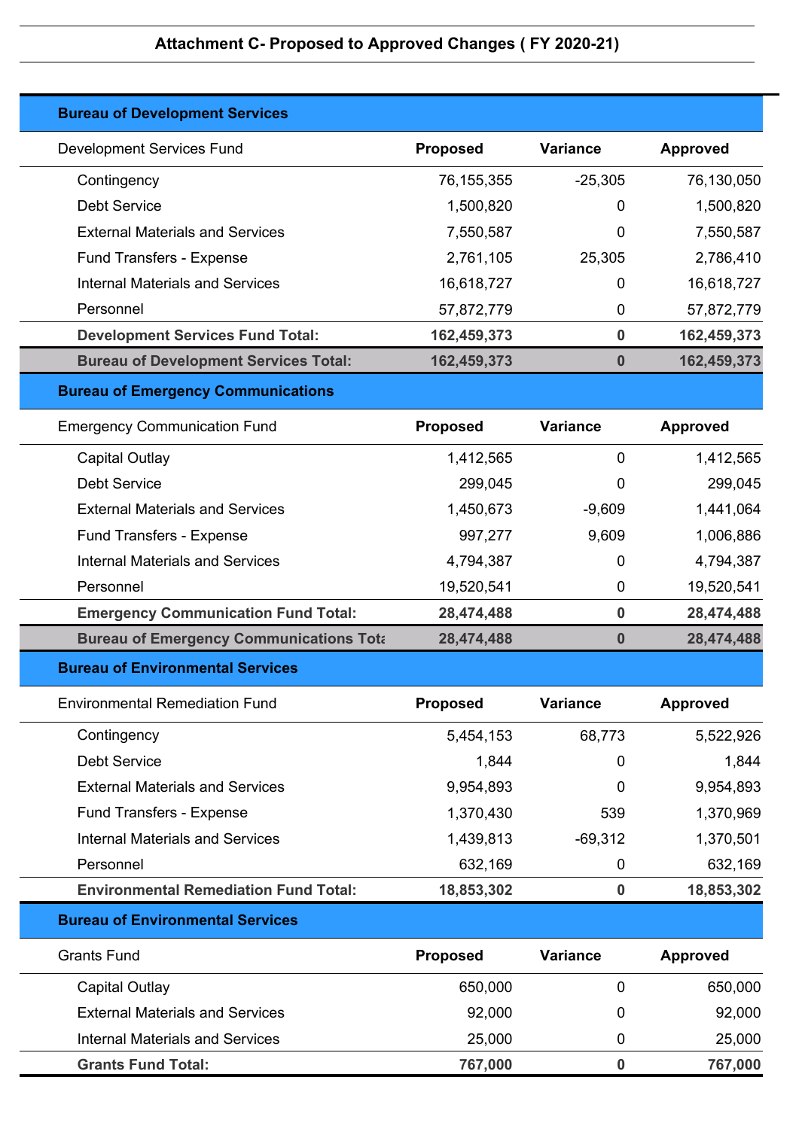| <b>Bureau of Development Services</b>          |                 |                  |                 |
|------------------------------------------------|-----------------|------------------|-----------------|
| <b>Development Services Fund</b>               | <b>Proposed</b> | <b>Variance</b>  | <b>Approved</b> |
| Contingency                                    | 76, 155, 355    | $-25,305$        | 76,130,050      |
| <b>Debt Service</b>                            | 1,500,820       | 0                | 1,500,820       |
| <b>External Materials and Services</b>         | 7,550,587       | 0                | 7,550,587       |
| <b>Fund Transfers - Expense</b>                | 2,761,105       | 25,305           | 2,786,410       |
| <b>Internal Materials and Services</b>         | 16,618,727      | 0                | 16,618,727      |
| Personnel                                      | 57,872,779      | 0                | 57,872,779      |
| <b>Development Services Fund Total:</b>        | 162,459,373     | $\bf{0}$         | 162,459,373     |
| <b>Bureau of Development Services Total:</b>   | 162,459,373     | $\bf{0}$         | 162,459,373     |
| <b>Bureau of Emergency Communications</b>      |                 |                  |                 |
| <b>Emergency Communication Fund</b>            | <b>Proposed</b> | <b>Variance</b>  | <b>Approved</b> |
| Capital Outlay                                 | 1,412,565       | 0                | 1,412,565       |
| <b>Debt Service</b>                            | 299,045         | 0                | 299,045         |
| <b>External Materials and Services</b>         | 1,450,673       | $-9,609$         | 1,441,064       |
| <b>Fund Transfers - Expense</b>                | 997,277         | 9,609            | 1,006,886       |
| <b>Internal Materials and Services</b>         | 4,794,387       | 0                | 4,794,387       |
| Personnel                                      | 19,520,541      | $\mathbf 0$      | 19,520,541      |
| <b>Emergency Communication Fund Total:</b>     | 28,474,488      | $\bf{0}$         | 28,474,488      |
| <b>Bureau of Emergency Communications Tota</b> | 28,474,488      | $\boldsymbol{0}$ | 28,474,488      |
| <b>Bureau of Environmental Services</b>        |                 |                  |                 |
| <b>Environmental Remediation Fund</b>          | <b>Proposed</b> | <b>Variance</b>  | <b>Approved</b> |
| Contingency                                    | 5,454,153       | 68,773           | 5,522,926       |
| <b>Debt Service</b>                            | 1,844           | 0                | 1,844           |
| <b>External Materials and Services</b>         | 9,954,893       | 0                | 9,954,893       |
| Fund Transfers - Expense                       | 1,370,430       | 539              | 1,370,969       |
| <b>Internal Materials and Services</b>         | 1,439,813       | $-69,312$        | 1,370,501       |
| Personnel                                      | 632,169         | $\mathbf 0$      | 632,169         |
| <b>Environmental Remediation Fund Total:</b>   | 18,853,302      | $\bf{0}$         | 18,853,302      |
| <b>Bureau of Environmental Services</b>        |                 |                  |                 |
| <b>Grants Fund</b>                             | <b>Proposed</b> | <b>Variance</b>  | <b>Approved</b> |
| Capital Outlay                                 | 650,000         | $\mathbf 0$      | 650,000         |
| <b>External Materials and Services</b>         | 92,000          | 0                | 92,000          |
| <b>Internal Materials and Services</b>         | 25,000          | $\mathbf 0$      | 25,000          |
| <b>Grants Fund Total:</b>                      | 767,000         | 0                | 767,000         |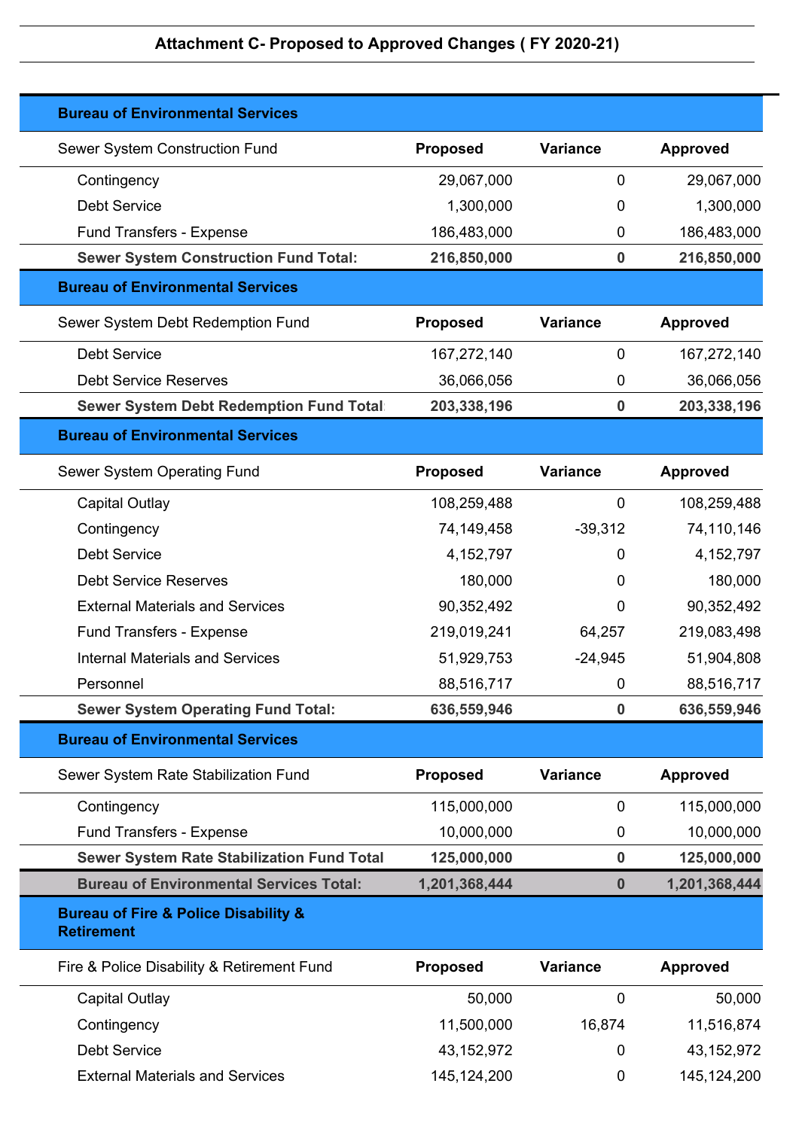| <b>Bureau of Environmental Services</b>                                  |                 |                  |                 |
|--------------------------------------------------------------------------|-----------------|------------------|-----------------|
| Sewer System Construction Fund                                           | <b>Proposed</b> | <b>Variance</b>  | <b>Approved</b> |
| Contingency                                                              | 29,067,000      | $\mathbf 0$      | 29,067,000      |
| <b>Debt Service</b>                                                      | 1,300,000       | 0                | 1,300,000       |
| <b>Fund Transfers - Expense</b>                                          | 186,483,000     | $\mathbf 0$      | 186,483,000     |
| <b>Sewer System Construction Fund Total:</b>                             | 216,850,000     | $\bf{0}$         | 216,850,000     |
| <b>Bureau of Environmental Services</b>                                  |                 |                  |                 |
| Sewer System Debt Redemption Fund                                        | <b>Proposed</b> | <b>Variance</b>  | <b>Approved</b> |
| <b>Debt Service</b>                                                      | 167,272,140     | $\mathbf 0$      | 167,272,140     |
| <b>Debt Service Reserves</b>                                             | 36,066,056      | $\mathbf 0$      | 36,066,056      |
| <b>Sewer System Debt Redemption Fund Total</b>                           | 203,338,196     | $\boldsymbol{0}$ | 203,338,196     |
| <b>Bureau of Environmental Services</b>                                  |                 |                  |                 |
| Sewer System Operating Fund                                              | <b>Proposed</b> | Variance         | <b>Approved</b> |
| <b>Capital Outlay</b>                                                    | 108,259,488     | $\mathbf 0$      | 108,259,488     |
| Contingency                                                              | 74,149,458      | $-39,312$        | 74,110,146      |
| <b>Debt Service</b>                                                      | 4, 152, 797     | 0                | 4, 152, 797     |
| <b>Debt Service Reserves</b>                                             | 180,000         | 0                | 180,000         |
| <b>External Materials and Services</b>                                   | 90,352,492      | 0                | 90,352,492      |
| Fund Transfers - Expense                                                 | 219,019,241     | 64,257           | 219,083,498     |
| <b>Internal Materials and Services</b>                                   | 51,929,753      | $-24,945$        | 51,904,808      |
| Personnel                                                                | 88,516,717      | 0                | 88,516,717      |
| <b>Sewer System Operating Fund Total:</b>                                | 636,559,946     | $\bf{0}$         | 636,559,946     |
| <b>Bureau of Environmental Services</b>                                  |                 |                  |                 |
| Sewer System Rate Stabilization Fund                                     | <b>Proposed</b> | <b>Variance</b>  | <b>Approved</b> |
| Contingency                                                              | 115,000,000     | $\mathbf 0$      | 115,000,000     |
| <b>Fund Transfers - Expense</b>                                          | 10,000,000      | 0                | 10,000,000      |
| <b>Sewer System Rate Stabilization Fund Total</b>                        | 125,000,000     | $\bf{0}$         | 125,000,000     |
| <b>Bureau of Environmental Services Total:</b>                           | 1,201,368,444   | $\bf{0}$         | 1,201,368,444   |
| <b>Bureau of Fire &amp; Police Disability &amp;</b><br><b>Retirement</b> |                 |                  |                 |
| Fire & Police Disability & Retirement Fund                               | <b>Proposed</b> | <b>Variance</b>  | <b>Approved</b> |
| <b>Capital Outlay</b>                                                    | 50,000          | 0                | 50,000          |
| Contingency                                                              | 11,500,000      | 16,874           | 11,516,874      |
| <b>Debt Service</b>                                                      | 43, 152, 972    | 0                | 43,152,972      |
| <b>External Materials and Services</b>                                   | 145, 124, 200   | $\mathbf 0$      | 145, 124, 200   |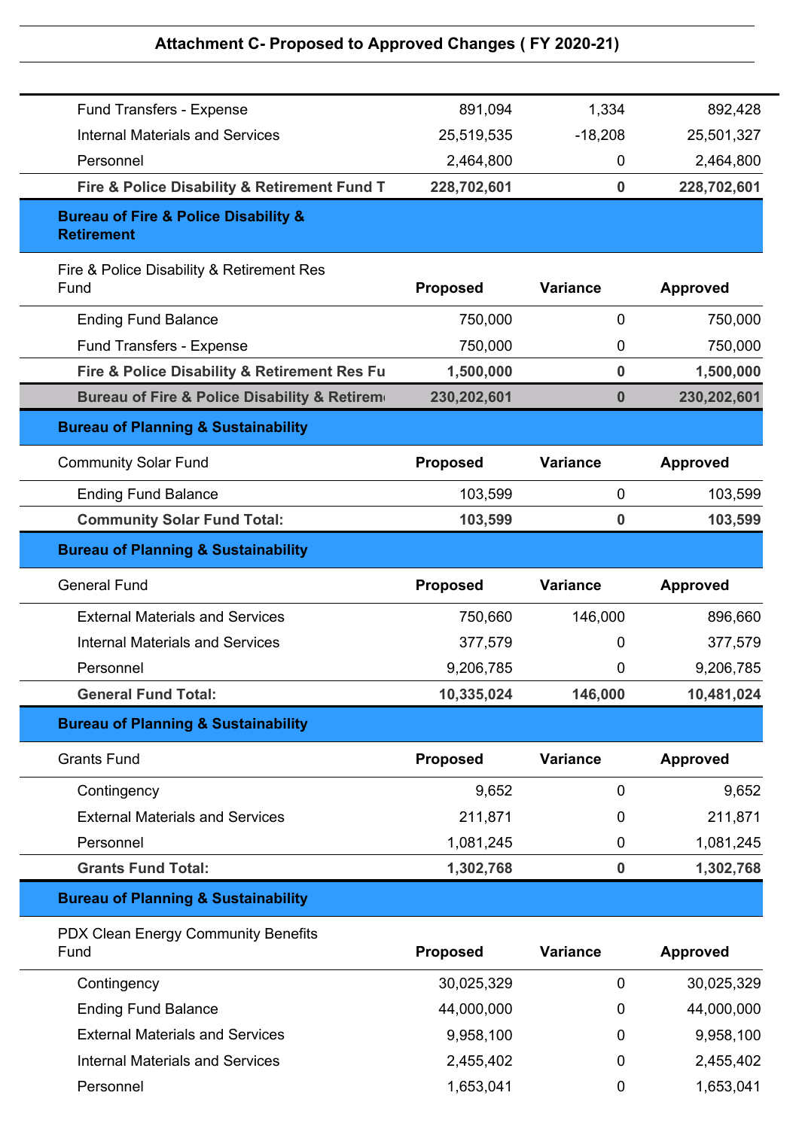| Fund Transfers - Expense                                                 | 891,094         | 1,334           | 892,428         |
|--------------------------------------------------------------------------|-----------------|-----------------|-----------------|
| <b>Internal Materials and Services</b>                                   | 25,519,535      | $-18,208$       | 25,501,327      |
| Personnel                                                                | 2,464,800       | 0               | 2,464,800       |
| Fire & Police Disability & Retirement Fund T                             | 228,702,601     | $\bf{0}$        | 228,702,601     |
| <b>Bureau of Fire &amp; Police Disability &amp;</b><br><b>Retirement</b> |                 |                 |                 |
| Fire & Police Disability & Retirement Res<br>Fund                        | <b>Proposed</b> | <b>Variance</b> | <b>Approved</b> |
| <b>Ending Fund Balance</b>                                               | 750,000         | 0               | 750,000         |
| Fund Transfers - Expense                                                 | 750,000         | 0               | 750,000         |
| Fire & Police Disability & Retirement Res Fu                             | 1,500,000       | $\bf{0}$        | 1,500,000       |
| Bureau of Fire & Police Disability & Retirem                             | 230,202,601     | 0               | 230,202,601     |
| <b>Bureau of Planning &amp; Sustainability</b>                           |                 |                 |                 |
| <b>Community Solar Fund</b>                                              | <b>Proposed</b> | <b>Variance</b> | <b>Approved</b> |
| <b>Ending Fund Balance</b>                                               | 103,599         | $\mathbf 0$     | 103,599         |
| <b>Community Solar Fund Total:</b>                                       | 103,599         | $\bf{0}$        | 103,599         |
| <b>Bureau of Planning &amp; Sustainability</b>                           |                 |                 |                 |
| <b>General Fund</b>                                                      | <b>Proposed</b> | <b>Variance</b> | <b>Approved</b> |
| <b>External Materials and Services</b>                                   | 750,660         | 146,000         | 896,660         |
| <b>Internal Materials and Services</b>                                   | 377,579         | 0               | 377,579         |
| Personnel                                                                | 9,206,785       | 0               | 9,206,785       |
| <b>General Fund Total:</b>                                               | 10,335,024      | 146,000         | 10,481,024      |
| <b>Bureau of Planning &amp; Sustainability</b>                           |                 |                 |                 |
| <b>Grants Fund</b>                                                       | <b>Proposed</b> | <b>Variance</b> | <b>Approved</b> |
| Contingency                                                              | 9,652           | $\mathbf 0$     | 9,652           |
| <b>External Materials and Services</b>                                   | 211,871         | 0               | 211,871         |
| Personnel                                                                | 1,081,245       | $\mathbf 0$     | 1,081,245       |
| <b>Grants Fund Total:</b>                                                | 1,302,768       | $\pmb{0}$       | 1,302,768       |
| <b>Bureau of Planning &amp; Sustainability</b>                           |                 |                 |                 |
| PDX Clean Energy Community Benefits<br>Fund                              | <b>Proposed</b> | <b>Variance</b> | <b>Approved</b> |
| Contingency                                                              | 30,025,329      | $\mathbf 0$     | 30,025,329      |
| <b>Ending Fund Balance</b>                                               | 44,000,000      | 0               | 44,000,000      |
| <b>External Materials and Services</b>                                   | 9,958,100       | 0               | 9,958,100       |
| <b>Internal Materials and Services</b>                                   | 2,455,402       | 0               | 2,455,402       |
| Personnel                                                                | 1,653,041       | 0               | 1,653,041       |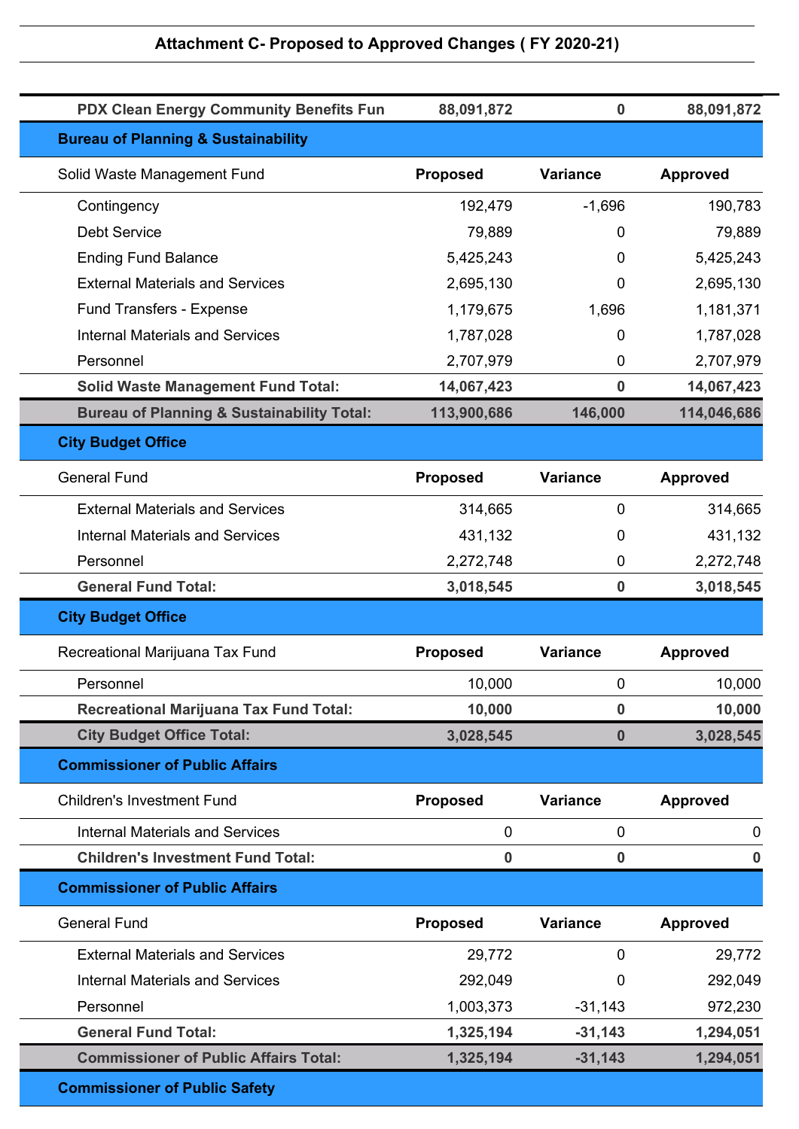| <b>PDX Clean Energy Community Benefits Fun</b>        | 88,091,872      | $\bf{0}$         | 88,091,872      |
|-------------------------------------------------------|-----------------|------------------|-----------------|
| <b>Bureau of Planning &amp; Sustainability</b>        |                 |                  |                 |
| Solid Waste Management Fund                           | <b>Proposed</b> | <b>Variance</b>  | <b>Approved</b> |
| Contingency                                           | 192,479         | $-1,696$         | 190,783         |
| <b>Debt Service</b>                                   | 79,889          | 0                | 79,889          |
| <b>Ending Fund Balance</b>                            | 5,425,243       | 0                | 5,425,243       |
| <b>External Materials and Services</b>                | 2,695,130       | 0                | 2,695,130       |
| Fund Transfers - Expense                              | 1,179,675       | 1,696            | 1,181,371       |
| <b>Internal Materials and Services</b>                | 1,787,028       | 0                | 1,787,028       |
| Personnel                                             | 2,707,979       | $\mathbf 0$      | 2,707,979       |
| <b>Solid Waste Management Fund Total:</b>             | 14,067,423      | 0                | 14,067,423      |
| <b>Bureau of Planning &amp; Sustainability Total:</b> | 113,900,686     | 146,000          | 114,046,686     |
| <b>City Budget Office</b>                             |                 |                  |                 |
| <b>General Fund</b>                                   | <b>Proposed</b> | Variance         | <b>Approved</b> |
| <b>External Materials and Services</b>                | 314,665         | $\mathbf 0$      | 314,665         |
| <b>Internal Materials and Services</b>                | 431,132         | 0                | 431,132         |
| Personnel                                             | 2,272,748       | $\mathbf 0$      | 2,272,748       |
| <b>General Fund Total:</b>                            | 3,018,545       | 0                | 3,018,545       |
| <b>City Budget Office</b>                             |                 |                  |                 |
| Recreational Marijuana Tax Fund                       | <b>Proposed</b> | <b>Variance</b>  | <b>Approved</b> |
| Personnel                                             | 10,000          | 0                | 10,000          |
| <b>Recreational Marijuana Tax Fund Total:</b>         | 10,000          | $\bf{0}$         | 10,000          |
| <b>City Budget Office Total:</b>                      | 3,028,545       | $\boldsymbol{0}$ | 3,028,545       |
| <b>Commissioner of Public Affairs</b>                 |                 |                  |                 |
| <b>Children's Investment Fund</b>                     | <b>Proposed</b> | <b>Variance</b>  | <b>Approved</b> |
| <b>Internal Materials and Services</b>                | 0               | 0                | $\mathbf 0$     |
| <b>Children's Investment Fund Total:</b>              | 0               | 0                | $\bf{0}$        |
| <b>Commissioner of Public Affairs</b>                 |                 |                  |                 |
| <b>General Fund</b>                                   | <b>Proposed</b> | <b>Variance</b>  | <b>Approved</b> |
| <b>External Materials and Services</b>                | 29,772          | 0                | 29,772          |
| <b>Internal Materials and Services</b>                | 292,049         | 0                | 292,049         |
| Personnel                                             | 1,003,373       | $-31,143$        | 972,230         |
| <b>General Fund Total:</b>                            | 1,325,194       | $-31,143$        | 1,294,051       |
| <b>Commissioner of Public Affairs Total:</b>          | 1,325,194       | $-31,143$        | 1,294,051       |
| <b>Commissioner of Public Safety</b>                  |                 |                  |                 |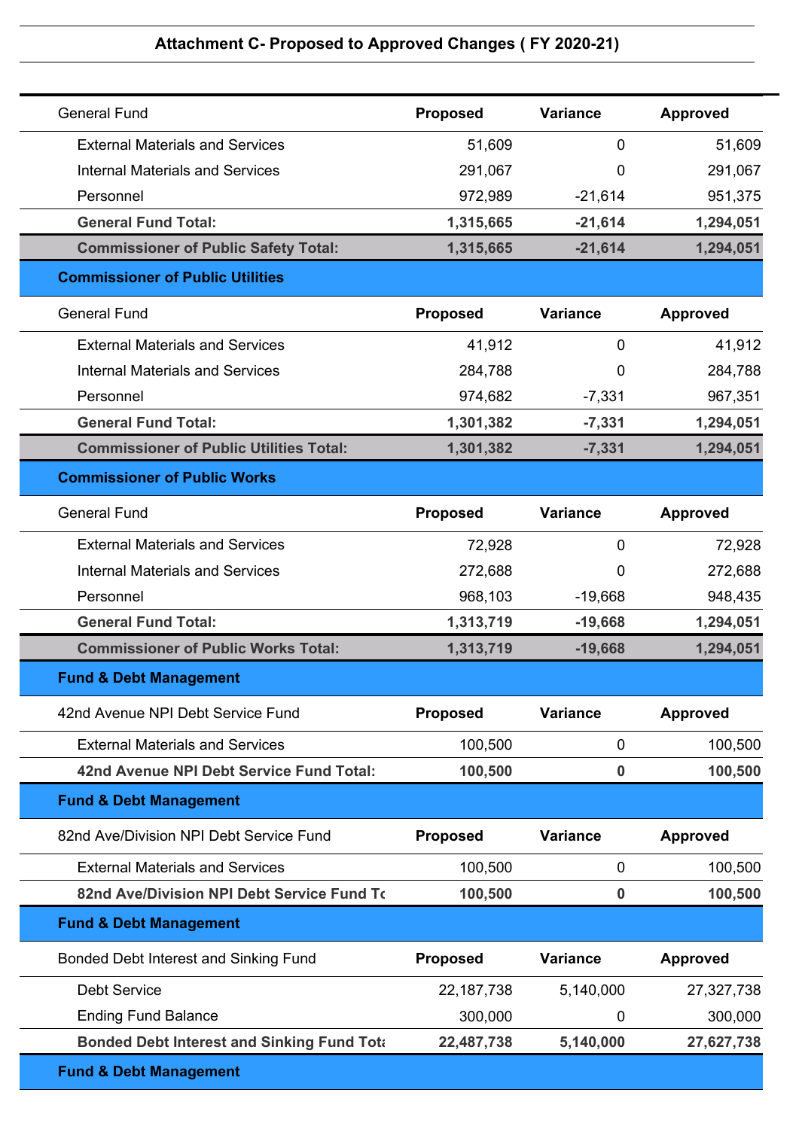| <b>General Fund</b>                               | <b>Proposed</b> | <b>Variance</b>  | <b>Approved</b> |
|---------------------------------------------------|-----------------|------------------|-----------------|
| <b>External Materials and Services</b>            | 51,609          | 0                | 51,609          |
| <b>Internal Materials and Services</b>            | 291,067         | 0                | 291,067         |
| Personnel                                         | 972,989         | $-21,614$        | 951,375         |
| <b>General Fund Total:</b>                        | 1,315,665       | $-21,614$        | 1,294,051       |
| <b>Commissioner of Public Safety Total:</b>       | 1,315,665       | $-21,614$        | 1,294,051       |
| <b>Commissioner of Public Utilities</b>           |                 |                  |                 |
| <b>General Fund</b>                               | <b>Proposed</b> | <b>Variance</b>  | <b>Approved</b> |
| <b>External Materials and Services</b>            | 41,912          | 0                | 41,912          |
| <b>Internal Materials and Services</b>            | 284,788         | 0                | 284,788         |
| Personnel                                         | 974,682         | $-7,331$         | 967,351         |
| <b>General Fund Total:</b>                        | 1,301,382       | $-7,331$         | 1,294,051       |
| <b>Commissioner of Public Utilities Total:</b>    | 1,301,382       | $-7,331$         | 1,294,051       |
| <b>Commissioner of Public Works</b>               |                 |                  |                 |
| <b>General Fund</b>                               | <b>Proposed</b> | <b>Variance</b>  | <b>Approved</b> |
| <b>External Materials and Services</b>            | 72,928          | 0                | 72,928          |
| <b>Internal Materials and Services</b>            | 272,688         | 0                | 272,688         |
| Personnel                                         | 968,103         | $-19,668$        | 948,435         |
| <b>General Fund Total:</b>                        | 1,313,719       | $-19,668$        | 1,294,051       |
| <b>Commissioner of Public Works Total:</b>        | 1,313,719       | $-19,668$        | 1,294,051       |
| <b>Fund &amp; Debt Management</b>                 |                 |                  |                 |
| 42nd Avenue NPI Debt Service Fund                 | <b>Proposed</b> | <b>Variance</b>  | <b>Approved</b> |
| <b>External Materials and Services</b>            | 100,500         | $\mathbf 0$      | 100,500         |
| 42nd Avenue NPI Debt Service Fund Total:          | 100,500         | $\boldsymbol{0}$ | 100,500         |
| <b>Fund &amp; Debt Management</b>                 |                 |                  |                 |
| 82nd Ave/Division NPI Debt Service Fund           | <b>Proposed</b> | <b>Variance</b>  | <b>Approved</b> |
| <b>External Materials and Services</b>            | 100,500         | 0                | 100,500         |
| 82nd Ave/Division NPI Debt Service Fund To        | 100,500         | $\bf{0}$         | 100,500         |
| <b>Fund &amp; Debt Management</b>                 |                 |                  |                 |
| Bonded Debt Interest and Sinking Fund             | Proposed        | <b>Variance</b>  | <b>Approved</b> |
| <b>Debt Service</b>                               | 22, 187, 738    | 5,140,000        | 27,327,738      |
| <b>Ending Fund Balance</b>                        | 300,000         | 0                | 300,000         |
| <b>Bonded Debt Interest and Sinking Fund Tota</b> | 22,487,738      | 5,140,000        | 27,627,738      |
|                                                   |                 |                  |                 |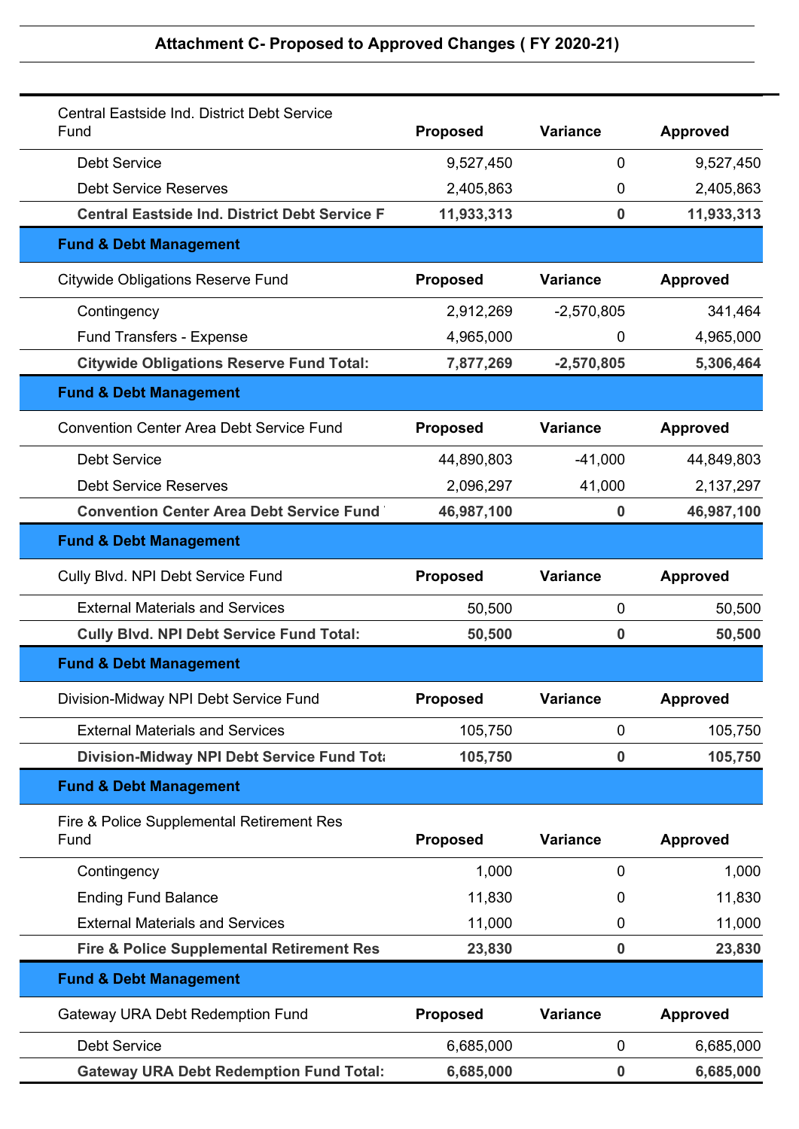| Central Eastside Ind. District Debt Service<br>Fund  | Proposed        | <b>Variance</b>  | <b>Approved</b> |
|------------------------------------------------------|-----------------|------------------|-----------------|
| <b>Debt Service</b>                                  | 9,527,450       | 0                | 9,527,450       |
| <b>Debt Service Reserves</b>                         | 2,405,863       | 0                | 2,405,863       |
| <b>Central Eastside Ind. District Debt Service F</b> | 11,933,313      | $\bf{0}$         | 11,933,313      |
| <b>Fund &amp; Debt Management</b>                    |                 |                  |                 |
| <b>Citywide Obligations Reserve Fund</b>             | <b>Proposed</b> | <b>Variance</b>  | <b>Approved</b> |
| Contingency                                          | 2,912,269       | $-2,570,805$     | 341,464         |
| <b>Fund Transfers - Expense</b>                      | 4,965,000       | 0                | 4,965,000       |
| <b>Citywide Obligations Reserve Fund Total:</b>      | 7,877,269       | $-2,570,805$     | 5,306,464       |
| <b>Fund &amp; Debt Management</b>                    |                 |                  |                 |
| <b>Convention Center Area Debt Service Fund</b>      | <b>Proposed</b> | <b>Variance</b>  | <b>Approved</b> |
| <b>Debt Service</b>                                  | 44,890,803      | $-41,000$        | 44,849,803      |
| <b>Debt Service Reserves</b>                         | 2,096,297       | 41,000           | 2,137,297       |
| <b>Convention Center Area Debt Service Fund</b>      | 46,987,100      | $\boldsymbol{0}$ | 46,987,100      |
| <b>Fund &amp; Debt Management</b>                    |                 |                  |                 |
| Cully Blvd. NPI Debt Service Fund                    | <b>Proposed</b> | <b>Variance</b>  | <b>Approved</b> |
| <b>External Materials and Services</b>               | 50,500          | 0                | 50,500          |
| <b>Cully Blvd. NPI Debt Service Fund Total:</b>      | 50,500          | 0                | 50,500          |
| <b>Fund &amp; Debt Management</b>                    |                 |                  |                 |
| Division-Midway NPI Debt Service Fund                | <b>Proposed</b> | Variance         | <b>Approved</b> |
| <b>External Materials and Services</b>               | 105,750         | 0                | 105,750         |
| Division-Midway NPI Debt Service Fund Tota           | 105,750         | $\bf{0}$         | 105,750         |
| <b>Fund &amp; Debt Management</b>                    |                 |                  |                 |
| Fire & Police Supplemental Retirement Res<br>Fund    | <b>Proposed</b> | <b>Variance</b>  | <b>Approved</b> |
| Contingency                                          | 1,000           | 0                | 1,000           |
| <b>Ending Fund Balance</b>                           | 11,830          | 0                | 11,830          |
| <b>External Materials and Services</b>               | 11,000          | 0                | 11,000          |
| <b>Fire &amp; Police Supplemental Retirement Res</b> | 23,830          | $\boldsymbol{0}$ | 23,830          |
| <b>Fund &amp; Debt Management</b>                    |                 |                  |                 |
| Gateway URA Debt Redemption Fund                     | Proposed        | <b>Variance</b>  | <b>Approved</b> |
| <b>Debt Service</b>                                  | 6,685,000       | 0                | 6,685,000       |
| <b>Gateway URA Debt Redemption Fund Total:</b>       | 6,685,000       | 0                | 6,685,000       |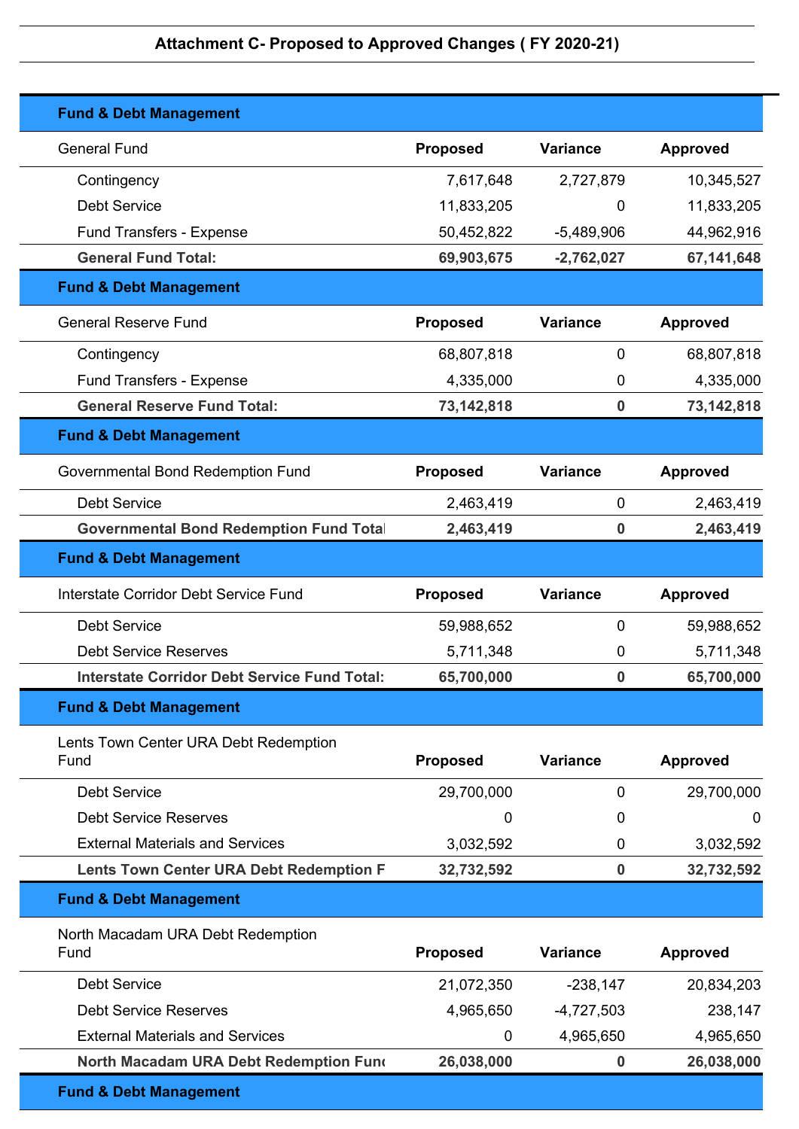| <b>Fund &amp; Debt Management</b>                   |                 |                  |                 |
|-----------------------------------------------------|-----------------|------------------|-----------------|
| <b>General Fund</b>                                 | <b>Proposed</b> | <b>Variance</b>  | <b>Approved</b> |
| Contingency                                         | 7,617,648       | 2,727,879        | 10,345,527      |
| <b>Debt Service</b>                                 | 11,833,205      | 0                | 11,833,205      |
| <b>Fund Transfers - Expense</b>                     | 50,452,822      | $-5,489,906$     | 44,962,916      |
| <b>General Fund Total:</b>                          | 69,903,675      | $-2,762,027$     | 67,141,648      |
| <b>Fund &amp; Debt Management</b>                   |                 |                  |                 |
| <b>General Reserve Fund</b>                         | <b>Proposed</b> | <b>Variance</b>  | <b>Approved</b> |
| Contingency                                         | 68,807,818      | $\mathbf 0$      | 68,807,818      |
| Fund Transfers - Expense                            | 4,335,000       | 0                | 4,335,000       |
| <b>General Reserve Fund Total:</b>                  | 73,142,818      | $\bf{0}$         | 73,142,818      |
| <b>Fund &amp; Debt Management</b>                   |                 |                  |                 |
| Governmental Bond Redemption Fund                   | <b>Proposed</b> | Variance         | <b>Approved</b> |
| <b>Debt Service</b>                                 | 2,463,419       | $\mathbf 0$      | 2,463,419       |
| <b>Governmental Bond Redemption Fund Total</b>      | 2,463,419       | 0                | 2,463,419       |
| <b>Fund &amp; Debt Management</b>                   |                 |                  |                 |
| Interstate Corridor Debt Service Fund               | <b>Proposed</b> | <b>Variance</b>  | <b>Approved</b> |
| <b>Debt Service</b>                                 | 59,988,652      | $\mathbf 0$      | 59,988,652      |
| <b>Debt Service Reserves</b>                        | 5,711,348       | 0                | 5,711,348       |
| <b>Interstate Corridor Debt Service Fund Total:</b> | 65,700,000      | $\bf{0}$         | 65,700,000      |
| <b>Fund &amp; Debt Management</b>                   |                 |                  |                 |
| Lents Town Center URA Debt Redemption<br>Fund       | <b>Proposed</b> | <b>Variance</b>  | <b>Approved</b> |
| <b>Debt Service</b>                                 | 29,700,000      | 0                | 29,700,000      |
| <b>Debt Service Reserves</b>                        | 0               | 0                | 0               |
| <b>External Materials and Services</b>              | 3,032,592       | 0                | 3,032,592       |
| <b>Lents Town Center URA Debt Redemption F</b>      | 32,732,592      | $\bf{0}$         | 32,732,592      |
| <b>Fund &amp; Debt Management</b>                   |                 |                  |                 |
| North Macadam URA Debt Redemption<br>Fund           | <b>Proposed</b> | <b>Variance</b>  | <b>Approved</b> |
| <b>Debt Service</b>                                 | 21,072,350      | $-238,147$       | 20,834,203      |
| <b>Debt Service Reserves</b>                        | 4,965,650       | $-4,727,503$     | 238,147         |
| <b>External Materials and Services</b>              | $\mathbf 0$     | 4,965,650        | 4,965,650       |
| North Macadam URA Debt Redemption Fund              | 26,038,000      | $\boldsymbol{0}$ | 26,038,000      |
| <b>Fund &amp; Debt Management</b>                   |                 |                  |                 |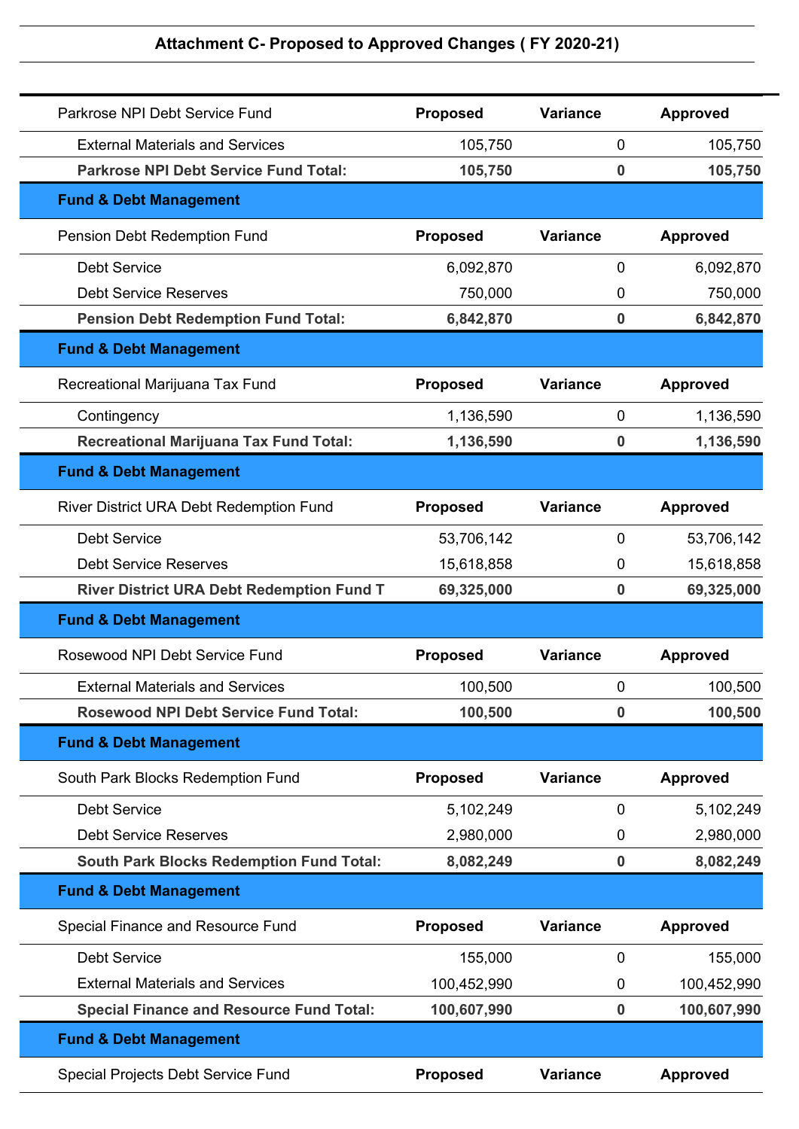| Parkrose NPI Debt Service Fund                   | <b>Proposed</b> | <b>Variance</b>  | <b>Approved</b> |
|--------------------------------------------------|-----------------|------------------|-----------------|
| <b>External Materials and Services</b>           | 105,750         | $\mathbf 0$      | 105,750         |
| <b>Parkrose NPI Debt Service Fund Total:</b>     | 105,750         | $\bf{0}$         | 105,750         |
| <b>Fund &amp; Debt Management</b>                |                 |                  |                 |
| Pension Debt Redemption Fund                     | <b>Proposed</b> | <b>Variance</b>  | <b>Approved</b> |
| <b>Debt Service</b>                              | 6,092,870       | 0                | 6,092,870       |
| <b>Debt Service Reserves</b>                     | 750,000         | 0                | 750,000         |
| <b>Pension Debt Redemption Fund Total:</b>       | 6,842,870       | $\boldsymbol{0}$ | 6,842,870       |
| <b>Fund &amp; Debt Management</b>                |                 |                  |                 |
| Recreational Marijuana Tax Fund                  | <b>Proposed</b> | <b>Variance</b>  | <b>Approved</b> |
| Contingency                                      | 1,136,590       | $\mathbf 0$      | 1,136,590       |
| <b>Recreational Marijuana Tax Fund Total:</b>    | 1,136,590       | $\bf{0}$         | 1,136,590       |
| <b>Fund &amp; Debt Management</b>                |                 |                  |                 |
| River District URA Debt Redemption Fund          | Proposed        | <b>Variance</b>  | <b>Approved</b> |
| <b>Debt Service</b>                              | 53,706,142      | $\mathbf 0$      | 53,706,142      |
| <b>Debt Service Reserves</b>                     | 15,618,858      | 0                | 15,618,858      |
| <b>River District URA Debt Redemption Fund T</b> | 69,325,000      | $\bf{0}$         | 69,325,000      |
| <b>Fund &amp; Debt Management</b>                |                 |                  |                 |
| Rosewood NPI Debt Service Fund                   | <b>Proposed</b> | <b>Variance</b>  | <b>Approved</b> |
| <b>External Materials and Services</b>           | 100,500         | 0                | 100,500         |
| <b>Rosewood NPI Debt Service Fund Total:</b>     | 100,500         | $\boldsymbol{0}$ | 100,500         |
| <b>Fund &amp; Debt Management</b>                |                 |                  |                 |
| South Park Blocks Redemption Fund                | <b>Proposed</b> | <b>Variance</b>  | <b>Approved</b> |
| <b>Debt Service</b>                              | 5,102,249       | $\mathbf 0$      | 5,102,249       |
| <b>Debt Service Reserves</b>                     | 2,980,000       | 0                | 2,980,000       |
| <b>South Park Blocks Redemption Fund Total:</b>  | 8,082,249       | $\boldsymbol{0}$ | 8,082,249       |
| <b>Fund &amp; Debt Management</b>                |                 |                  |                 |
| Special Finance and Resource Fund                | <b>Proposed</b> | <b>Variance</b>  | <b>Approved</b> |
| <b>Debt Service</b>                              | 155,000         | 0                | 155,000         |
| <b>External Materials and Services</b>           | 100,452,990     | $\mathbf 0$      | 100,452,990     |
| <b>Special Finance and Resource Fund Total:</b>  | 100,607,990     | $\bf{0}$         | 100,607,990     |
| <b>Fund &amp; Debt Management</b>                |                 |                  |                 |
| Special Projects Debt Service Fund               | <b>Proposed</b> | <b>Variance</b>  | <b>Approved</b> |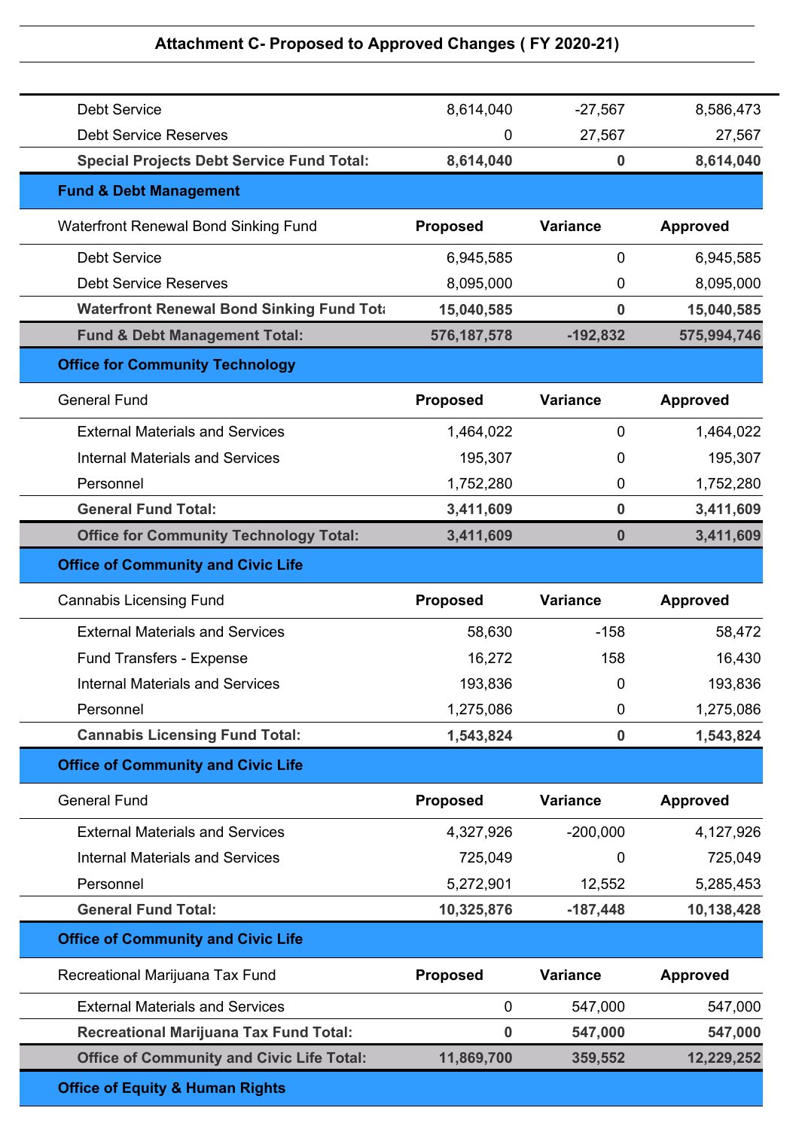| <b>Debt Service</b>                               | 8,614,040       | $-27,567$        | 8,586,473       |
|---------------------------------------------------|-----------------|------------------|-----------------|
| <b>Debt Service Reserves</b>                      | $\Omega$        | 27,567           | 27,567          |
| <b>Special Projects Debt Service Fund Total:</b>  | 8,614,040       | $\bf{0}$         | 8,614,040       |
| <b>Fund &amp; Debt Management</b>                 |                 |                  |                 |
| Waterfront Renewal Bond Sinking Fund              | <b>Proposed</b> | <b>Variance</b>  | <b>Approved</b> |
| <b>Debt Service</b>                               | 6,945,585       | $\mathbf 0$      | 6,945,585       |
| <b>Debt Service Reserves</b>                      | 8,095,000       | 0                | 8,095,000       |
| <b>Waterfront Renewal Bond Sinking Fund Total</b> | 15,040,585      | 0                | 15,040,585      |
| <b>Fund &amp; Debt Management Total:</b>          | 576, 187, 578   | $-192,832$       | 575,994,746     |
| <b>Office for Community Technology</b>            |                 |                  |                 |
| <b>General Fund</b>                               | <b>Proposed</b> | <b>Variance</b>  | <b>Approved</b> |
| <b>External Materials and Services</b>            | 1,464,022       | 0                | 1,464,022       |
| <b>Internal Materials and Services</b>            | 195,307         | 0                | 195,307         |
| Personnel                                         | 1,752,280       | $\mathbf 0$      | 1,752,280       |
| <b>General Fund Total:</b>                        | 3,411,609       | $\bf{0}$         | 3,411,609       |
| <b>Office for Community Technology Total:</b>     | 3,411,609       | $\boldsymbol{0}$ | 3,411,609       |
| <b>Office of Community and Civic Life</b>         |                 |                  |                 |
|                                                   |                 |                  |                 |
| <b>Cannabis Licensing Fund</b>                    | <b>Proposed</b> | <b>Variance</b>  | <b>Approved</b> |
| <b>External Materials and Services</b>            | 58,630          | $-158$           | 58,472          |
| <b>Fund Transfers - Expense</b>                   | 16,272          | 158              | 16,430          |
| <b>Internal Materials and Services</b>            | 193,836         | 0                | 193,836         |
| Personnel                                         | 1,275,086       | $\pmb{0}$        | 1,275,086       |
| <b>Cannabis Licensing Fund Total:</b>             | 1,543,824       | $\pmb{0}$        | 1,543,824       |
| <b>Office of Community and Civic Life</b>         |                 |                  |                 |
| <b>General Fund</b>                               | <b>Proposed</b> | <b>Variance</b>  | <b>Approved</b> |
| <b>External Materials and Services</b>            | 4,327,926       | $-200,000$       | 4,127,926       |
| <b>Internal Materials and Services</b>            | 725,049         | 0                | 725,049         |
| Personnel                                         | 5,272,901       | 12,552           | 5,285,453       |
| <b>General Fund Total:</b>                        | 10,325,876      | $-187,448$       | 10,138,428      |
| <b>Office of Community and Civic Life</b>         |                 |                  |                 |
| Recreational Marijuana Tax Fund                   | <b>Proposed</b> | <b>Variance</b>  | <b>Approved</b> |
| <b>External Materials and Services</b>            | $\mathbf 0$     | 547,000          | 547,000         |
| <b>Recreational Marijuana Tax Fund Total:</b>     | $\bf{0}$        | 547,000          | 547,000         |
| <b>Office of Community and Civic Life Total:</b>  | 11,869,700      | 359,552          | 12,229,252      |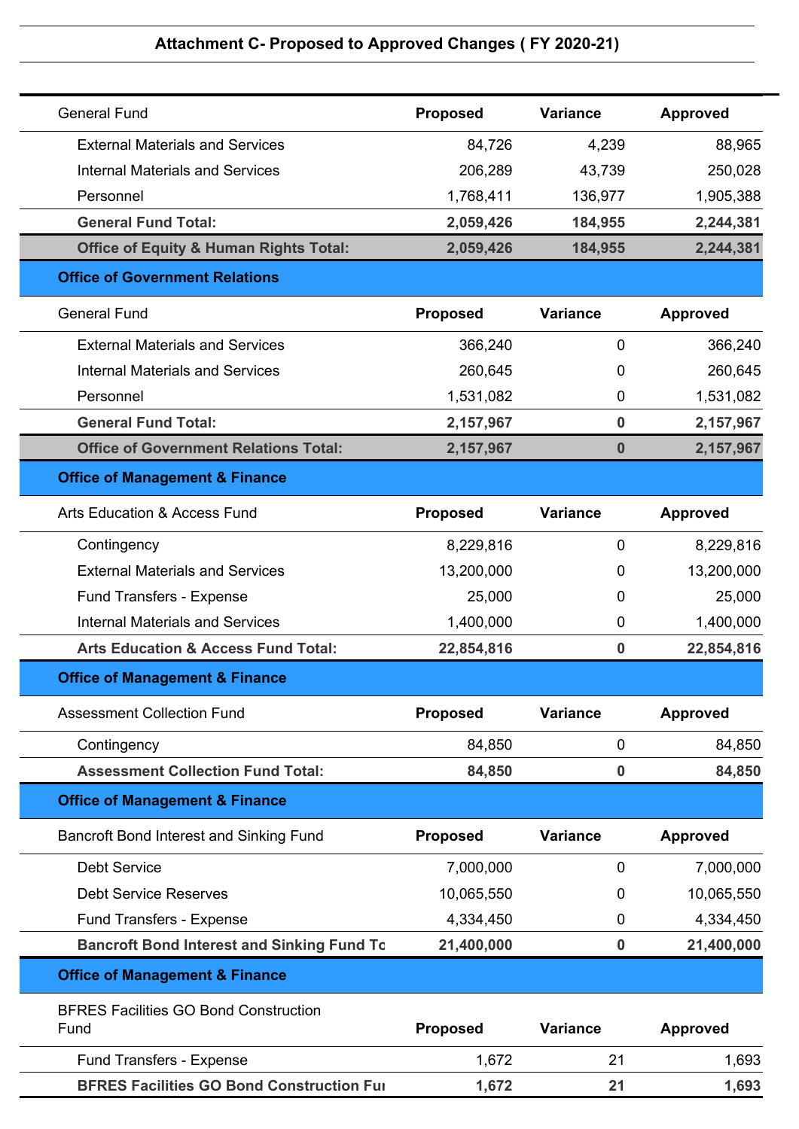| <b>General Fund</b>                                  | <b>Proposed</b> | <b>Variance</b>  | <b>Approved</b> |
|------------------------------------------------------|-----------------|------------------|-----------------|
| <b>External Materials and Services</b>               | 84,726          | 4,239            | 88,965          |
| <b>Internal Materials and Services</b>               | 206,289         | 43,739           | 250,028         |
| Personnel                                            | 1,768,411       | 136,977          | 1,905,388       |
| <b>General Fund Total:</b>                           | 2,059,426       | 184,955          | 2,244,381       |
| <b>Office of Equity &amp; Human Rights Total:</b>    | 2,059,426       | 184,955          | 2,244,381       |
| <b>Office of Government Relations</b>                |                 |                  |                 |
| <b>General Fund</b>                                  | <b>Proposed</b> | <b>Variance</b>  | <b>Approved</b> |
| <b>External Materials and Services</b>               | 366,240         | $\mathbf 0$      | 366,240         |
| <b>Internal Materials and Services</b>               | 260,645         | 0                | 260,645         |
| Personnel                                            | 1,531,082       | $\mathbf 0$      | 1,531,082       |
| <b>General Fund Total:</b>                           | 2,157,967       | $\bf{0}$         | 2,157,967       |
| <b>Office of Government Relations Total:</b>         | 2,157,967       | $\boldsymbol{0}$ | 2,157,967       |
| <b>Office of Management &amp; Finance</b>            |                 |                  |                 |
| <b>Arts Education &amp; Access Fund</b>              | <b>Proposed</b> | <b>Variance</b>  | <b>Approved</b> |
| Contingency                                          | 8,229,816       | 0                | 8,229,816       |
| <b>External Materials and Services</b>               | 13,200,000      | 0                | 13,200,000      |
| Fund Transfers - Expense                             | 25,000          | 0                | 25,000          |
| <b>Internal Materials and Services</b>               | 1,400,000       | 0                | 1,400,000       |
| <b>Arts Education &amp; Access Fund Total:</b>       | 22,854,816      | $\bf{0}$         | 22,854,816      |
| <b>Office of Management &amp; Finance</b>            |                 |                  |                 |
| <b>Assessment Collection Fund</b>                    | <b>Proposed</b> | <b>Variance</b>  | <b>Approved</b> |
| Contingency                                          | 84,850          | $\mathbf 0$      | 84,850          |
| <b>Assessment Collection Fund Total:</b>             | 84,850          | $\bf{0}$         | 84,850          |
| <b>Office of Management &amp; Finance</b>            |                 |                  |                 |
| Bancroft Bond Interest and Sinking Fund              | <b>Proposed</b> | <b>Variance</b>  | <b>Approved</b> |
| <b>Debt Service</b>                                  | 7,000,000       | 0                | 7,000,000       |
| <b>Debt Service Reserves</b>                         | 10,065,550      | 0                | 10,065,550      |
| Fund Transfers - Expense                             | 4,334,450       | 0                | 4,334,450       |
| <b>Bancroft Bond Interest and Sinking Fund To</b>    | 21,400,000      | $\bf{0}$         | 21,400,000      |
| <b>Office of Management &amp; Finance</b>            |                 |                  |                 |
| <b>BFRES Facilities GO Bond Construction</b><br>Fund | <b>Proposed</b> | <b>Variance</b>  | <b>Approved</b> |
| Fund Transfers - Expense                             | 1,672           | 21               | 1,693           |
| <b>BFRES Facilities GO Bond Construction Full</b>    | 1,672           | 21               | 1,693           |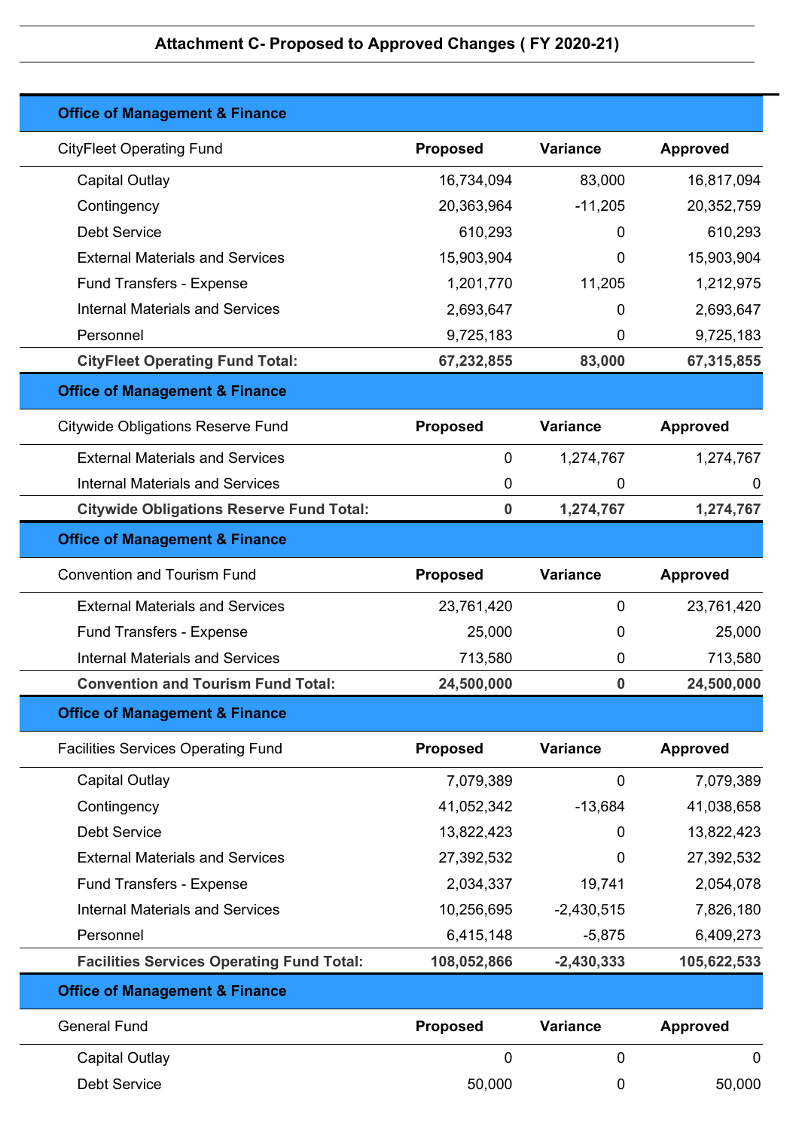| <b>Office of Management &amp; Finance</b>        |                 |                 |                 |
|--------------------------------------------------|-----------------|-----------------|-----------------|
| <b>CityFleet Operating Fund</b>                  | <b>Proposed</b> | <b>Variance</b> | <b>Approved</b> |
| <b>Capital Outlay</b>                            | 16,734,094      | 83,000          | 16,817,094      |
| Contingency                                      | 20,363,964      | $-11,205$       | 20,352,759      |
| <b>Debt Service</b>                              | 610,293         | 0               | 610,293         |
| <b>External Materials and Services</b>           | 15,903,904      | 0               | 15,903,904      |
| Fund Transfers - Expense                         | 1,201,770       | 11,205          | 1,212,975       |
| <b>Internal Materials and Services</b>           | 2,693,647       | 0               | 2,693,647       |
| Personnel                                        | 9,725,183       | 0               | 9,725,183       |
| <b>CityFleet Operating Fund Total:</b>           | 67,232,855      | 83,000          | 67,315,855      |
| <b>Office of Management &amp; Finance</b>        |                 |                 |                 |
| <b>Citywide Obligations Reserve Fund</b>         | <b>Proposed</b> | <b>Variance</b> | <b>Approved</b> |
| <b>External Materials and Services</b>           | 0               | 1,274,767       | 1,274,767       |
| <b>Internal Materials and Services</b>           | 0               | 0               | 0               |
| <b>Citywide Obligations Reserve Fund Total:</b>  | $\mathbf 0$     | 1,274,767       | 1,274,767       |
| <b>Office of Management &amp; Finance</b>        |                 |                 |                 |
| <b>Convention and Tourism Fund</b>               | <b>Proposed</b> | <b>Variance</b> | <b>Approved</b> |
| <b>External Materials and Services</b>           | 23,761,420      | 0               | 23,761,420      |
| Fund Transfers - Expense                         | 25,000          | 0               | 25,000          |
| <b>Internal Materials and Services</b>           | 713,580         | 0               | 713,580         |
| <b>Convention and Tourism Fund Total:</b>        | 24,500,000      | 0               | 24,500,000      |
| <b>Office of Management &amp; Finance</b>        |                 |                 |                 |
| <b>Facilities Services Operating Fund</b>        | <b>Proposed</b> | <b>Variance</b> | <b>Approved</b> |
| Capital Outlay                                   | 7,079,389       | $\mathbf 0$     | 7,079,389       |
| Contingency                                      | 41,052,342      | $-13,684$       | 41,038,658      |
| <b>Debt Service</b>                              | 13,822,423      | 0               | 13,822,423      |
| <b>External Materials and Services</b>           | 27,392,532      | 0               | 27,392,532      |
| Fund Transfers - Expense                         | 2,034,337       | 19,741          | 2,054,078       |
| <b>Internal Materials and Services</b>           | 10,256,695      | $-2,430,515$    | 7,826,180       |
| Personnel                                        | 6,415,148       | $-5,875$        | 6,409,273       |
| <b>Facilities Services Operating Fund Total:</b> | 108,052,866     | $-2,430,333$    | 105,622,533     |
| <b>Office of Management &amp; Finance</b>        |                 |                 |                 |
| <b>General Fund</b>                              | <b>Proposed</b> | <b>Variance</b> | <b>Approved</b> |
| <b>Capital Outlay</b>                            | 0               | 0               | $\mathbf 0$     |
| <b>Debt Service</b>                              | 50,000          | 0               | 50,000          |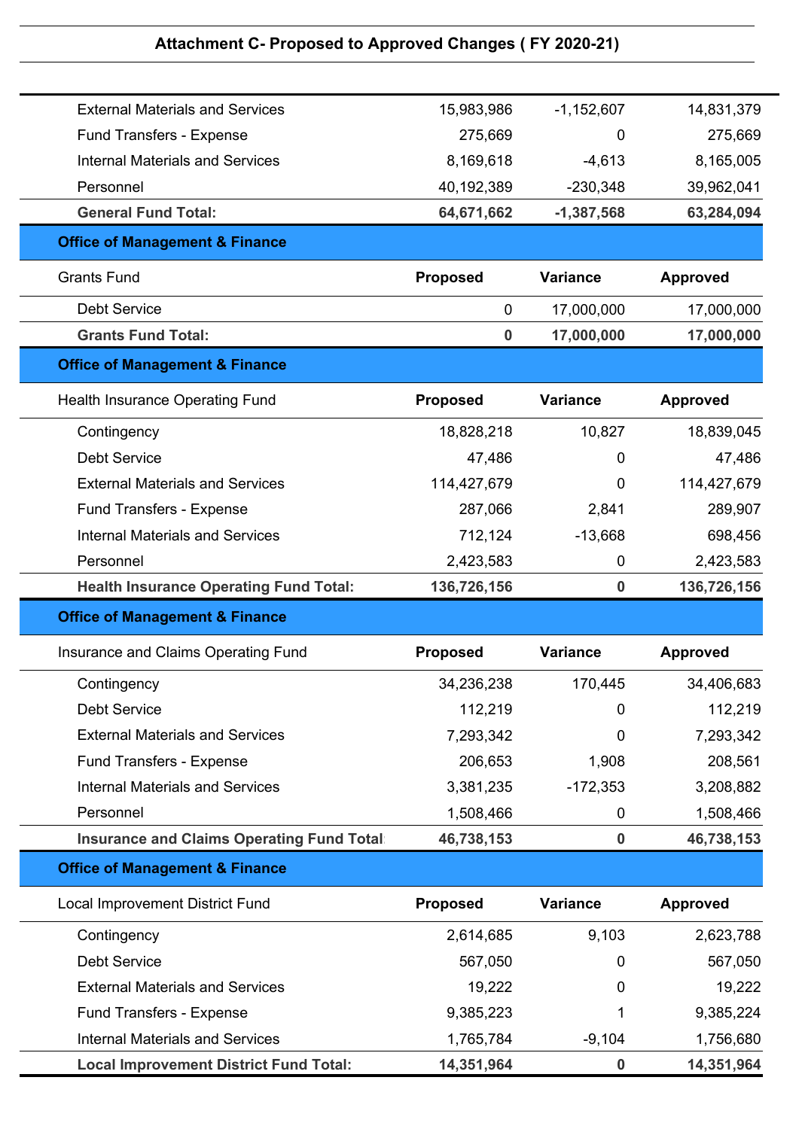| <b>External Materials and Services</b>           | 15,983,986      | $-1,152,607$    | 14,831,379      |
|--------------------------------------------------|-----------------|-----------------|-----------------|
| <b>Fund Transfers - Expense</b>                  | 275,669         | 0               | 275,669         |
| <b>Internal Materials and Services</b>           | 8,169,618       | $-4,613$        | 8,165,005       |
| Personnel                                        | 40,192,389      | $-230,348$      | 39,962,041      |
| <b>General Fund Total:</b>                       | 64,671,662      | $-1,387,568$    | 63,284,094      |
| <b>Office of Management &amp; Finance</b>        |                 |                 |                 |
| <b>Grants Fund</b>                               | <b>Proposed</b> | <b>Variance</b> | <b>Approved</b> |
| <b>Debt Service</b>                              | $\overline{0}$  | 17,000,000      | 17,000,000      |
| <b>Grants Fund Total:</b>                        | $\bf{0}$        | 17,000,000      | 17,000,000      |
| <b>Office of Management &amp; Finance</b>        |                 |                 |                 |
| Health Insurance Operating Fund                  | <b>Proposed</b> | <b>Variance</b> | <b>Approved</b> |
| Contingency                                      | 18,828,218      | 10,827          | 18,839,045      |
| <b>Debt Service</b>                              | 47,486          | 0               | 47,486          |
| <b>External Materials and Services</b>           | 114,427,679     | 0               | 114,427,679     |
| <b>Fund Transfers - Expense</b>                  | 287,066         | 2,841           | 289,907         |
| <b>Internal Materials and Services</b>           | 712,124         | $-13,668$       | 698,456         |
| Personnel                                        | 2,423,583       | 0               | 2,423,583       |
| <b>Health Insurance Operating Fund Total:</b>    | 136,726,156     | $\bf{0}$        | 136,726,156     |
| <b>Office of Management &amp; Finance</b>        |                 |                 |                 |
| Insurance and Claims Operating Fund              | <b>Proposed</b> | <b>Variance</b> | <b>Approved</b> |
| Contingency                                      | 34,236,238      | 170,445         | 34,406,683      |
| <b>Debt Service</b>                              | 112,219         | 0               | 112,219         |
| <b>External Materials and Services</b>           | 7,293,342       | 0               | 7,293,342       |
| Fund Transfers - Expense                         | 206,653         | 1,908           | 208,561         |
| <b>Internal Materials and Services</b>           | 3,381,235       | $-172,353$      | 3,208,882       |
| Personnel                                        | 1,508,466       | $\mathbf 0$     | 1,508,466       |
| <b>Insurance and Claims Operating Fund Total</b> | 46,738,153      | $\pmb{0}$       | 46,738,153      |
| <b>Office of Management &amp; Finance</b>        |                 |                 |                 |
| <b>Local Improvement District Fund</b>           | <b>Proposed</b> | <b>Variance</b> | <b>Approved</b> |
| Contingency                                      | 2,614,685       | 9,103           | 2,623,788       |
| <b>Debt Service</b>                              | 567,050         | 0               | 567,050         |
| <b>External Materials and Services</b>           | 19,222          | 0               | 19,222          |
| Fund Transfers - Expense                         | 9,385,223       | 1               | 9,385,224       |
| <b>Internal Materials and Services</b>           | 1,765,784       | $-9,104$        | 1,756,680       |
|                                                  |                 |                 |                 |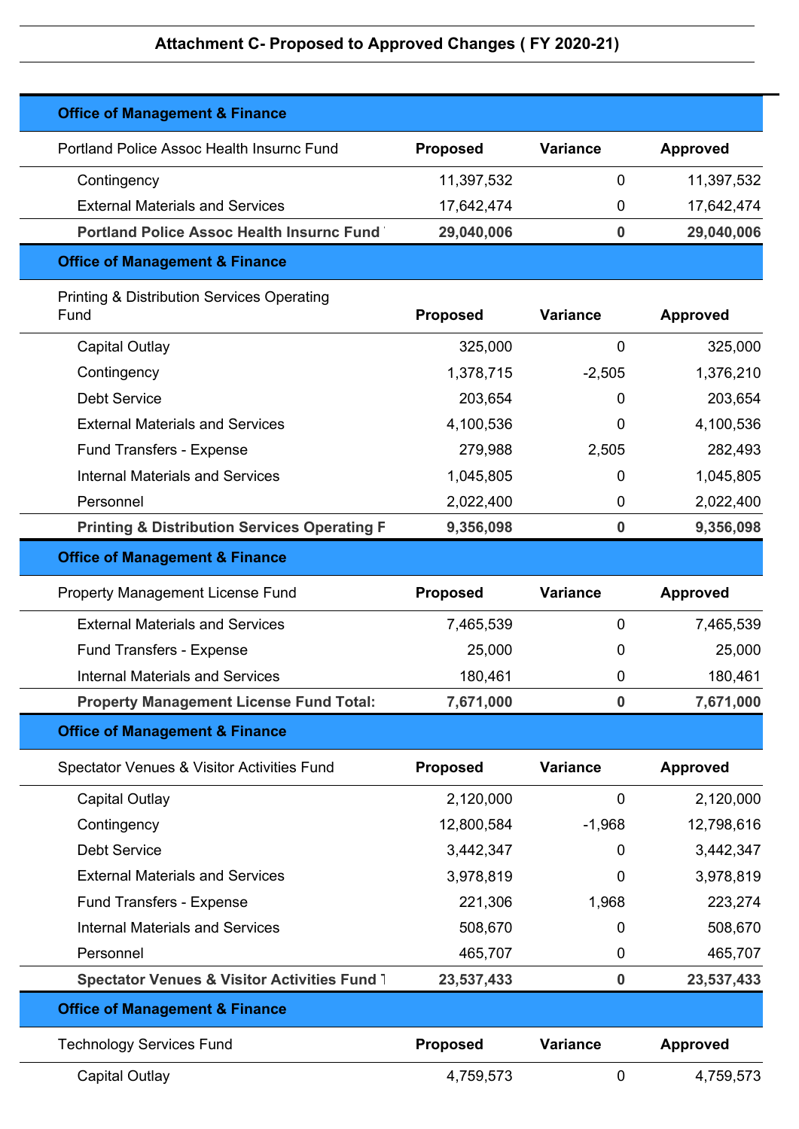| <b>Office of Management &amp; Finance</b>                     |                 |                  |                 |
|---------------------------------------------------------------|-----------------|------------------|-----------------|
| Portland Police Assoc Health Insurnc Fund                     | <b>Proposed</b> | <b>Variance</b>  | <b>Approved</b> |
| Contingency                                                   | 11,397,532      | 0                | 11,397,532      |
| <b>External Materials and Services</b>                        | 17,642,474      | 0                | 17,642,474      |
| <b>Portland Police Assoc Health Insurnc Fund</b>              | 29,040,006      | $\boldsymbol{0}$ | 29,040,006      |
| <b>Office of Management &amp; Finance</b>                     |                 |                  |                 |
| <b>Printing &amp; Distribution Services Operating</b><br>Fund | <b>Proposed</b> | Variance         | <b>Approved</b> |
| Capital Outlay                                                | 325,000         | 0                | 325,000         |
| Contingency                                                   | 1,378,715       | $-2,505$         | 1,376,210       |
| <b>Debt Service</b>                                           | 203,654         | 0                | 203,654         |
| <b>External Materials and Services</b>                        | 4,100,536       | 0                | 4,100,536       |
| <b>Fund Transfers - Expense</b>                               | 279,988         | 2,505            | 282,493         |
| <b>Internal Materials and Services</b>                        | 1,045,805       | 0                | 1,045,805       |
| Personnel                                                     | 2,022,400       | 0                | 2,022,400       |
| <b>Printing &amp; Distribution Services Operating F</b>       | 9,356,098       | 0                | 9,356,098       |
| <b>Office of Management &amp; Finance</b>                     |                 |                  |                 |
| Property Management License Fund                              | <b>Proposed</b> | <b>Variance</b>  | <b>Approved</b> |
| <b>External Materials and Services</b>                        | 7,465,539       | 0                | 7,465,539       |
| <b>Fund Transfers - Expense</b>                               | 25,000          | 0                | 25,000          |
| <b>Internal Materials and Services</b>                        | 180,461         | 0                | 180,461         |
| <b>Property Management License Fund Total:</b>                | 7,671,000       | 0                | 7,671,000       |
| <b>Office of Management &amp; Finance</b>                     |                 |                  |                 |
| Spectator Venues & Visitor Activities Fund                    | <b>Proposed</b> | <b>Variance</b>  | <b>Approved</b> |
| <b>Capital Outlay</b>                                         | 2,120,000       | $\mathbf 0$      | 2,120,000       |
| Contingency                                                   | 12,800,584      | $-1,968$         | 12,798,616      |
| <b>Debt Service</b>                                           | 3,442,347       | 0                | 3,442,347       |
| <b>External Materials and Services</b>                        | 3,978,819       | 0                | 3,978,819       |
| <b>Fund Transfers - Expense</b>                               | 221,306         | 1,968            | 223,274         |
| <b>Internal Materials and Services</b>                        | 508,670         | 0                | 508,670         |
| Personnel                                                     | 465,707         | 0                | 465,707         |
| Spectator Venues & Visitor Activities Fund 1                  | 23,537,433      | $\boldsymbol{0}$ | 23,537,433      |
| <b>Office of Management &amp; Finance</b>                     |                 |                  |                 |
| <b>Technology Services Fund</b>                               | <b>Proposed</b> | <b>Variance</b>  | <b>Approved</b> |
| <b>Capital Outlay</b>                                         | 4,759,573       | 0                | 4,759,573       |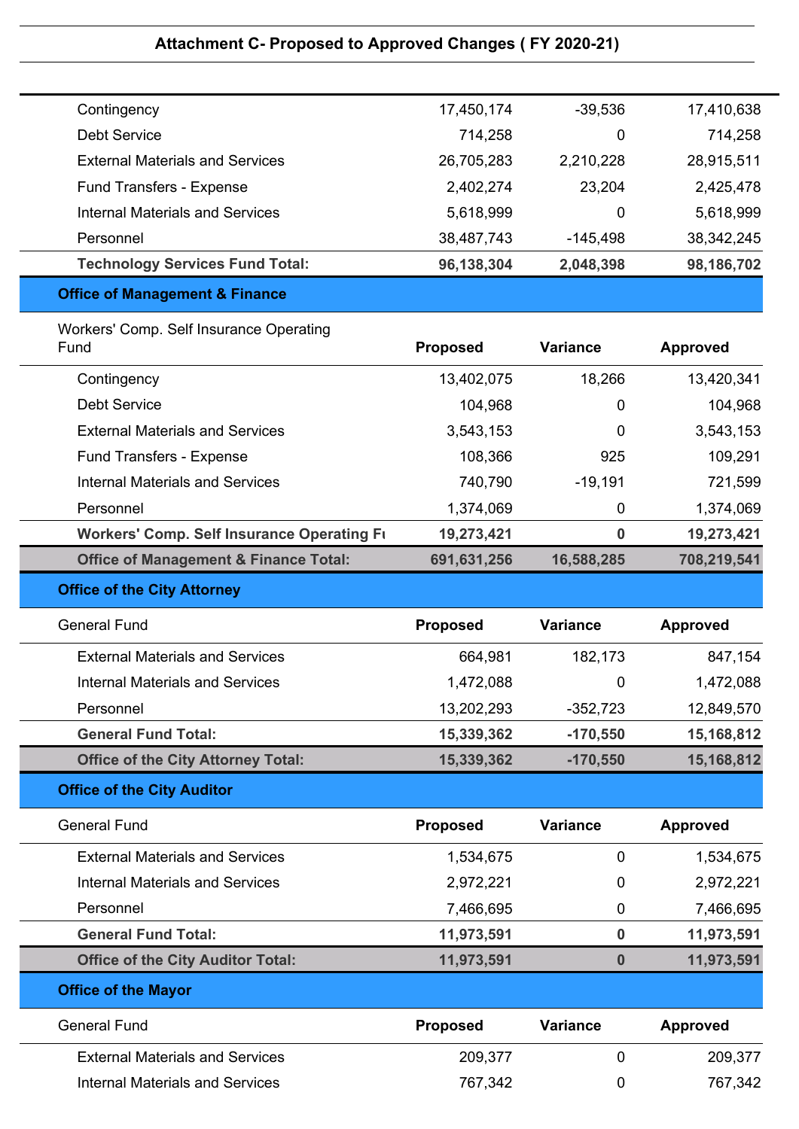| <b>Technology Services Fund Total:</b> | 96,138,304 | 2,048,398  | 98,186,702   |
|----------------------------------------|------------|------------|--------------|
| Personnel                              | 38,487,743 | $-145,498$ | 38, 342, 245 |
| <b>Internal Materials and Services</b> | 5,618,999  | 0          | 5,618,999    |
| <b>Fund Transfers - Expense</b>        | 2,402,274  | 23,204     | 2,425,478    |
| <b>External Materials and Services</b> | 26,705,283 | 2,210,228  | 28,915,511   |
| Debt Service                           | 714,258    | 0          | 714,258      |
| Contingency                            | 17,450,174 | $-39,536$  | 17,410,638   |

### **Office of Management & Finance**

| Workers' Comp. Self Insurance Operating<br>Fund   | <b>Proposed</b> | <b>Variance</b> | <b>Approved</b> |
|---------------------------------------------------|-----------------|-----------------|-----------------|
| Contingency                                       | 13,402,075      | 18,266          | 13,420,341      |
| Debt Service                                      | 104,968         | 0               | 104,968         |
| <b>External Materials and Services</b>            | 3,543,153       | 0               | 3,543,153       |
| <b>Fund Transfers - Expense</b>                   | 108,366         | 925             | 109,291         |
| <b>Internal Materials and Services</b>            | 740,790         | $-19,191$       | 721,599         |
| Personnel                                         | 1,374,069       | 0               | 1,374,069       |
| <b>Workers' Comp. Self Insurance Operating Fi</b> | 19,273,421      | 0               | 19,273,421      |
| <b>Office of Management &amp; Finance Total:</b>  | 691,631,256     | 16,588,285      | 708,219,541     |
|                                                   |                 |                 |                 |

### **Office of the City Attorney**

| <b>General Fund</b>                       | <b>Proposed</b> | <b>Variance</b> | <b>Approved</b> |
|-------------------------------------------|-----------------|-----------------|-----------------|
| <b>External Materials and Services</b>    | 664,981         | 182,173         | 847,154         |
| Internal Materials and Services           | 1,472,088       | 0               | 1,472,088       |
| Personnel                                 | 13,202,293      | $-352,723$      | 12,849,570      |
| <b>General Fund Total:</b>                | 15,339,362      | $-170,550$      | 15,168,812      |
| <b>Office of the City Attorney Total:</b> | 15,339,362      | $-170,550$      | 15,168,812      |
| <b>Office of the City Auditor</b>         |                 |                 |                 |

# General Fund **Proposed Variance Approved** External Materials and Services 1,534,675 1,534,675 0 1,534,675 Internal Materials and Services 2,972,221 0 2,972,221 Personnel 2,466,695 0 7,466,695 0 7,466,695 **General Fund Total: 11,973,591 0 11,973,591 Office of the City Auditor Total: 11,973,591 0 11,973,591 Office of the Mayor** General Fund **Proposed Variance Approved** External Materials and Services 209,377 209,377 0 209,377 Internal Materials and Services 767,342 0 767,342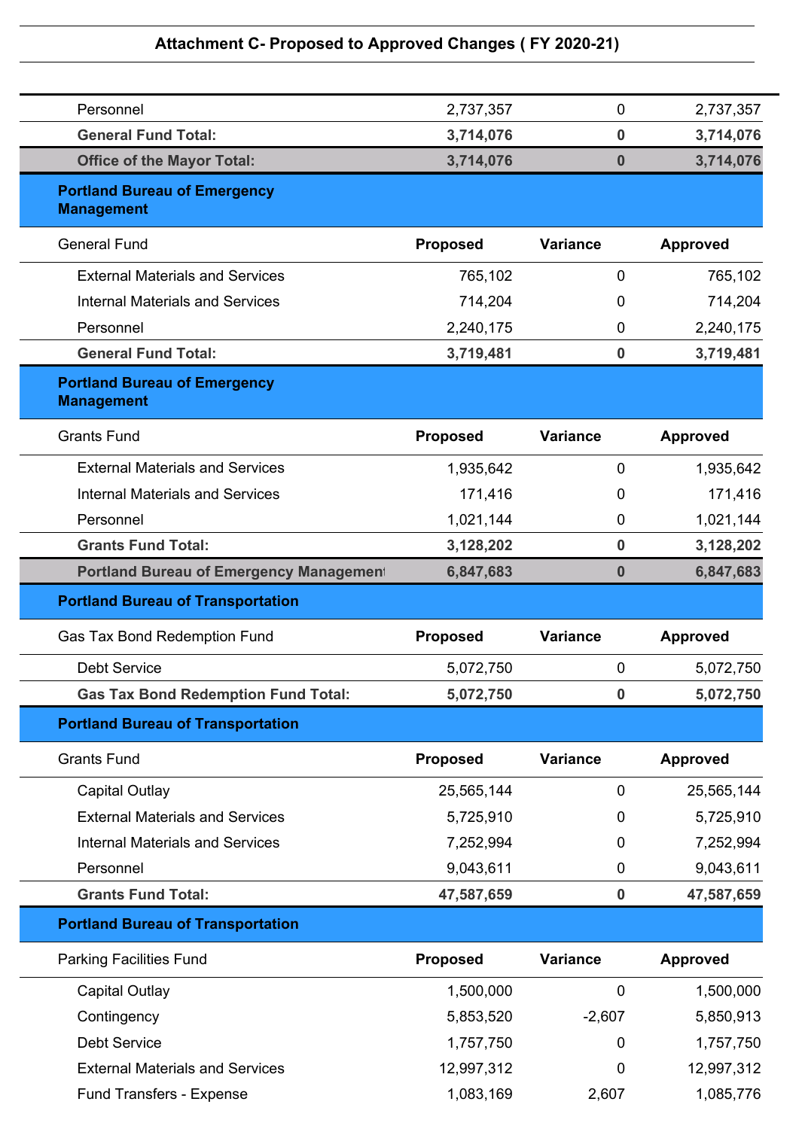| Personnel                                                | 2,737,357       | $\mathbf 0$      | 2,737,357       |
|----------------------------------------------------------|-----------------|------------------|-----------------|
| <b>General Fund Total:</b>                               | 3,714,076       | $\bf{0}$         | 3,714,076       |
| <b>Office of the Mayor Total:</b>                        | 3,714,076       | $\bf{0}$         | 3,714,076       |
| <b>Portland Bureau of Emergency</b><br><b>Management</b> |                 |                  |                 |
| <b>General Fund</b>                                      | <b>Proposed</b> | <b>Variance</b>  | <b>Approved</b> |
| <b>External Materials and Services</b>                   | 765,102         | $\mathbf 0$      | 765,102         |
| <b>Internal Materials and Services</b>                   | 714,204         | 0                | 714,204         |
| Personnel                                                | 2,240,175       | 0                | 2,240,175       |
| <b>General Fund Total:</b>                               | 3,719,481       | $\bf{0}$         | 3,719,481       |
| <b>Portland Bureau of Emergency</b><br><b>Management</b> |                 |                  |                 |
| <b>Grants Fund</b>                                       | <b>Proposed</b> | <b>Variance</b>  | <b>Approved</b> |
| <b>External Materials and Services</b>                   | 1,935,642       | $\mathbf 0$      | 1,935,642       |
| <b>Internal Materials and Services</b>                   | 171,416         | 0                | 171,416         |
| Personnel                                                | 1,021,144       | 0                | 1,021,144       |
| <b>Grants Fund Total:</b>                                | 3,128,202       | $\bf{0}$         | 3,128,202       |
| <b>Portland Bureau of Emergency Management</b>           | 6,847,683       | $\bf{0}$         | 6,847,683       |
| <b>Portland Bureau of Transportation</b>                 |                 |                  |                 |
| Gas Tax Bond Redemption Fund                             | <b>Proposed</b> | <b>Variance</b>  | <b>Approved</b> |
| <b>Debt Service</b>                                      | 5,072,750       | 0                | 5,072,750       |
| <b>Gas Tax Bond Redemption Fund Total:</b>               | 5,072,750       | $\boldsymbol{0}$ | 5,072,750       |
| <b>Portland Bureau of Transportation</b>                 |                 |                  |                 |
| <b>Grants Fund</b>                                       | <b>Proposed</b> | <b>Variance</b>  | <b>Approved</b> |
| <b>Capital Outlay</b>                                    | 25,565,144      | $\mathbf 0$      | 25,565,144      |
| <b>External Materials and Services</b>                   | 5,725,910       | 0                | 5,725,910       |
| <b>Internal Materials and Services</b>                   | 7,252,994       | $\mathbf 0$      | 7,252,994       |
| Personnel                                                | 9,043,611       | 0                | 9,043,611       |
| <b>Grants Fund Total:</b>                                | 47,587,659      | $\pmb{0}$        | 47,587,659      |
| <b>Portland Bureau of Transportation</b>                 |                 |                  |                 |
| <b>Parking Facilities Fund</b>                           | <b>Proposed</b> | <b>Variance</b>  | <b>Approved</b> |
| <b>Capital Outlay</b>                                    | 1,500,000       | $\mathbf 0$      | 1,500,000       |
| Contingency                                              | 5,853,520       | $-2,607$         | 5,850,913       |
| <b>Debt Service</b>                                      | 1,757,750       | 0                | 1,757,750       |
| <b>External Materials and Services</b>                   | 12,997,312      | 0                | 12,997,312      |
|                                                          |                 |                  |                 |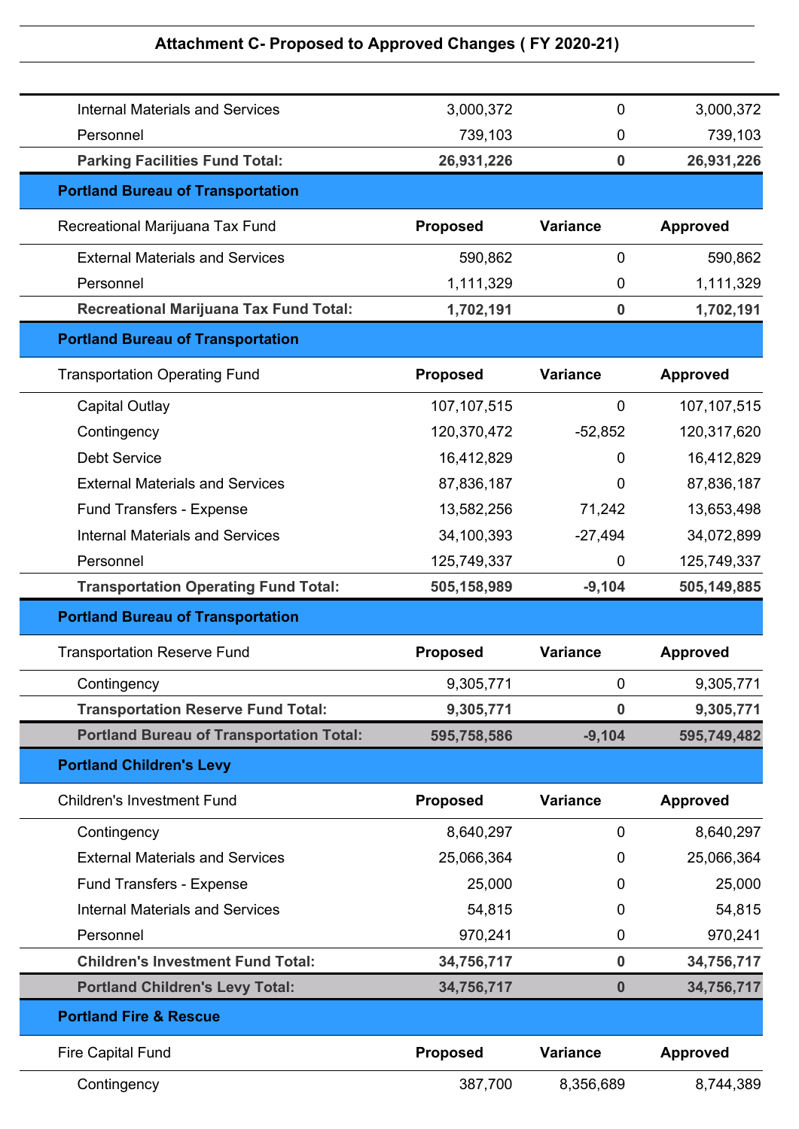| Contingency                                     | 387,700         | 8,356,689        | 8,744,389       |
|-------------------------------------------------|-----------------|------------------|-----------------|
| <b>Fire Capital Fund</b>                        | <b>Proposed</b> | <b>Variance</b>  | <b>Approved</b> |
| <b>Portland Fire &amp; Rescue</b>               |                 |                  |                 |
| <b>Portland Children's Levy Total:</b>          | 34,756,717      | $\bf{0}$         | 34,756,717      |
| <b>Children's Investment Fund Total:</b>        | 34,756,717      | $\bf{0}$         | 34,756,717      |
| Personnel                                       | 970,241         | 0                | 970,241         |
| <b>Internal Materials and Services</b>          | 54,815          | 0                | 54,815          |
| Fund Transfers - Expense                        | 25,000          | 0                | 25,000          |
| <b>External Materials and Services</b>          | 25,066,364      | 0                | 25,066,364      |
| Contingency                                     | 8,640,297       | $\mathbf 0$      | 8,640,297       |
| <b>Children's Investment Fund</b>               | <b>Proposed</b> | <b>Variance</b>  | <b>Approved</b> |
| <b>Portland Children's Levy</b>                 |                 |                  |                 |
| <b>Portland Bureau of Transportation Total:</b> | 595,758,586     | $-9,104$         | 595,749,482     |
| <b>Transportation Reserve Fund Total:</b>       | 9,305,771       | $\bf{0}$         | 9,305,771       |
| Contingency                                     | 9,305,771       | $\mathbf 0$      | 9,305,771       |
| <b>Transportation Reserve Fund</b>              | <b>Proposed</b> | <b>Variance</b>  | <b>Approved</b> |
| <b>Portland Bureau of Transportation</b>        |                 |                  |                 |
| <b>Transportation Operating Fund Total:</b>     | 505,158,989     | $-9,104$         | 505,149,885     |
| Personnel                                       | 125,749,337     | 0                | 125,749,337     |
| <b>Internal Materials and Services</b>          | 34,100,393      | $-27,494$        | 34,072,899      |
| Fund Transfers - Expense                        | 13,582,256      | 71,242           | 13,653,498      |
| <b>External Materials and Services</b>          | 87,836,187      | $\mathbf 0$      | 87,836,187      |
| <b>Debt Service</b>                             | 16,412,829      | $\Omega$         | 16,412,829      |
| Contingency                                     | 120,370,472     | $-52,852$        | 120,317,620     |
| <b>Capital Outlay</b>                           | 107, 107, 515   | $\mathbf 0$      | 107, 107, 515   |
| <b>Transportation Operating Fund</b>            | <b>Proposed</b> | <b>Variance</b>  | <b>Approved</b> |
| <b>Portland Bureau of Transportation</b>        |                 |                  |                 |
| <b>Recreational Marijuana Tax Fund Total:</b>   | 1,702,191       | $\bf{0}$         | 1,702,191       |
| Personnel                                       | 1,111,329       | 0                | 1,111,329       |
| <b>External Materials and Services</b>          | 590,862         | $\mathbf 0$      | 590,862         |
| Recreational Marijuana Tax Fund                 | <b>Proposed</b> | <b>Variance</b>  | <b>Approved</b> |
| <b>Portland Bureau of Transportation</b>        |                 |                  |                 |
| <b>Parking Facilities Fund Total:</b>           | 26,931,226      | $\boldsymbol{0}$ | 26,931,226      |
| Personnel                                       | 739,103         | 0                | 739,103         |
| <b>Internal Materials and Services</b>          | 3,000,372       | 0                | 3,000,372       |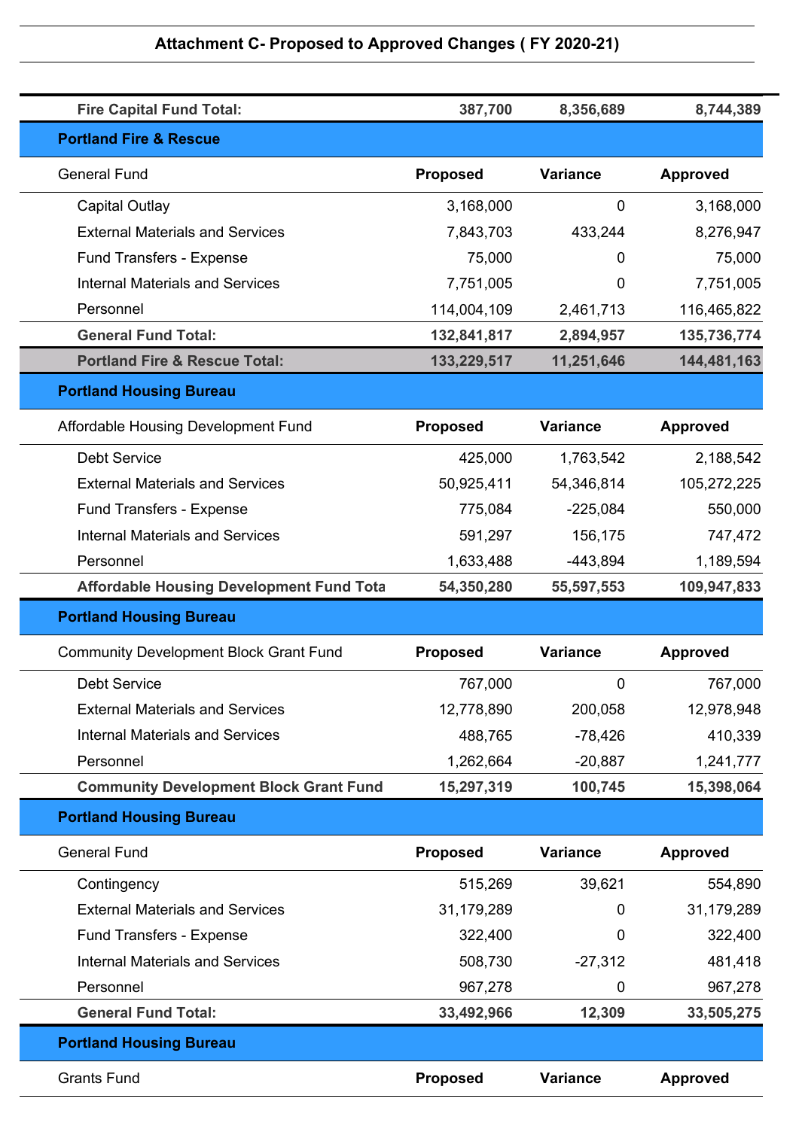| <b>Fire Capital Fund Total:</b>                 | 387,700         | 8,356,689       | 8,744,389       |
|-------------------------------------------------|-----------------|-----------------|-----------------|
| <b>Portland Fire &amp; Rescue</b>               |                 |                 |                 |
| <b>General Fund</b>                             | <b>Proposed</b> | <b>Variance</b> | <b>Approved</b> |
| Capital Outlay                                  | 3,168,000       | $\mathbf 0$     | 3,168,000       |
| <b>External Materials and Services</b>          | 7,843,703       | 433,244         | 8,276,947       |
| <b>Fund Transfers - Expense</b>                 | 75,000          | 0               | 75,000          |
| <b>Internal Materials and Services</b>          | 7,751,005       | 0               | 7,751,005       |
| Personnel                                       | 114,004,109     | 2,461,713       | 116,465,822     |
| <b>General Fund Total:</b>                      | 132,841,817     | 2,894,957       | 135,736,774     |
| <b>Portland Fire &amp; Rescue Total:</b>        | 133,229,517     | 11,251,646      | 144,481,163     |
| <b>Portland Housing Bureau</b>                  |                 |                 |                 |
| Affordable Housing Development Fund             | <b>Proposed</b> | <b>Variance</b> | <b>Approved</b> |
| <b>Debt Service</b>                             | 425,000         | 1,763,542       | 2,188,542       |
| <b>External Materials and Services</b>          | 50,925,411      | 54,346,814      | 105,272,225     |
| Fund Transfers - Expense                        | 775,084         | $-225,084$      | 550,000         |
| <b>Internal Materials and Services</b>          | 591,297         | 156,175         | 747,472         |
| Personnel                                       | 1,633,488       | $-443,894$      | 1,189,594       |
| <b>Affordable Housing Development Fund Tota</b> | 54,350,280      | 55,597,553      | 109,947,833     |
| <b>Portland Housing Bureau</b>                  |                 |                 |                 |
| <b>Community Development Block Grant Fund</b>   | <b>Proposed</b> | <b>Variance</b> | <b>Approved</b> |
| <b>Debt Service</b>                             | 767,000         | 0               | 767,000         |
| <b>External Materials and Services</b>          | 12,778,890      | 200,058         | 12,978,948      |
| <b>Internal Materials and Services</b>          | 488,765         | $-78,426$       | 410,339         |
| Personnel                                       | 1,262,664       | $-20,887$       | 1,241,777       |
| <b>Community Development Block Grant Fund</b>   | 15,297,319      | 100,745         | 15,398,064      |
| <b>Portland Housing Bureau</b>                  |                 |                 |                 |
| <b>General Fund</b>                             | <b>Proposed</b> | <b>Variance</b> | <b>Approved</b> |
| Contingency                                     | 515,269         | 39,621          | 554,890         |
| <b>External Materials and Services</b>          | 31,179,289      | 0               | 31,179,289      |
| <b>Fund Transfers - Expense</b>                 | 322,400         | 0               | 322,400         |
| <b>Internal Materials and Services</b>          | 508,730         | $-27,312$       | 481,418         |
| Personnel                                       | 967,278         | 0               | 967,278         |
| <b>General Fund Total:</b>                      | 33,492,966      | 12,309          | 33,505,275      |
| <b>Portland Housing Bureau</b>                  |                 |                 |                 |
| <b>Grants Fund</b>                              | <b>Proposed</b> | <b>Variance</b> | <b>Approved</b> |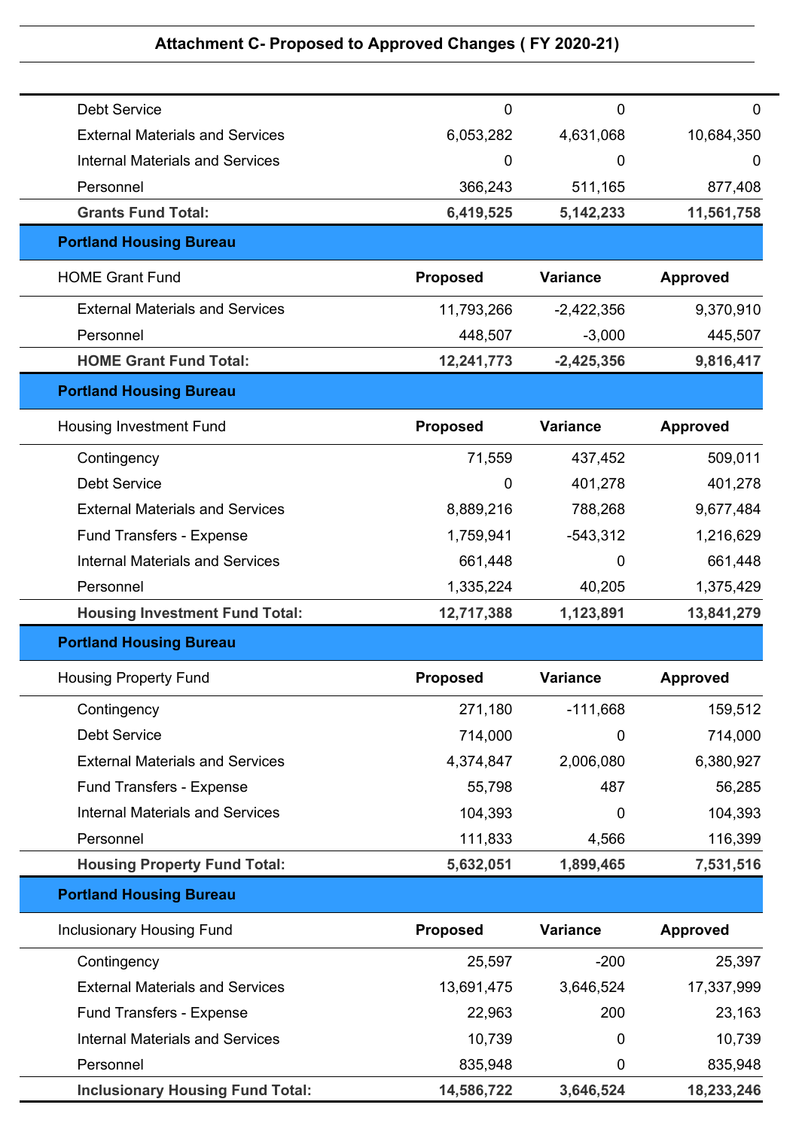| <b>Debt Service</b>                     | $\mathbf 0$     | 0               | 0               |
|-----------------------------------------|-----------------|-----------------|-----------------|
| <b>External Materials and Services</b>  | 6,053,282       | 4,631,068       | 10,684,350      |
| <b>Internal Materials and Services</b>  | $\mathbf 0$     | 0               | 0               |
| Personnel                               | 366,243         | 511,165         | 877,408         |
| <b>Grants Fund Total:</b>               | 6,419,525       | 5, 142, 233     | 11,561,758      |
| <b>Portland Housing Bureau</b>          |                 |                 |                 |
| <b>HOME Grant Fund</b>                  | <b>Proposed</b> | <b>Variance</b> | <b>Approved</b> |
| <b>External Materials and Services</b>  | 11,793,266      | $-2,422,356$    | 9,370,910       |
| Personnel                               | 448,507         | $-3,000$        | 445,507         |
| <b>HOME Grant Fund Total:</b>           | 12,241,773      | $-2,425,356$    | 9,816,417       |
| <b>Portland Housing Bureau</b>          |                 |                 |                 |
| <b>Housing Investment Fund</b>          | <b>Proposed</b> | <b>Variance</b> | <b>Approved</b> |
| Contingency                             | 71,559          | 437,452         | 509,011         |
| <b>Debt Service</b>                     | 0               | 401,278         | 401,278         |
| <b>External Materials and Services</b>  | 8,889,216       | 788,268         | 9,677,484       |
| <b>Fund Transfers - Expense</b>         | 1,759,941       | $-543,312$      | 1,216,629       |
| <b>Internal Materials and Services</b>  | 661,448         | 0               | 661,448         |
| Personnel                               | 1,335,224       | 40,205          | 1,375,429       |
| <b>Housing Investment Fund Total:</b>   | 12,717,388      | 1,123,891       | 13,841,279      |
| <b>Portland Housing Bureau</b>          |                 |                 |                 |
| <b>Housing Property Fund</b>            | <b>Proposed</b> | Variance        | <b>Approved</b> |
| Contingency                             | 271,180         | $-111,668$      | 159,512         |
| <b>Debt Service</b>                     | 714,000         | 0               | 714,000         |
| <b>External Materials and Services</b>  | 4,374,847       | 2,006,080       | 6,380,927       |
| Fund Transfers - Expense                | 55,798          | 487             | 56,285          |
| <b>Internal Materials and Services</b>  | 104,393         | 0               | 104,393         |
| Personnel                               | 111,833         | 4,566           | 116,399         |
| <b>Housing Property Fund Total:</b>     | 5,632,051       | 1,899,465       | 7,531,516       |
| <b>Portland Housing Bureau</b>          |                 |                 |                 |
| Inclusionary Housing Fund               | <b>Proposed</b> | <b>Variance</b> | <b>Approved</b> |
| Contingency                             | 25,597          | $-200$          | 25,397          |
| <b>External Materials and Services</b>  | 13,691,475      | 3,646,524       | 17,337,999      |
| Fund Transfers - Expense                | 22,963          | 200             | 23,163          |
| <b>Internal Materials and Services</b>  | 10,739          | 0               | 10,739          |
| Personnel                               | 835,948         | 0               | 835,948         |
| <b>Inclusionary Housing Fund Total:</b> | 14,586,722      | 3,646,524       | 18,233,246      |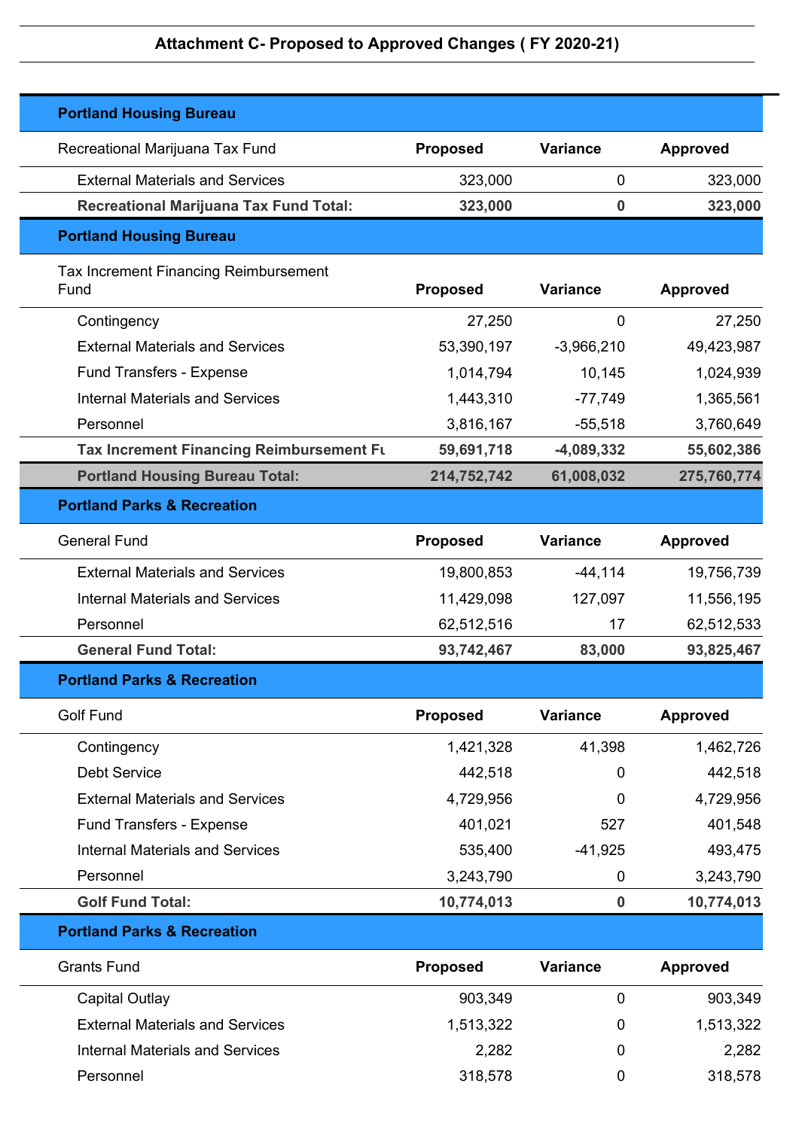| <b>Portland Housing Bureau</b>                       |                 |                 |                 |
|------------------------------------------------------|-----------------|-----------------|-----------------|
| Recreational Marijuana Tax Fund                      | <b>Proposed</b> | <b>Variance</b> | <b>Approved</b> |
| <b>External Materials and Services</b>               | 323,000         | 0               | 323,000         |
| <b>Recreational Marijuana Tax Fund Total:</b>        | 323,000         | 0               | 323,000         |
| <b>Portland Housing Bureau</b>                       |                 |                 |                 |
| <b>Tax Increment Financing Reimbursement</b><br>Fund | <b>Proposed</b> | <b>Variance</b> | <b>Approved</b> |
| Contingency                                          | 27,250          | $\mathbf 0$     | 27,250          |
| <b>External Materials and Services</b>               | 53,390,197      | $-3,966,210$    | 49,423,987      |
| <b>Fund Transfers - Expense</b>                      | 1,014,794       | 10,145          | 1,024,939       |
| <b>Internal Materials and Services</b>               | 1,443,310       | $-77,749$       | 1,365,561       |
| Personnel                                            | 3,816,167       | $-55,518$       | 3,760,649       |
| Tax Increment Financing Reimbursement Fu             | 59,691,718      | $-4,089,332$    | 55,602,386      |
| <b>Portland Housing Bureau Total:</b>                | 214,752,742     | 61,008,032      | 275,760,774     |
| <b>Portland Parks &amp; Recreation</b>               |                 |                 |                 |
| <b>General Fund</b>                                  | <b>Proposed</b> | <b>Variance</b> | <b>Approved</b> |
| <b>External Materials and Services</b>               | 19,800,853      | $-44,114$       | 19,756,739      |
| <b>Internal Materials and Services</b>               | 11,429,098      | 127,097         | 11,556,195      |
| Personnel                                            | 62,512,516      | 17              | 62,512,533      |
| <b>General Fund Total:</b>                           | 93,742,467      | 83,000          | 93,825,467      |
| <b>Portland Parks &amp; Recreation</b>               |                 |                 |                 |
| <b>Golf Fund</b>                                     | <b>Proposed</b> | <b>Variance</b> | <b>Approved</b> |
| Contingency                                          | 1,421,328       | 41,398          | 1,462,726       |
| <b>Debt Service</b>                                  | 442,518         | 0               | 442,518         |
| <b>External Materials and Services</b>               | 4,729,956       | 0               | 4,729,956       |
| Fund Transfers - Expense                             | 401,021         | 527             | 401,548         |
| <b>Internal Materials and Services</b>               | 535,400         | $-41,925$       | 493,475         |
| Personnel                                            | 3,243,790       | 0               | 3,243,790       |
| <b>Golf Fund Total:</b>                              | 10,774,013      | $\mathbf 0$     | 10,774,013      |
| <b>Portland Parks &amp; Recreation</b>               |                 |                 |                 |
| <b>Grants Fund</b>                                   | Proposed        | <b>Variance</b> | <b>Approved</b> |
| Capital Outlay                                       | 903,349         | $\mathbf 0$     | 903,349         |
| <b>External Materials and Services</b>               | 1,513,322       | 0               | 1,513,322       |
| <b>Internal Materials and Services</b>               | 2,282           | 0               | 2,282           |
| Personnel                                            | 318,578         | 0               | 318,578         |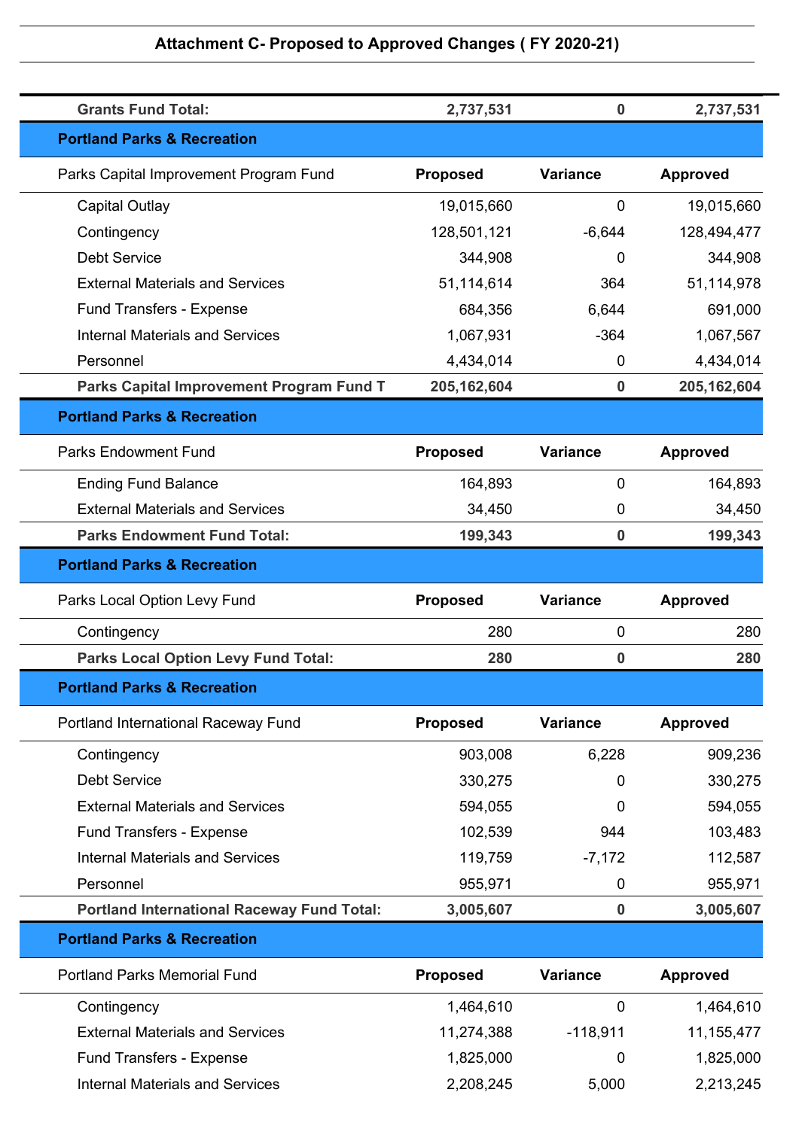| <b>Grants Fund Total:</b>                         | 2,737,531       | $\mathbf 0$      | 2,737,531       |
|---------------------------------------------------|-----------------|------------------|-----------------|
| <b>Portland Parks &amp; Recreation</b>            |                 |                  |                 |
| Parks Capital Improvement Program Fund            | <b>Proposed</b> | <b>Variance</b>  | <b>Approved</b> |
| <b>Capital Outlay</b>                             | 19,015,660      | 0                | 19,015,660      |
| Contingency                                       | 128,501,121     | $-6,644$         | 128,494,477     |
| <b>Debt Service</b>                               | 344,908         | 0                | 344,908         |
| <b>External Materials and Services</b>            | 51,114,614      | 364              | 51,114,978      |
| <b>Fund Transfers - Expense</b>                   | 684,356         | 6,644            | 691,000         |
| <b>Internal Materials and Services</b>            | 1,067,931       | $-364$           | 1,067,567       |
| Personnel                                         | 4,434,014       | 0                | 4,434,014       |
| Parks Capital Improvement Program Fund T          | 205, 162, 604   | $\mathbf 0$      | 205, 162, 604   |
| <b>Portland Parks &amp; Recreation</b>            |                 |                  |                 |
| <b>Parks Endowment Fund</b>                       | <b>Proposed</b> | <b>Variance</b>  | <b>Approved</b> |
| <b>Ending Fund Balance</b>                        | 164,893         | 0                | 164,893         |
| <b>External Materials and Services</b>            | 34,450          | 0                | 34,450          |
| <b>Parks Endowment Fund Total:</b>                | 199,343         | $\mathbf 0$      | 199,343         |
| <b>Portland Parks &amp; Recreation</b>            |                 |                  |                 |
| Parks Local Option Levy Fund                      | <b>Proposed</b> | <b>Variance</b>  | <b>Approved</b> |
|                                                   |                 |                  |                 |
| Contingency                                       | 280             | 0                | 280             |
| <b>Parks Local Option Levy Fund Total:</b>        | 280             | 0                | 280             |
| <b>Portland Parks &amp; Recreation</b>            |                 |                  |                 |
| Portland International Raceway Fund               | <b>Proposed</b> | <b>Variance</b>  | <b>Approved</b> |
| Contingency                                       | 903,008         | 6,228            | 909,236         |
| <b>Debt Service</b>                               | 330,275         | 0                | 330,275         |
| <b>External Materials and Services</b>            | 594,055         | 0                | 594,055         |
| Fund Transfers - Expense                          | 102,539         | 944              | 103,483         |
| <b>Internal Materials and Services</b>            | 119,759         | $-7,172$         | 112,587         |
| Personnel                                         | 955,971         | 0                | 955,971         |
| <b>Portland International Raceway Fund Total:</b> | 3,005,607       | $\boldsymbol{0}$ | 3,005,607       |
| <b>Portland Parks &amp; Recreation</b>            |                 |                  |                 |
| <b>Portland Parks Memorial Fund</b>               | <b>Proposed</b> | <b>Variance</b>  | <b>Approved</b> |
| Contingency                                       | 1,464,610       | $\mathbf 0$      | 1,464,610       |
| <b>External Materials and Services</b>            | 11,274,388      | $-118,911$       | 11, 155, 477    |
| <b>Fund Transfers - Expense</b>                   | 1,825,000       | 0                | 1,825,000       |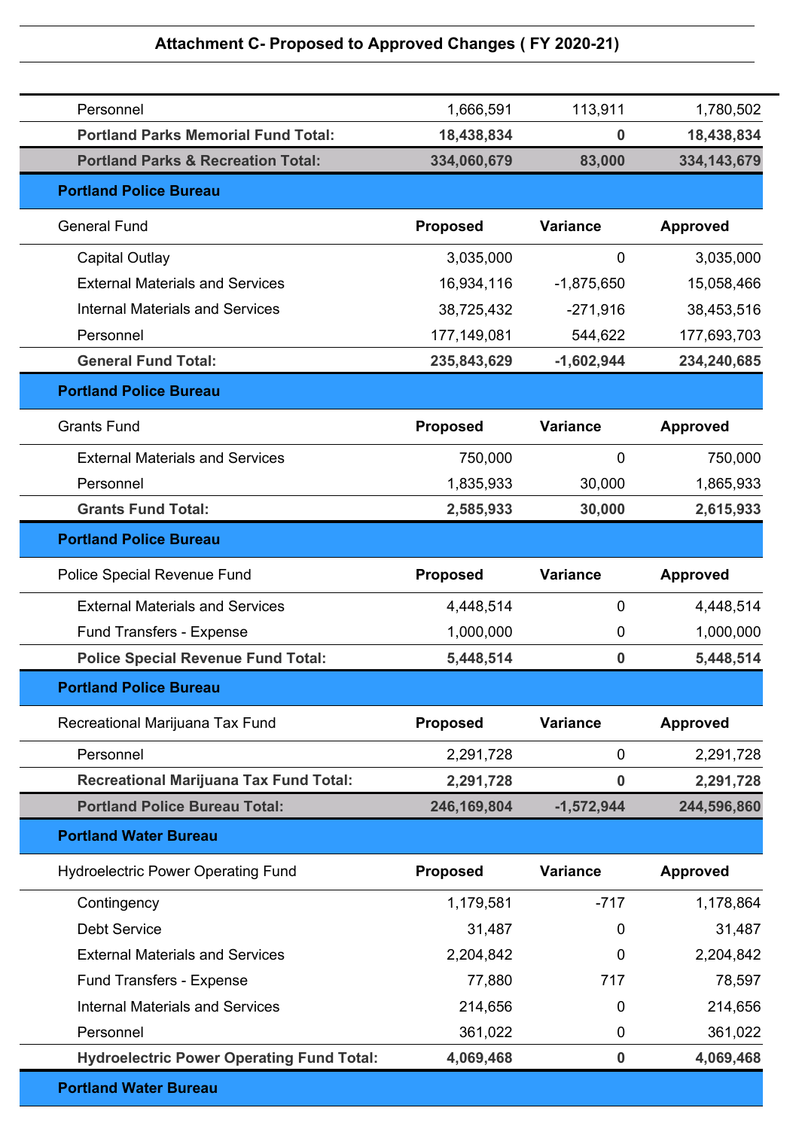| Personnel                                     | 1,666,591       | 113,911         | 1,780,502       |
|-----------------------------------------------|-----------------|-----------------|-----------------|
| <b>Portland Parks Memorial Fund Total:</b>    | 18,438,834      | 0               | 18,438,834      |
| <b>Portland Parks &amp; Recreation Total:</b> | 334,060,679     | 83,000          | 334, 143, 679   |
| <b>Portland Police Bureau</b>                 |                 |                 |                 |
| <b>General Fund</b>                           | <b>Proposed</b> | <b>Variance</b> | <b>Approved</b> |
| Capital Outlay                                | 3,035,000       | 0               | 3,035,000       |
| <b>External Materials and Services</b>        | 16,934,116      | $-1,875,650$    | 15,058,466      |
| <b>Internal Materials and Services</b>        | 38,725,432      | $-271,916$      | 38,453,516      |
| Personnel                                     | 177,149,081     | 544,622         | 177,693,703     |
| <b>General Fund Total:</b>                    | 235,843,629     | $-1,602,944$    | 234,240,685     |
| <b>Portland Police Bureau</b>                 |                 |                 |                 |
| <b>Grants Fund</b>                            | <b>Proposed</b> | <b>Variance</b> | <b>Approved</b> |
| <b>External Materials and Services</b>        | 750,000         | $\overline{0}$  | 750,000         |
| Personnel                                     | 1,835,933       | 30,000          | 1,865,933       |
| <b>Grants Fund Total:</b>                     | 2,585,933       | 30,000          | 2,615,933       |
| <b>Portland Police Bureau</b>                 |                 |                 |                 |
| Police Special Revenue Fund                   | <b>Proposed</b> | <b>Variance</b> | <b>Approved</b> |
| <b>External Materials and Services</b>        | 4,448,514       | 0               | 4,448,514       |
| <b>Fund Transfers - Expense</b>               | 1,000,000       | 0               | 1,000,000       |
| <b>Police Special Revenue Fund Total:</b>     | 5,448,514       | 0               | 5,448,514       |
| <b>Portland Police Bureau</b>                 |                 |                 |                 |
| Recreational Marijuana Tax Fund               | <b>Proposed</b> | <b>Variance</b> | <b>Approved</b> |
| Personnel                                     | 2,291,728       | $\mathbf 0$     | 2,291,728       |
| <b>Recreational Marijuana Tax Fund Total:</b> | 2,291,728       | 0               | 2,291,728       |
| <b>Portland Police Bureau Total:</b>          | 246,169,804     | $-1,572,944$    | 244,596,860     |
| <b>Portland Water Bureau</b>                  |                 |                 |                 |
| <b>Hydroelectric Power Operating Fund</b>     | <b>Proposed</b> | <b>Variance</b> | <b>Approved</b> |
| Contingency                                   | 1,179,581       | $-717$          | 1,178,864       |
| <b>Debt Service</b>                           | 31,487          | 0               | 31,487          |
| <b>External Materials and Services</b>        | 2,204,842       | 0               | 2,204,842       |
| Fund Transfers - Expense                      | 77,880          | 717             | 78,597          |
| <b>Internal Materials and Services</b>        | 214,656         | 0               | 214,656         |
| Personnel                                     | 361,022         | 0               | 361,022         |
|                                               |                 |                 |                 |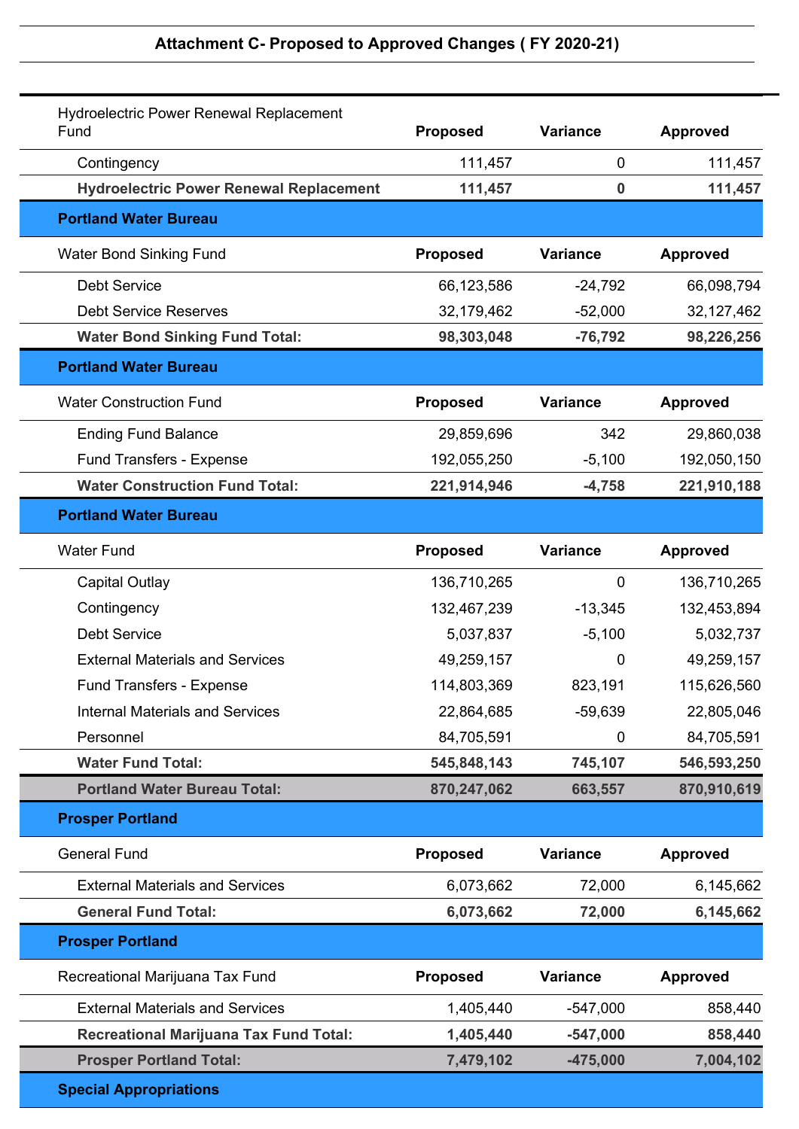| <b>Hydroelectric Power Renewal Replacement</b><br>Fund | <b>Proposed</b> | <b>Variance</b>  | <b>Approved</b> |
|--------------------------------------------------------|-----------------|------------------|-----------------|
| Contingency                                            | 111,457         | 0                | 111,457         |
| <b>Hydroelectric Power Renewal Replacement</b>         | 111,457         | $\boldsymbol{0}$ | 111,457         |
| <b>Portland Water Bureau</b>                           |                 |                  |                 |
| Water Bond Sinking Fund                                | <b>Proposed</b> | <b>Variance</b>  | <b>Approved</b> |
| <b>Debt Service</b>                                    | 66,123,586      | $-24,792$        | 66,098,794      |
| <b>Debt Service Reserves</b>                           | 32,179,462      | $-52,000$        | 32, 127, 462    |
| <b>Water Bond Sinking Fund Total:</b>                  | 98,303,048      | $-76,792$        | 98,226,256      |
| <b>Portland Water Bureau</b>                           |                 |                  |                 |
| <b>Water Construction Fund</b>                         | <b>Proposed</b> | <b>Variance</b>  | <b>Approved</b> |
| <b>Ending Fund Balance</b>                             | 29,859,696      | 342              | 29,860,038      |
| <b>Fund Transfers - Expense</b>                        | 192,055,250     | $-5,100$         | 192,050,150     |
| <b>Water Construction Fund Total:</b>                  | 221,914,946     | $-4,758$         | 221,910,188     |
| <b>Portland Water Bureau</b>                           |                 |                  |                 |
| <b>Water Fund</b>                                      | <b>Proposed</b> | <b>Variance</b>  | <b>Approved</b> |
| <b>Capital Outlay</b>                                  | 136,710,265     | $\overline{0}$   | 136,710,265     |
| Contingency                                            | 132,467,239     | $-13,345$        | 132,453,894     |
| <b>Debt Service</b>                                    | 5,037,837       | $-5,100$         | 5,032,737       |
| <b>External Materials and Services</b>                 | 49,259,157      | 0                | 49,259,157      |
| <b>Fund Transfers - Expense</b>                        | 114,803,369     | 823,191          | 115,626,560     |
| <b>Internal Materials and Services</b>                 | 22,864,685      | $-59,639$        | 22,805,046      |
| Personnel                                              | 84,705,591      | 0                | 84,705,591      |
| <b>Water Fund Total:</b>                               | 545,848,143     | 745,107          | 546,593,250     |
| <b>Portland Water Bureau Total:</b>                    | 870,247,062     | 663,557          | 870,910,619     |
| <b>Prosper Portland</b>                                |                 |                  |                 |
| <b>General Fund</b>                                    | <b>Proposed</b> | <b>Variance</b>  | <b>Approved</b> |
| <b>External Materials and Services</b>                 | 6,073,662       | 72,000           | 6,145,662       |
| <b>General Fund Total:</b>                             | 6,073,662       | 72,000           | 6,145,662       |
| <b>Prosper Portland</b>                                |                 |                  |                 |
| Recreational Marijuana Tax Fund                        | Proposed        | <b>Variance</b>  | <b>Approved</b> |
| <b>External Materials and Services</b>                 | 1,405,440       | $-547,000$       | 858,440         |
| <b>Recreational Marijuana Tax Fund Total:</b>          | 1,405,440       | $-547,000$       | 858,440         |
| <b>Prosper Portland Total:</b>                         | 7,479,102       | $-475,000$       | 7,004,102       |
| <b>Special Appropriations</b>                          |                 |                  |                 |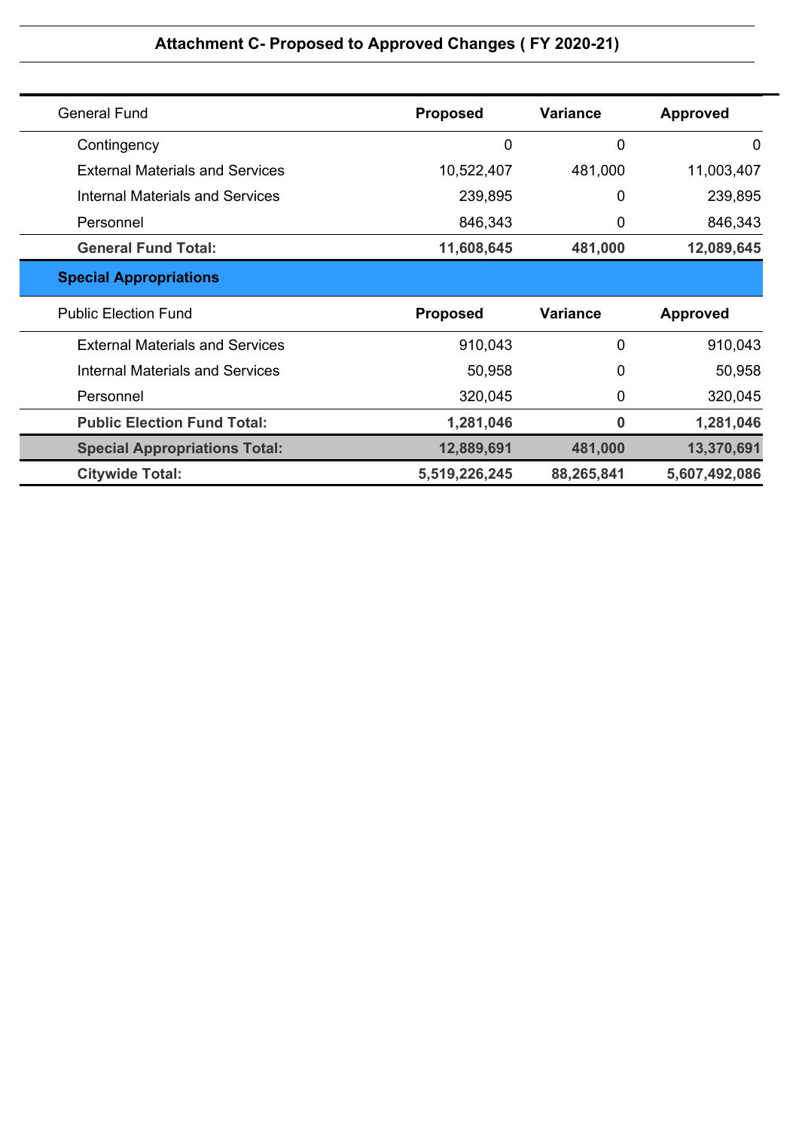| <b>General Fund</b>                    | <b>Proposed</b> | <b>Variance</b> | <b>Approved</b> |
|----------------------------------------|-----------------|-----------------|-----------------|
| Contingency                            | 0               | $\overline{0}$  | $\mathbf 0$     |
| <b>External Materials and Services</b> | 10,522,407      | 481,000         | 11,003,407      |
| <b>Internal Materials and Services</b> | 239,895         | $\mathbf 0$     | 239,895         |
| Personnel                              | 846,343         | 0               | 846,343         |
| <b>General Fund Total:</b>             | 11,608,645      | 481,000         | 12,089,645      |
| <b>Special Appropriations</b>          |                 |                 |                 |
| <b>Public Election Fund</b>            | <b>Proposed</b> | <b>Variance</b> | <b>Approved</b> |
| <b>External Materials and Services</b> | 910,043         | $\mathbf 0$     | 910,043         |
| Internal Materials and Services        | 50,958          | 0               | 50,958          |
| Personnel                              | 320,045         | 0               | 320,045         |
| <b>Public Election Fund Total:</b>     | 1,281,046       | $\bf{0}$        | 1,281,046       |
| <b>Special Appropriations Total:</b>   | 12,889,691      | 481,000         | 13,370,691      |
| <b>Citywide Total:</b>                 | 5,519,226,245   | 88,265,841      | 5,607,492,086   |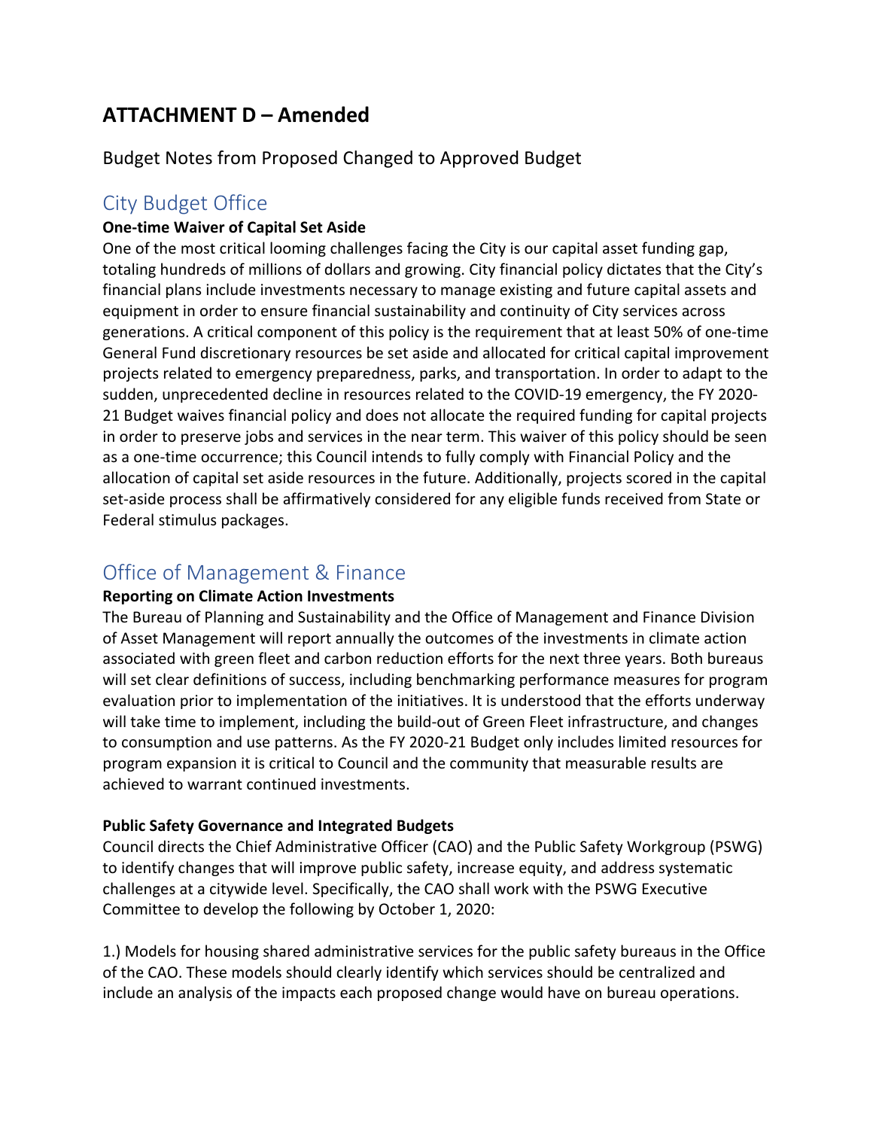### **ATTACHMENT D – Amended**

Budget Notes from Proposed Changed to Approved Budget

### City Budget Office

### **One-time Waiver of Capital Set Aside**

One of the most critical looming challenges facing the City is our capital asset funding gap, totaling hundreds of millions of dollars and growing. City financial policy dictates that the City's financial plans include investments necessary to manage existing and future capital assets and equipment in order to ensure financial sustainability and continuity of City services across generations. A critical component of this policy is the requirement that at least 50% of one-time General Fund discretionary resources be set aside and allocated for critical capital improvement projects related to emergency preparedness, parks, and transportation. In order to adapt to the sudden, unprecedented decline in resources related to the COVID-19 emergency, the FY 2020- 21 Budget waives financial policy and does not allocate the required funding for capital projects in order to preserve jobs and services in the near term. This waiver of this policy should be seen as a one-time occurrence; this Council intends to fully comply with Financial Policy and the allocation of capital set aside resources in the future. Additionally, projects scored in the capital set-aside process shall be affirmatively considered for any eligible funds received from State or Federal stimulus packages.

### Office of Management & Finance

### **Reporting on Climate Action Investments**

The Bureau of Planning and Sustainability and the Office of Management and Finance Division of Asset Management will report annually the outcomes of the investments in climate action associated with green fleet and carbon reduction efforts for the next three years. Both bureaus will set clear definitions of success, including benchmarking performance measures for program evaluation prior to implementation of the initiatives. It is understood that the efforts underway will take time to implement, including the build-out of Green Fleet infrastructure, and changes to consumption and use patterns. As the FY 2020-21 Budget only includes limited resources for program expansion it is critical to Council and the community that measurable results are achieved to warrant continued investments.

### **Public Safety Governance and Integrated Budgets**

Council directs the Chief Administrative Officer (CAO) and the Public Safety Workgroup (PSWG) to identify changes that will improve public safety, increase equity, and address systematic challenges at a citywide level. Specifically, the CAO shall work with the PSWG Executive Committee to develop the following by October 1, 2020:

1.) Models for housing shared administrative services for the public safety bureaus in the Office of the CAO. These models should clearly identify which services should be centralized and include an analysis of the impacts each proposed change would have on bureau operations.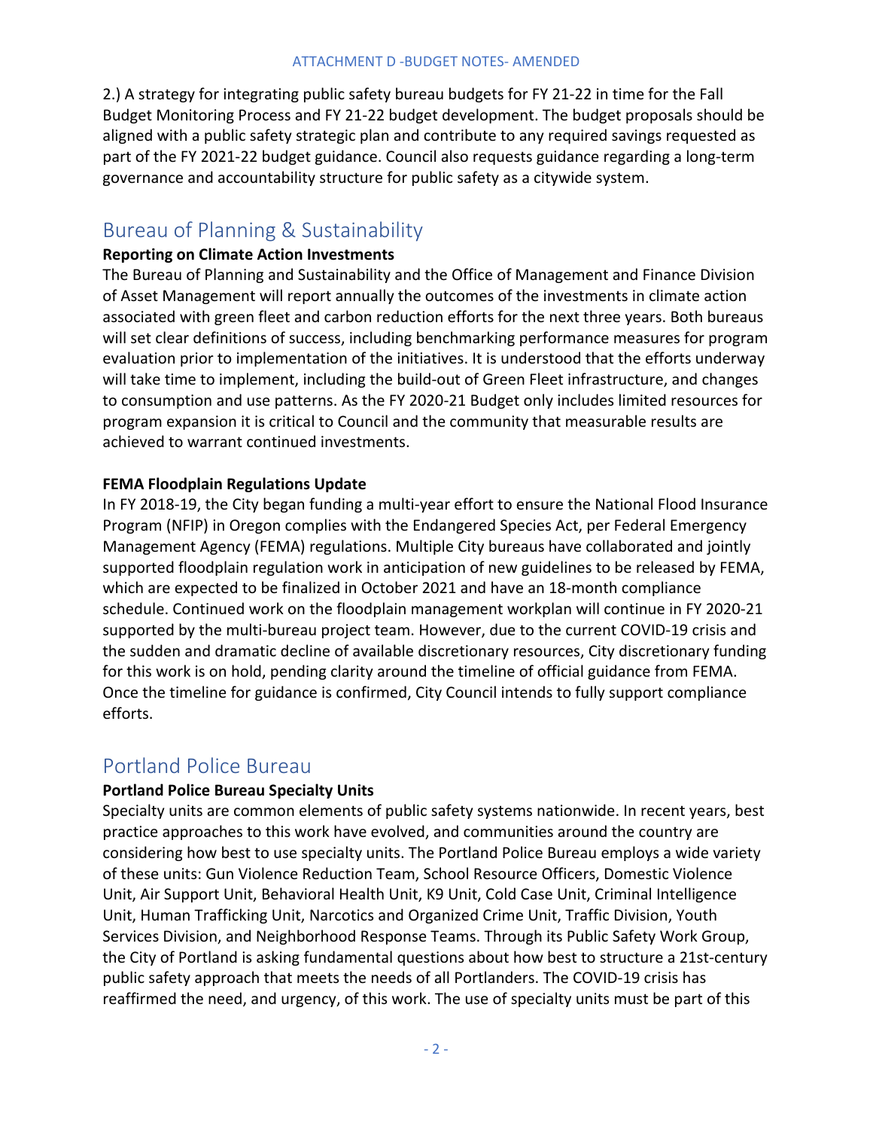2.) A strategy for integrating public safety bureau budgets for FY 21-22 in time for the Fall Budget Monitoring Process and FY 21-22 budget development. The budget proposals should be aligned with a public safety strategic plan and contribute to any required savings requested as part of the FY 2021-22 budget guidance. Council also requests guidance regarding a long-term governance and accountability structure for public safety as a citywide system.

### Bureau of Planning & Sustainability

#### **Reporting on Climate Action Investments**

The Bureau of Planning and Sustainability and the Office of Management and Finance Division of Asset Management will report annually the outcomes of the investments in climate action associated with green fleet and carbon reduction efforts for the next three years. Both bureaus will set clear definitions of success, including benchmarking performance measures for program evaluation prior to implementation of the initiatives. It is understood that the efforts underway will take time to implement, including the build-out of Green Fleet infrastructure, and changes to consumption and use patterns. As the FY 2020-21 Budget only includes limited resources for program expansion it is critical to Council and the community that measurable results are achieved to warrant continued investments.

#### **FEMA Floodplain Regulations Update**

In FY 2018-19, the City began funding a multi-year effort to ensure the National Flood Insurance Program (NFIP) in Oregon complies with the Endangered Species Act, per Federal Emergency Management Agency (FEMA) regulations. Multiple City bureaus have collaborated and jointly supported floodplain regulation work in anticipation of new guidelines to be released by FEMA, which are expected to be finalized in October 2021 and have an 18-month compliance schedule. Continued work on the floodplain management workplan will continue in FY 2020-21 supported by the multi-bureau project team. However, due to the current COVID-19 crisis and the sudden and dramatic decline of available discretionary resources, City discretionary funding for this work is on hold, pending clarity around the timeline of official guidance from FEMA. Once the timeline for guidance is confirmed, City Council intends to fully support compliance efforts.

### Portland Police Bureau

### **Portland Police Bureau Specialty Units**

Specialty units are common elements of public safety systems nationwide. In recent years, best practice approaches to this work have evolved, and communities around the country are considering how best to use specialty units. The Portland Police Bureau employs a wide variety of these units: Gun Violence Reduction Team, School Resource Officers, Domestic Violence Unit, Air Support Unit, Behavioral Health Unit, K9 Unit, Cold Case Unit, Criminal Intelligence Unit, Human Trafficking Unit, Narcotics and Organized Crime Unit, Traffic Division, Youth Services Division, and Neighborhood Response Teams. Through its Public Safety Work Group, the City of Portland is asking fundamental questions about how best to structure a 21st-century public safety approach that meets the needs of all Portlanders. The COVID-19 crisis has reaffirmed the need, and urgency, of this work. The use of specialty units must be part of this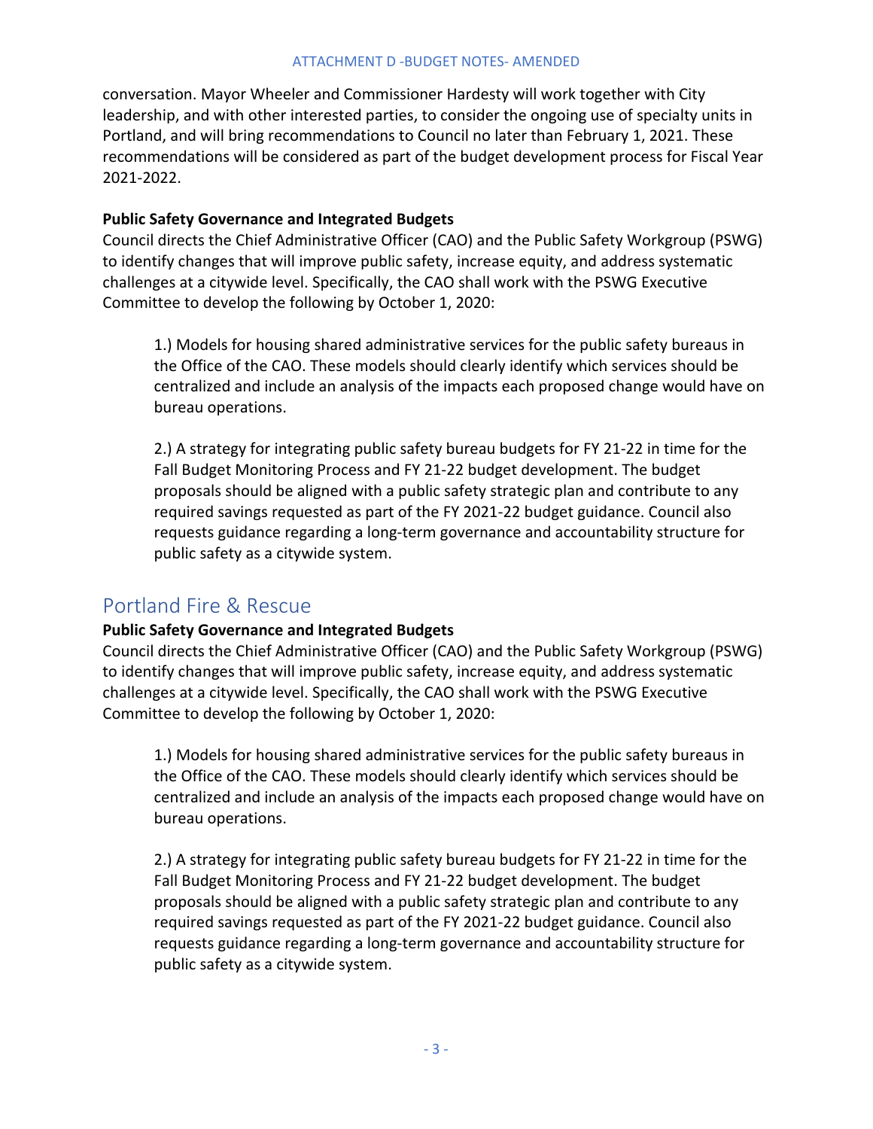#### ATTACHMENT D -BUDGET NOTES- AMENDED

conversation. Mayor Wheeler and Commissioner Hardesty will work together with City leadership, and with other interested parties, to consider the ongoing use of specialty units in Portland, and will bring recommendations to Council no later than February 1, 2021. These recommendations will be considered as part of the budget development process for Fiscal Year 2021-2022.

#### **Public Safety Governance and Integrated Budgets**

Council directs the Chief Administrative Officer (CAO) and the Public Safety Workgroup (PSWG) to identify changes that will improve public safety, increase equity, and address systematic challenges at a citywide level. Specifically, the CAO shall work with the PSWG Executive Committee to develop the following by October 1, 2020:

1.) Models for housing shared administrative services for the public safety bureaus in the Office of the CAO. These models should clearly identify which services should be centralized and include an analysis of the impacts each proposed change would have on bureau operations.

2.) A strategy for integrating public safety bureau budgets for FY 21-22 in time for the Fall Budget Monitoring Process and FY 21-22 budget development. The budget proposals should be aligned with a public safety strategic plan and contribute to any required savings requested as part of the FY 2021-22 budget guidance. Council also requests guidance regarding a long-term governance and accountability structure for public safety as a citywide system.

### Portland Fire & Rescue

#### **Public Safety Governance and Integrated Budgets**

Council directs the Chief Administrative Officer (CAO) and the Public Safety Workgroup (PSWG) to identify changes that will improve public safety, increase equity, and address systematic challenges at a citywide level. Specifically, the CAO shall work with the PSWG Executive Committee to develop the following by October 1, 2020:

1.) Models for housing shared administrative services for the public safety bureaus in the Office of the CAO. These models should clearly identify which services should be centralized and include an analysis of the impacts each proposed change would have on bureau operations.

2.) A strategy for integrating public safety bureau budgets for FY 21-22 in time for the Fall Budget Monitoring Process and FY 21-22 budget development. The budget proposals should be aligned with a public safety strategic plan and contribute to any required savings requested as part of the FY 2021-22 budget guidance. Council also requests guidance regarding a long-term governance and accountability structure for public safety as a citywide system.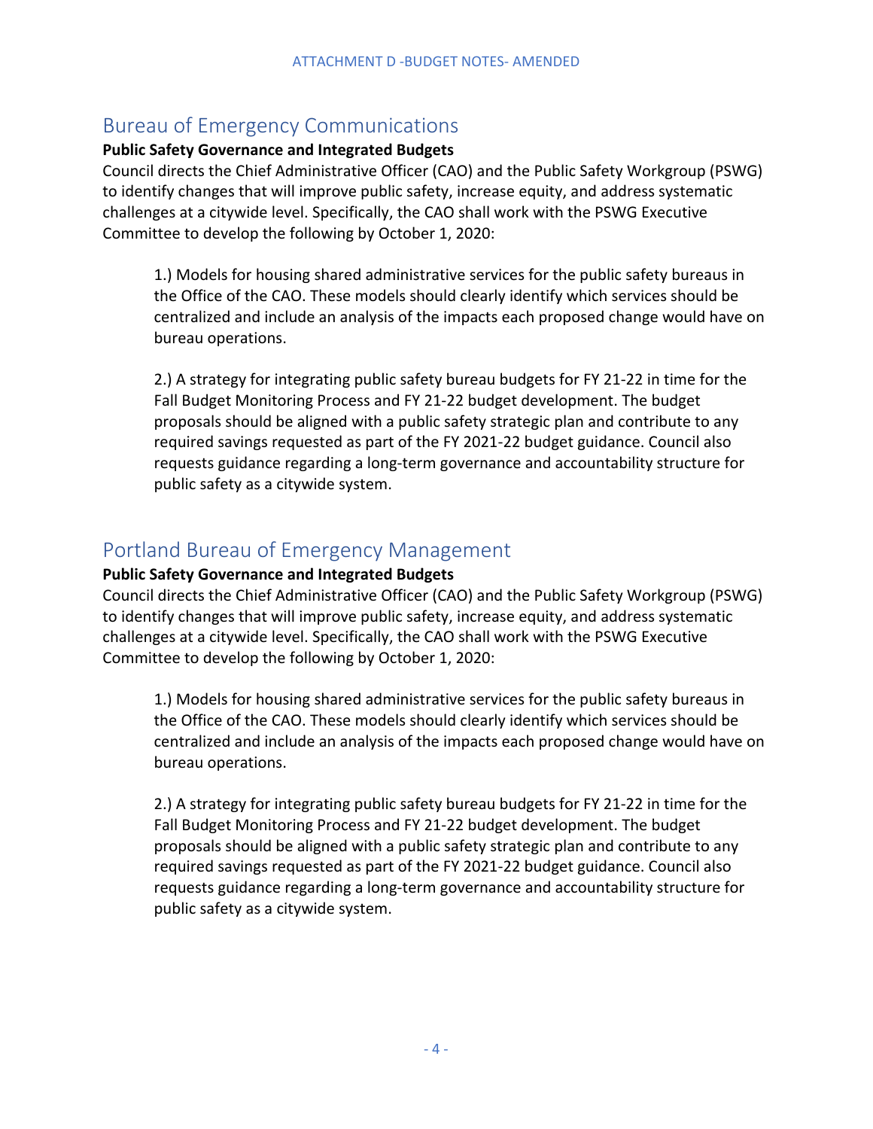### Bureau of Emergency Communications

### **Public Safety Governance and Integrated Budgets**

Council directs the Chief Administrative Officer (CAO) and the Public Safety Workgroup (PSWG) to identify changes that will improve public safety, increase equity, and address systematic challenges at a citywide level. Specifically, the CAO shall work with the PSWG Executive Committee to develop the following by October 1, 2020:

1.) Models for housing shared administrative services for the public safety bureaus in the Office of the CAO. These models should clearly identify which services should be centralized and include an analysis of the impacts each proposed change would have on bureau operations.

2.) A strategy for integrating public safety bureau budgets for FY 21-22 in time for the Fall Budget Monitoring Process and FY 21-22 budget development. The budget proposals should be aligned with a public safety strategic plan and contribute to any required savings requested as part of the FY 2021-22 budget guidance. Council also requests guidance regarding a long-term governance and accountability structure for public safety as a citywide system.

### Portland Bureau of Emergency Management

#### **Public Safety Governance and Integrated Budgets**

Council directs the Chief Administrative Officer (CAO) and the Public Safety Workgroup (PSWG) to identify changes that will improve public safety, increase equity, and address systematic challenges at a citywide level. Specifically, the CAO shall work with the PSWG Executive Committee to develop the following by October 1, 2020:

1.) Models for housing shared administrative services for the public safety bureaus in the Office of the CAO. These models should clearly identify which services should be centralized and include an analysis of the impacts each proposed change would have on bureau operations.

2.) A strategy for integrating public safety bureau budgets for FY 21-22 in time for the Fall Budget Monitoring Process and FY 21-22 budget development. The budget proposals should be aligned with a public safety strategic plan and contribute to any required savings requested as part of the FY 2021-22 budget guidance. Council also requests guidance regarding a long-term governance and accountability structure for public safety as a citywide system.